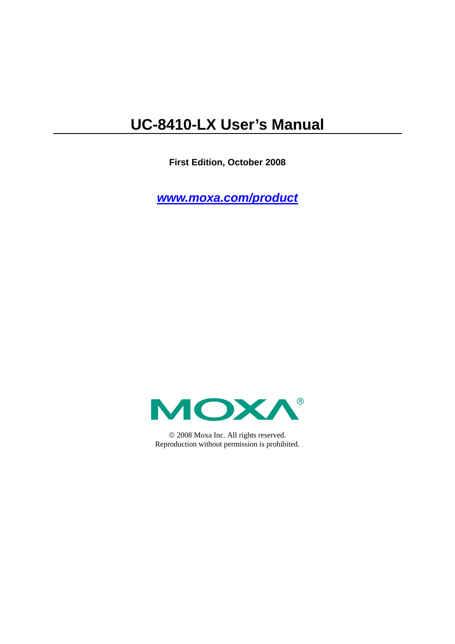## **UC-8410-LX User's Manual**

**First Edition, October 2008** 

*[www.moxa.com/product](http://www.moxa.com/product)*



© 2008 Moxa Inc. All rights reserved. Reproduction without permission is prohibited.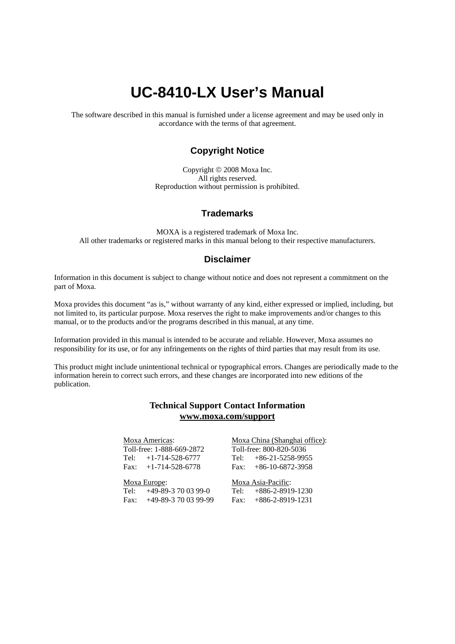## **UC-8410-LX User's Manual**

The software described in this manual is furnished under a license agreement and may be used only in accordance with the terms of that agreement.

### **Copyright Notice**

Copyright © 2008 Moxa Inc. All rights reserved. Reproduction without permission is prohibited.

## **Trademarks**

MOXA is a registered trademark of Moxa Inc. All other trademarks or registered marks in this manual belong to their respective manufacturers.

#### **Disclaimer**

Information in this document is subject to change without notice and does not represent a commitment on the part of Moxa.

Moxa provides this document "as is," without warranty of any kind, either expressed or implied, including, but not limited to, its particular purpose. Moxa reserves the right to make improvements and/or changes to this manual, or to the products and/or the programs described in this manual, at any time.

Information provided in this manual is intended to be accurate and reliable. However, Moxa assumes no responsibility for its use, or for any infringements on the rights of third parties that may result from its use.

This product might include unintentional technical or typographical errors. Changes are periodically made to the information herein to correct such errors, and these changes are incorporated into new editions of the publication.

## **Technical Support Contact Information [www.moxa.com/support](http://www.moxa.com/support)**

#### Moxa Americas:

Toll-free: 1-888-669-2872 Tel: +1-714-528-6777 Fax:  $+1-714-528-6778$ 

#### Moxa China (Shanghai office): Toll-free: 800-820-5036 Tel: +86-21-5258-9955  $Fax: +86-10-6872-3958$

Moxa Europe: Tel: +49-89-3 70 03 99-0

Fax: +49-89-3 70 03 99-99

Moxa Asia-Pacific: Tel: +886-2-8919-1230

Fax: +886-2-8919-1231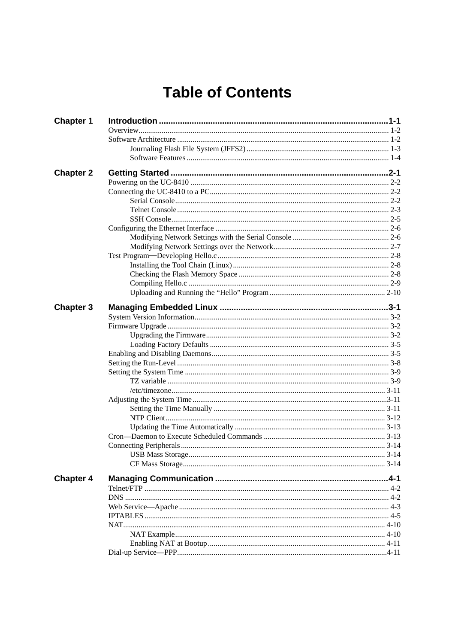## **Table of Contents**

| <b>Chapter 1</b> |  |
|------------------|--|
|                  |  |
|                  |  |
|                  |  |
|                  |  |
| <b>Chapter 2</b> |  |
|                  |  |
|                  |  |
|                  |  |
|                  |  |
|                  |  |
|                  |  |
|                  |  |
|                  |  |
|                  |  |
|                  |  |
|                  |  |
|                  |  |
|                  |  |
| <b>Chapter 3</b> |  |
|                  |  |
|                  |  |
|                  |  |
|                  |  |
|                  |  |
|                  |  |
|                  |  |
|                  |  |
|                  |  |
|                  |  |
|                  |  |
|                  |  |
|                  |  |
|                  |  |
|                  |  |
|                  |  |
|                  |  |
| <b>Chapter 4</b> |  |
|                  |  |
|                  |  |
|                  |  |
|                  |  |
|                  |  |
|                  |  |
|                  |  |
|                  |  |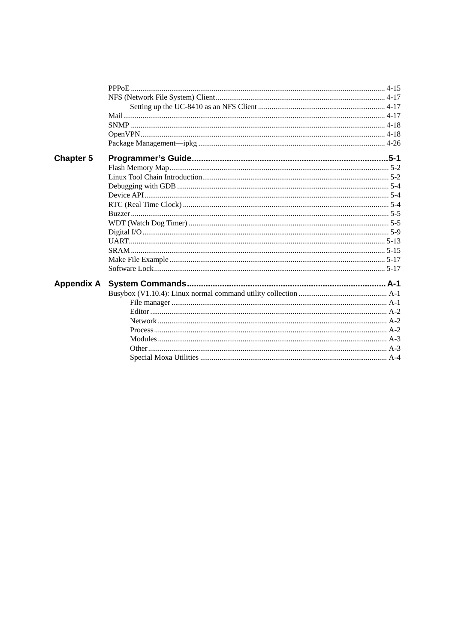| <b>Chapter 5</b>  |  |
|-------------------|--|
|                   |  |
|                   |  |
|                   |  |
|                   |  |
|                   |  |
|                   |  |
|                   |  |
|                   |  |
|                   |  |
|                   |  |
|                   |  |
|                   |  |
| <b>Appendix A</b> |  |
|                   |  |
|                   |  |
|                   |  |
|                   |  |
|                   |  |
|                   |  |
|                   |  |
|                   |  |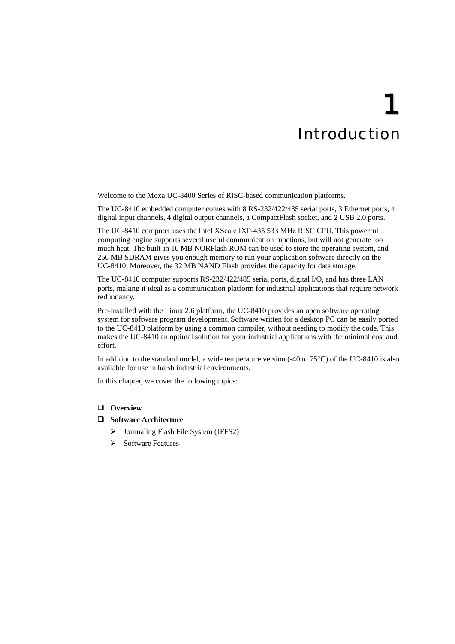# 1 **Introduction**

<span id="page-4-1"></span><span id="page-4-0"></span>Welcome to the Moxa UC-8400 Series of RISC-based communication platforms.

The UC-8410 embedded computer comes with 8 RS-232/422/485 serial ports, 3 Ethernet ports, 4 digital input channels, 4 digital output channels, a CompactFlash socket, and 2 USB 2.0 ports.

The UC-8410 computer uses the Intel XScale IXP-435 533 MHz RISC CPU. This powerful computing engine supports several useful communication functions, but will not generate too much heat. The built-in 16 MB NORFlash ROM can be used to store the operating system, and 256 MB SDRAM gives you enough memory to run your application software directly on the UC-8410. Moreover, the 32 MB NAND Flash provides the capacity for data storage.

The UC-8410 computer supports RS-232/422/485 serial ports, digital I/O, and has three LAN ports, making it ideal as a communication platform for industrial applications that require network redundancy.

Pre-installed with the Linux 2.6 platform, the UC-8410 provides an open software operating system for software program development. Software written for a desktop PC can be easily ported to the UC-8410 platform by using a common compiler, without needing to modify the code. This makes the UC-8410 an optimal solution for your industrial applications with the minimal cost and effort.

In addition to the standard model, a wide temperature version (-40 to 75°C) of the UC-8410 is also available for use in harsh industrial environments.

In this chapter, we cover the following topics:

#### **[Overview](#page-5-1)**

#### **[Software Architecture](#page-5-2)**

- ¾ [Journaling Flash File System \(JFFS2\)](#page-6-1)
- $\triangleright$  [Software Features](#page-7-1)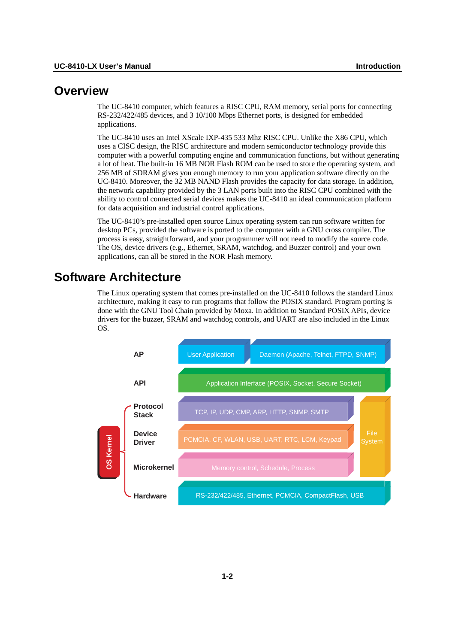## <span id="page-5-1"></span><span id="page-5-0"></span>**Overview**

The UC-8410 computer, which features a RISC CPU, RAM memory, serial ports for connecting RS-232/422/485 devices, and 3 10/100 Mbps Ethernet ports, is designed for embedded applications.

The UC-8410 uses an Intel XScale IXP-435 533 Mhz RISC CPU. Unlike the X86 CPU, which uses a CISC design, the RISC architecture and modern semiconductor technology provide this computer with a powerful computing engine and communication functions, but without generating a lot of heat. The built-in 16 MB NOR Flash ROM can be used to store the operating system, and 256 MB of SDRAM gives you enough memory to run your application software directly on the UC-8410. Moreover, the 32 MB NAND Flash provides the capacity for data storage. In addition, the network capability provided by the 3 LAN ports built into the RISC CPU combined with the ability to control connected serial devices makes the UC-8410 an ideal communication platform for data acquisition and industrial control applications.

The UC-8410's pre-installed open source Linux operating system can run software written for desktop PCs, provided the software is ported to the computer with a GNU cross compiler. The process is easy, straightforward, and your programmer will not need to modify the source code. The OS, device drivers (e.g., Ethernet, SRAM, watchdog, and Buzzer control) and your own applications, can all be stored in the NOR Flash memory.

## <span id="page-5-2"></span>**Software Architecture**

The Linux operating system that comes pre-installed on the UC-8410 follows the standard Linux architecture, making it easy to run programs that follow the POSIX standard. Program porting is done with the GNU Tool Chain provided by Moxa. In addition to Standard POSIX APIs, device drivers for the buzzer, SRAM and watchdog controls, and UART are also included in the Linux OS.

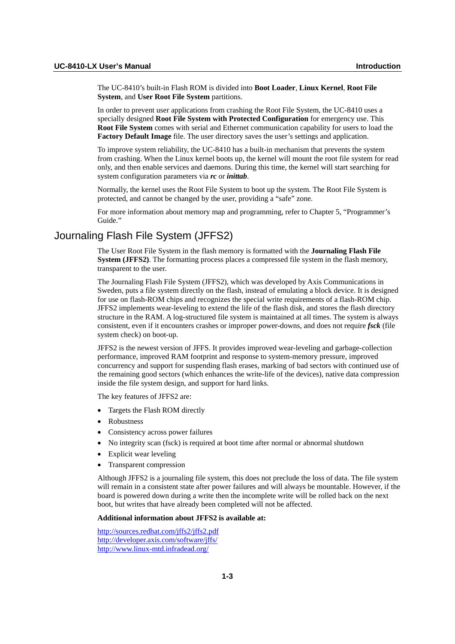<span id="page-6-0"></span>The UC-8410's built-in Flash ROM is divided into **Boot Loader**, **Linux Kernel**, **Root File System**, and **User Root File System** partitions.

In order to prevent user applications from crashing the Root File System, the UC-8410 uses a specially designed **Root File System with Protected Configuration** for emergency use. This **Root File System** comes with serial and Ethernet communication capability for users to load the **Factory Default Image** file. The user directory saves the user's settings and application.

To improve system reliability, the UC-8410 has a built-in mechanism that prevents the system from crashing. When the Linux kernel boots up, the kernel will mount the root file system for read only, and then enable services and daemons. During this time, the kernel will start searching for system configuration parameters via *rc* or *inittab*.

Normally, the kernel uses the Root File System to boot up the system. The Root File System is protected, and cannot be changed by the user, providing a "safe" zone.

For more information about memory map and programming, refer to Chapter 5, "Programmer's Guide."

## <span id="page-6-1"></span>Journaling Flash File System (JFFS2)

The User Root File System in the flash memory is formatted with the **Journaling Flash File System (JFFS2).** The formatting process places a compressed file system in the flash memory, transparent to the user.

The Journaling Flash File System (JFFS2), which was developed by Axis Communications in Sweden, puts a file system directly on the flash, instead of emulating a block device. It is designed for use on flash-ROM chips and recognizes the special write requirements of a flash-ROM chip. JFFS2 implements wear-leveling to extend the life of the flash disk, and stores the flash directory structure in the RAM. A log-structured file system is maintained at all times. The system is always consistent, even if it encounters crashes or improper power-downs, and does not require *fsck* (file system check) on boot-up.

JFFS2 is the newest version of JFFS. It provides improved wear-leveling and garbage-collection performance, improved RAM footprint and response to system-memory pressure, improved concurrency and support for suspending flash erases, marking of bad sectors with continued use of the remaining good sectors (which enhances the write-life of the devices), native data compression inside the file system design, and support for hard links.

The key features of JFFS2 are:

- Targets the Flash ROM directly
- Robustness
- Consistency across power failures
- No integrity scan (fsck) is required at boot time after normal or abnormal shutdown
- Explicit wear leveling
- Transparent compression

Although JFFS2 is a journaling file system, this does not preclude the loss of data. The file system will remain in a consistent state after power failures and will always be mountable. However, if the board is powered down during a write then the incomplete write will be rolled back on the next boot, but writes that have already been completed will not be affected.

#### **Additional information about JFFS2 is available at:**

<http://sources.redhat.com/jffs2/jffs2.pdf> <http://developer.axis.com/software/jffs/> <http://www.linux-mtd.infradead.org/>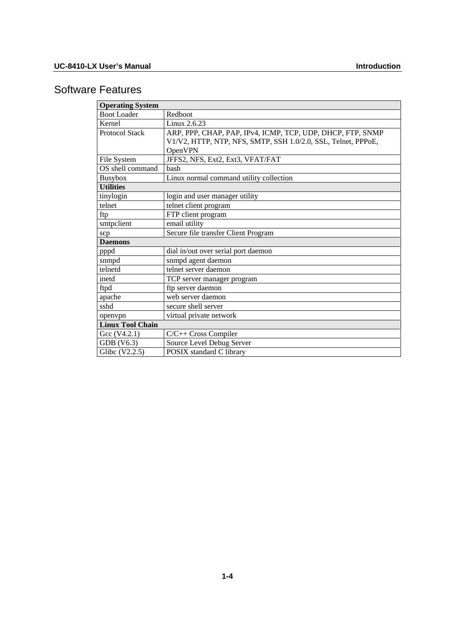## <span id="page-7-1"></span><span id="page-7-0"></span>Software Features

| <b>Operating System</b>     |                                                                                                                             |  |  |  |
|-----------------------------|-----------------------------------------------------------------------------------------------------------------------------|--|--|--|
| <b>Boot Loader</b>          | Redboot                                                                                                                     |  |  |  |
| Kernel                      | Linux 2.6.23                                                                                                                |  |  |  |
| <b>Protocol Stack</b>       | ARP, PPP, CHAP, PAP, IPv4, ICMP, TCP, UDP, DHCP, FTP, SNMP<br>V1/V2, HTTP, NTP, NFS, SMTP, SSH 1.0/2.0, SSL, Telnet, PPPoE, |  |  |  |
|                             | OpenVPN                                                                                                                     |  |  |  |
| File System                 | JFFS2, NFS, Ext2, Ext3, VFAT/FAT                                                                                            |  |  |  |
| OS shell command            | bash                                                                                                                        |  |  |  |
| Busybox                     | Linux normal command utility collection                                                                                     |  |  |  |
| <b>Utilities</b>            |                                                                                                                             |  |  |  |
| tinylogin                   | login and user manager utility                                                                                              |  |  |  |
| telnet                      | telnet client program                                                                                                       |  |  |  |
| ftp                         | FTP client program                                                                                                          |  |  |  |
| smtpclient<br>email utility |                                                                                                                             |  |  |  |
| scp                         | Secure file transfer Client Program                                                                                         |  |  |  |
| <b>Daemons</b>              |                                                                                                                             |  |  |  |
| pppd                        | dial in/out over serial port daemon                                                                                         |  |  |  |
| snmpd                       | snmpd agent daemon                                                                                                          |  |  |  |
| telnetd                     | telnet server daemon                                                                                                        |  |  |  |
| inetd                       | TCP server manager program                                                                                                  |  |  |  |
| ftpd                        | ftp server daemon                                                                                                           |  |  |  |
| apache                      | web server daemon                                                                                                           |  |  |  |
| sshd                        | secure shell server                                                                                                         |  |  |  |
| openvpn                     | virtual private network                                                                                                     |  |  |  |
| <b>Linux Tool Chain</b>     |                                                                                                                             |  |  |  |
| Gcc (V4.2.1)                | $C/C++$ Cross Compiler                                                                                                      |  |  |  |
| GDB (V6.3)                  | Source Level Debug Server                                                                                                   |  |  |  |
| Glibc (V2.2.5)              | <b>POSIX</b> standard C library                                                                                             |  |  |  |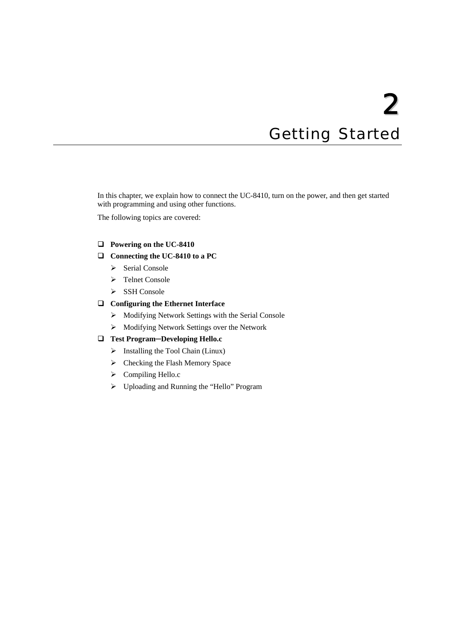# 2 **Getting Started**

<span id="page-8-1"></span><span id="page-8-0"></span>In this chapter, we explain how to connect the UC-8410, turn on the power, and then get started with programming and using other functions.

The following topics are covered:

#### **[Powering on the UC-8410](#page-9-1)**

#### **[Connecting the UC-8410 to a PC](#page-9-2)**

- $\triangleright$  [Serial Console](#page-9-3)
- ¾ [Telnet Console](#page-10-1)
- > [SSH Console](#page-12-1)

#### **[Configuring the Ethernet Interface](#page-13-1)**

- $\triangleright$  [Modifying Network Settings with the Serial Console](#page-13-2)
- ¾ [Modifying Network Settings over the Network](#page-14-1)

#### **Test Program─[Developing Hello.c](#page-15-1)**

- $\triangleright$  [Installing the Tool Chain \(Linux\)](#page-15-2)
- $\triangleright$  [Checking the Flash Memory Space](#page-15-3)
- $\triangleright$  [Compiling Hello.c](#page-16-1)
- ¾ [Uploading and Running the "Hello" Program](#page-17-1)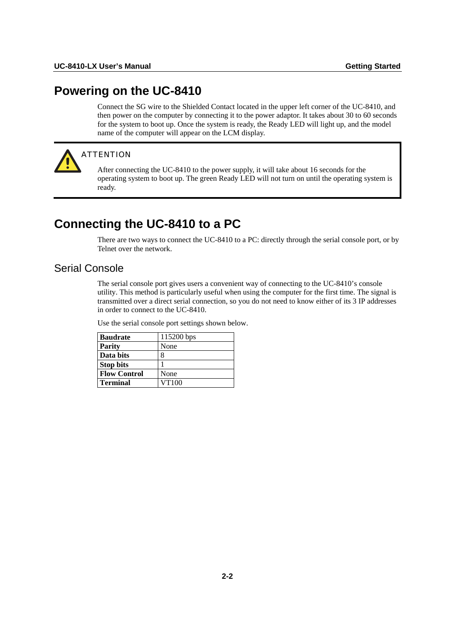## <span id="page-9-1"></span><span id="page-9-0"></span>**Powering on the UC-8410**

Connect the SG wire to the Shielded Contact located in the upper left corner of the UC-8410, and then power on the computer by connecting it to the power adaptor. It takes about 30 to 60 seconds for the system to boot up. Once the system is ready, the Ready LED will light up, and the model name of the computer will appear on the LCM display.



#### **ATTENTION**

After connecting the UC-8410 to the power supply, it will take about 16 seconds for the operating system to boot up. The green Ready LED will not turn on until the operating system is ready.

## <span id="page-9-2"></span>**Connecting the UC-8410 to a PC**

There are two ways to connect the UC-8410 to a PC: directly through the serial console port, or by Telnet over the network.

## <span id="page-9-3"></span>Serial Console

The serial console port gives users a convenient way of connecting to the UC-8410's console utility. This method is particularly useful when using the computer for the first time. The signal is transmitted over a direct serial connection, so you do not need to know either of its 3 IP addresses in order to connect to the UC-8410.

Use the serial console port settings shown below.

| <b>Baudrate</b>     | 115200 bps |
|---------------------|------------|
| <b>Parity</b>       | None       |
| Data bits           | 8          |
| <b>Stop bits</b>    |            |
| <b>Flow Control</b> | None       |
| <b>Terminal</b>     | VT100      |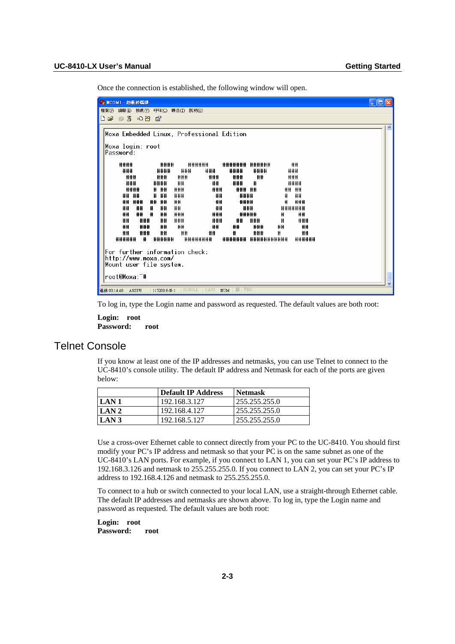<span id="page-10-0"></span>Once the connection is established, the following window will open.

| 2 NCOM1 - 超級終端機                                                                                                                             |   |  |  |  |
|---------------------------------------------------------------------------------------------------------------------------------------------|---|--|--|--|
| 檔案(E) 編輯(E) 檢視(Y) 呼叫(C) 轉送(T) 説明(H)                                                                                                         |   |  |  |  |
| $D \ncong \ncong \mathbb{Z}$<br>$\blacksquare$<br>ਿੰਗਿ                                                                                      |   |  |  |  |
| Moxa Embedded Linux, Professional Edition                                                                                                   | A |  |  |  |
| Moxa login: root<br>Password:                                                                                                               |   |  |  |  |
| ####<br>####<br>######<br>********* ******<br>##<br>###<br>####<br>###<br>####<br>###<br>###<br>####                                        |   |  |  |  |
| ###<br>###<br>###<br>###<br>###<br>##<br>###<br>###<br>##<br>###<br>####<br>####<br>##<br>₩<br>####<br>###<br>### ##<br># ##<br>###<br>#### |   |  |  |  |
| ####<br># ##<br>###<br>####<br>₩<br>##<br>##<br>## ###<br>##<br>##<br>##<br>₩<br>###<br>##<br>####                                          |   |  |  |  |
| ##<br>##<br>##<br>##<br>##<br>###<br>#<br>#######<br>##<br>##<br>₩<br>##<br>###<br>###<br>#####<br>##<br>₩                                  |   |  |  |  |
| ##<br>###<br>##<br>###<br>###<br>###<br>##<br>###<br>Ħ<br>##<br>###<br>##<br>##<br>##<br>###<br>##<br>##<br>##                              |   |  |  |  |
| ##<br>#<br>##<br>###<br>##<br>###<br>#<br>##<br>##<br>######<br>#<br>######<br>########<br>*********************<br>######                  |   |  |  |  |
| For further information check:                                                                                                              |   |  |  |  |
| http://www.moxa.com/                                                                                                                        |   |  |  |  |
| Mount user file system.                                                                                                                     |   |  |  |  |
| root@Moxa:~#                                                                                                                                |   |  |  |  |
| 擷   列印<br>SCROLL<br><b>CAPS</b><br><b>NUM</b><br>連線 00:14:40<br><b>ANSIW</b><br>115200 8-N-1                                                |   |  |  |  |

To log in, type the Login name and password as requested. The default values are both root:

**Login: root Password: root** 

## <span id="page-10-1"></span>Telnet Console

If you know at least one of the IP addresses and netmasks, you can use Telnet to connect to the UC-8410's console utility. The default IP address and Netmask for each of the ports are given below:

|                  | Default IP Address | Netmask       |
|------------------|--------------------|---------------|
| LAN <sub>1</sub> | 192.168.3.127      | 255.255.255.0 |
| LAN <sub>2</sub> | 192.168.4.127      | 255.255.255.0 |
| LAN <sub>3</sub> | 192.168.5.127      | 255.255.255.0 |

Use a cross-over Ethernet cable to connect directly from your PC to the UC-8410. You should first modify your PC's IP address and netmask so that your PC is on the same subnet as one of the UC-8410's LAN ports. For example, if you connect to LAN 1, you can set your PC's IP address to 192.168.3.126 and netmask to 255.255.255.0. If you connect to LAN 2, you can set your PC's IP address to 192.168.4.126 and netmask to 255.255.255.0.

To connect to a hub or switch connected to your local LAN, use a straight-through Ethernet cable. The default IP addresses and netmasks are shown above. To log in, type the Login name and password as requested. The default values are both root:

**Login: root Password: root**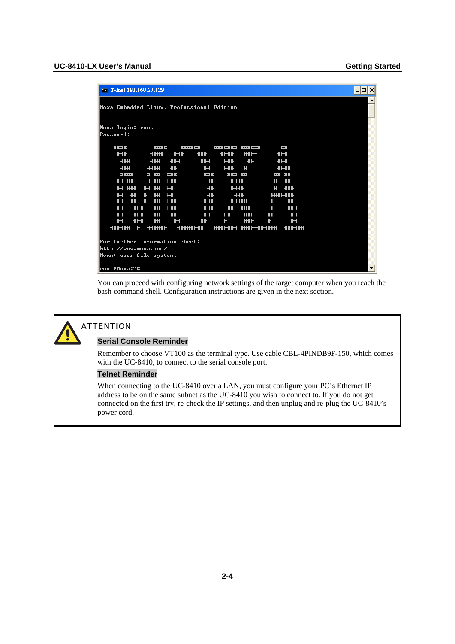|                               |                                                 |      |     |          | ov Telnet 192.168.27.129 |     |                                           |         |            |                      |         | $ \Box$ $x$              |  |
|-------------------------------|-------------------------------------------------|------|-----|----------|--------------------------|-----|-------------------------------------------|---------|------------|----------------------|---------|--------------------------|--|
|                               |                                                 |      |     |          |                          |     | Moxa Embedded Linux, Professional Edition |         |            |                      |         | ٠                        |  |
| Moxa login: root<br>Password: |                                                 |      |     |          |                          |     |                                           |         |            |                      |         |                          |  |
|                               | ####                                            |      |     |          | ####                     |     | ######                                    | ####### | ######     |                      | ##      |                          |  |
|                               | ###                                             |      |     |          | ####                     | ### | ###                                       | ####    | ####       |                      | ###     |                          |  |
|                               | ###                                             |      |     |          | ###                      | ### | ###                                       | ###     | ##         |                      | ###     |                          |  |
|                               | ###                                             |      |     |          | ####                     | ##  | ##                                        | ###     | Ħ          |                      | ####    |                          |  |
|                               |                                                 | #### |     |          | # ##                     | ### | ###                                       | ### ##  |            |                      | ## ##   |                          |  |
|                               | ## ##                                           |      |     | #        | ##                       | ### | ##                                        | ####    |            | $\pmb{\mathfrak{m}}$ | ##      |                          |  |
|                               | ##                                              | ###  |     | ##       | ##                       | ##  | ##                                        | ####    |            | Ħ                    | ###     |                          |  |
|                               | ##                                              | ##   |     | $\sharp$ | ##                       | ##  | ##                                        |         | ###        |                      | ####### |                          |  |
|                               | ##                                              | ##   |     | $\#$     | ##                       | ### | ###                                       |         | #####      | #                    | ##      |                          |  |
|                               | ##                                              |      | ### |          | ##                       | ### | ###                                       | ##      | ###        | $\sharp$             | ###     |                          |  |
|                               | ##                                              |      | ### |          | ##                       | ##  | ##                                        | ##      | ###        | ##                   | ##      |                          |  |
|                               | ##                                              |      | ### |          | ##                       | ##  | ##                                        | #       | ###        | $\#$                 | ##      |                          |  |
|                               | ######                                          |      | #   |          | ######                   |     | ########                                  | ####### | ########## |                      | ######  |                          |  |
|                               |                                                 |      |     |          |                          |     |                                           |         |            |                      |         |                          |  |
|                               |                                                 |      |     |          |                          |     | For further information check:            |         |            |                      |         |                          |  |
|                               | http://www.moxa.com/<br>Mount user file system. |      |     |          |                          |     |                                           |         |            |                      |         |                          |  |
|                               |                                                 |      |     |          |                          |     |                                           |         |            |                      |         |                          |  |
| root@Moxa:~#                  |                                                 |      |     |          |                          |     |                                           |         |            |                      |         | $\overline{\phantom{a}}$ |  |

You can proceed with configuring network settings of the target computer when you reach the bash command shell. Configuration instructions are given in the next section.



#### **ATTENTION**

#### **Serial Console Reminder**

Remember to choose VT100 as the terminal type. Use cable CBL-4PINDB9F-150, which comes with the UC-8410, to connect to the serial console port.

#### **Telnet Reminder**

When connecting to the UC-8410 over a LAN, you must configure your PC's Ethernet IP address to be on the same subnet as the UC-8410 you wish to connect to. If you do not get connected on the first try, re-check the IP settings, and then unplug and re-plug the UC-8410's power cord.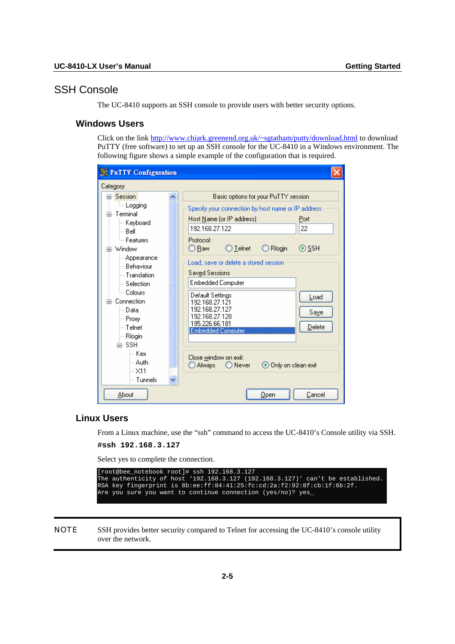## <span id="page-12-1"></span><span id="page-12-0"></span>SSH Console

The UC-8410 supports an SSH console to provide users with better security options.

## **Windows Users**

Click on the link<http://www.chiark.greenend.org.uk/~sgtatham/putty/download.html> to download PuTTY (free software) to set up an SSH console for the UC-8410 in a Windows environment. The following figure shows a simple example of the configuration that is required.

| <b>Next PuTTY</b> Configuration  |  |                                                                             |  |  |  |  |  |
|----------------------------------|--|-----------------------------------------------------------------------------|--|--|--|--|--|
| Category:                        |  |                                                                             |  |  |  |  |  |
| ⊟- Session                       |  | Basic options for your PuTTY session                                        |  |  |  |  |  |
| lillar Logging                   |  | Specify your connection by host name or IP address                          |  |  |  |  |  |
| ⊟⊹ Terminal.                     |  | Host Name (or IP address)<br>Port                                           |  |  |  |  |  |
| ⊱ Keyboard                       |  | 192.168.27.122<br>22                                                        |  |  |  |  |  |
| i⊶ Belli                         |  |                                                                             |  |  |  |  |  |
| <b>E</b> eatures<br>⊟- Window    |  | Protocol:<br>$\bigcirc$ Telnet<br>$\bigcirc$ Rlogin<br>$\odot$ SSH<br>○ Raw |  |  |  |  |  |
| ⊱ Appearance                     |  |                                                                             |  |  |  |  |  |
| — Behaviour                      |  | Load, save or delete a stored session                                       |  |  |  |  |  |
| — Translation                    |  | Saved Sessions                                                              |  |  |  |  |  |
| $\mathrel{\mathop:}=$ Selection. |  | <b>Embedded Computer</b>                                                    |  |  |  |  |  |
| <sup>i…</sup> Colours            |  | Default Settings                                                            |  |  |  |  |  |
| ⊟- Connection.                   |  | Load<br>192.168.27.121                                                      |  |  |  |  |  |
| l… Data                          |  | 192.168.27.127<br>Saye                                                      |  |  |  |  |  |
| l— Proxv                         |  | 192.168.27.128<br>195.226.66.181                                            |  |  |  |  |  |
| l— Telnet                        |  | Delete<br><b>Embedded Computer</b>                                          |  |  |  |  |  |
| ∣— Rlogin                        |  |                                                                             |  |  |  |  |  |
| ⊟∝SSHl<br>l— Kexi                |  |                                                                             |  |  |  |  |  |
| l— Auth.                         |  | Close window on exit:                                                       |  |  |  |  |  |
| l…×11                            |  | ⊙ Only on clean exit<br>○Always ○Never                                      |  |  |  |  |  |
| i— Tunnels                       |  |                                                                             |  |  |  |  |  |
|                                  |  |                                                                             |  |  |  |  |  |
| About                            |  | Open<br>Cancel                                                              |  |  |  |  |  |

## **Linux Users**

From a Linux machine, use the "ssh" command to access the UC-8410's Console utility via SSH.

```
#ssh 192.168.3.127
```
Select yes to complete the connection.

| [root@bee notebook root]# ssh 192.168.3.127                                    |  |
|--------------------------------------------------------------------------------|--|
| The authenticity of host '192.168.3.127 (192.168.3.127)' can't be established. |  |
| RSA kev fingerprint is 8b:ee:ff:84:41:25:fc:cd:2a:f2:92:8f:cb:1f:6b:2f.        |  |
| Are you sure you want to continue connection (yes/no)? yes                     |  |

NOTE SSH provides better security compared to Telnet for accessing the UC-8410's console utility over the network.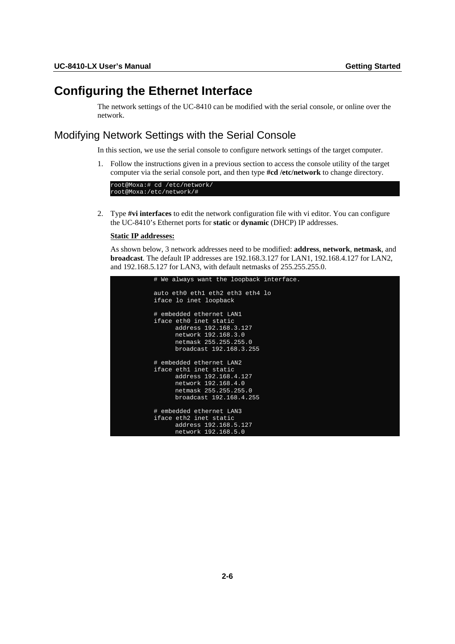## <span id="page-13-1"></span><span id="page-13-0"></span>**Configuring the Ethernet Interface**

The network settings of the UC-8410 can be modified with the serial console, or online over the network.

## <span id="page-13-2"></span>Modifying Network Settings with the Serial Console

In this section, we use the serial console to configure network settings of the target computer.

1. Follow the instructions given in a previous section to access the console utility of the target computer via the serial console port, and then type **#cd /etc/network** to change directory.



2. Type **#vi interfaces** to edit the network configuration file with vi editor. You can configure the UC-8410's Ethernet ports for **static** or **dynamic** (DHCP) IP addresses.

#### **Static IP addresses:**

As shown below, 3 network addresses need to be modified: **address**, **network**, **netmask**, and **broadcast**. The default IP addresses are 192.168.3.127 for LAN1, 192.168.4.127 for LAN2, and 192.168.5.127 for LAN3, with default netmasks of 255.255.255.0.

```
# We always want the loopback interface. 
auto eth0 eth1 eth2 eth3 eth4 lo 
iface lo inet loopback 
# embedded ethernet LAN1 
iface eth0 inet static 
       address 192.168.3.127 
       network 192.168.3.0 
       netmask 255.255.255.0 
       broadcast 192.168.3.255 
# embedded ethernet LAN2 
iface eth1 inet static 
      address 192.168.4.127 
 network 192.168.4.0 
 netmask 255.255.255.0 
       broadcast 192.168.4.255 
# embedded ethernet LAN3 
iface eth2 inet static 
       address 192.168.5.127 
       network 192.168.5.0
```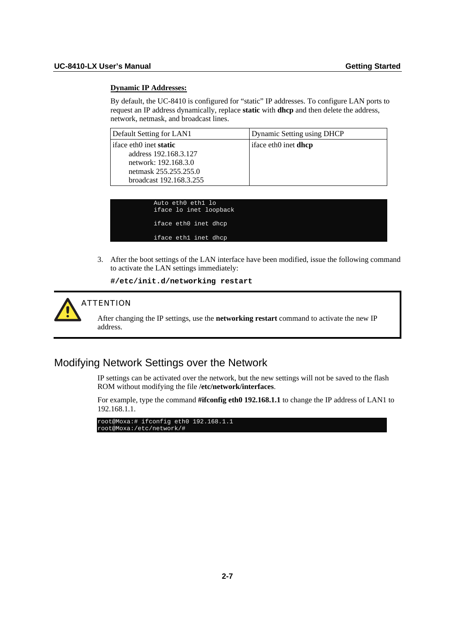#### <span id="page-14-0"></span>**Dynamic IP Addresses:**

By default, the UC-8410 is configured for "static" IP addresses. To configure LAN ports to request an IP address dynamically, replace **static** with **dhcp** and then delete the address, network, netmask, and broadcast lines.

| Default Setting for LAN1                                                       | Dynamic Setting using DHCP  |
|--------------------------------------------------------------------------------|-----------------------------|
| iface eth0 inet <b>static</b><br>address 192.168.3.127<br>network: 192.168.3.0 | iface eth0 inet <b>dhcp</b> |
| netmask 255.255.255.0<br>broadcast 192.168.3.255                               |                             |

| Auto eth0 eth1 lo    |  | iface lo inet loopback |
|----------------------|--|------------------------|
| iface eth0 inet dhcp |  |                        |
| iface ethI inet dhcp |  |                        |

3. After the boot settings of the LAN interface have been modified, issue the following command to activate the LAN settings immediately:

**#/etc/init.d/networking restart** 



#### ATTENTION

After changing the IP settings, use the **networking restart** command to activate the new IP address.

## <span id="page-14-1"></span>Modifying Network Settings over the Network

IP settings can be activated over the network, but the new settings will not be saved to the flash ROM without modifying the file **/etc/network/interfaces**.

For example, type the command **#ifconfig eth0 192.168.1.1** to change the IP address of LAN1 to 192.168.1.1.

root@Moxa:# ifconfig eth0 192.168.1.1 root@Moxa:/etc/network/#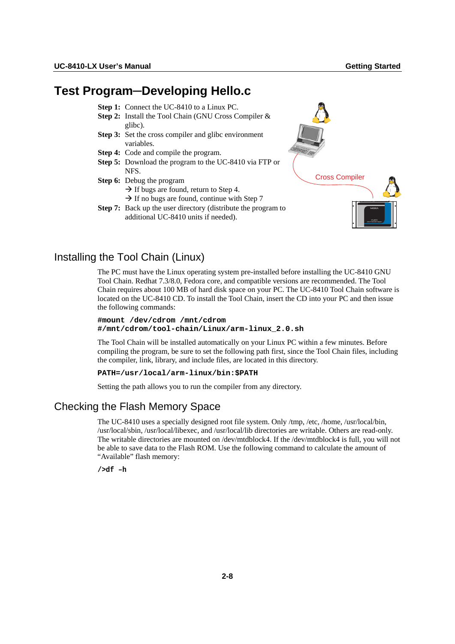## <span id="page-15-1"></span><span id="page-15-0"></span>**Test Program─Developing Hello.c**

- **Step 1:** Connect the UC-8410 to a Linux PC.
- **Step 2:** Install the Tool Chain (GNU Cross Compiler & glibc).
- **Step 3:** Set the cross compiler and glibc environment variables.
- **Step 4:** Code and compile the program.
- **Step 5:** Download the program to the UC-8410 via FTP or NFS.
- **Step 6:** Debug the program
	- $\rightarrow$  If bugs are found, return to Step 4.
	- $\rightarrow$  If no bugs are found, continue with Step 7
- **Step 7:** Back up the user directory (distribute the program to additional UC-8410 units if needed).



## <span id="page-15-2"></span>Installing the Tool Chain (Linux)

The PC must have the Linux operating system pre-installed before installing the UC-8410 GNU Tool Chain. Redhat 7.3/8.0, Fedora core, and compatible versions are recommended. The Tool Chain requires about 100 MB of hard disk space on your PC. The UC-8410 Tool Chain software is located on the UC-8410 CD. To install the Tool Chain, insert the CD into your PC and then issue the following commands:

```
#mount /dev/cdrom /mnt/cdrom 
#/mnt/cdrom/tool-chain/Linux/arm-linux_2.0.sh
```
The Tool Chain will be installed automatically on your Linux PC within a few minutes. Before compiling the program, be sure to set the following path first, since the Tool Chain files, including the compiler, link, library, and include files, are located in this directory.

#### **PATH=/usr/local/arm-linux/bin:\$PATH**

Setting the path allows you to run the compiler from any directory.

## <span id="page-15-3"></span>Checking the Flash Memory Space

The UC-8410 uses a specially designed root file system. Only /tmp, /etc, /home, /usr/local/bin, /usr/local/sbin, /usr/local/libexec, and /usr/local/lib directories are writable. Others are read-only. The writable directories are mounted on /dev/mtdblock4. If the /dev/mtdblock4 is full, you will not be able to save data to the Flash ROM. Use the following command to calculate the amount of "Available" flash memory:

**/>df –h**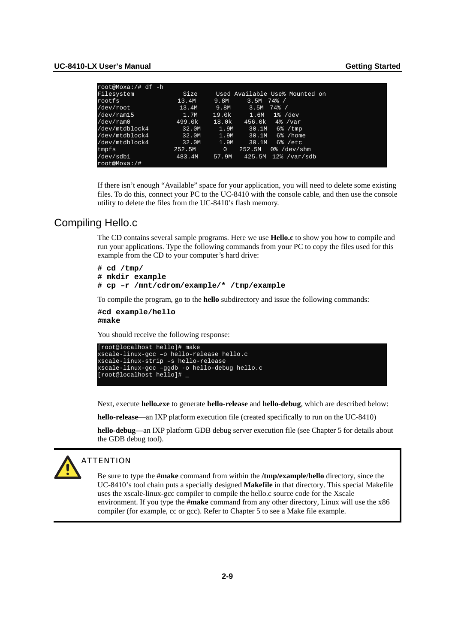<span id="page-16-0"></span>

| root@Moxa:/# df -h         |        |                                          |
|----------------------------|--------|------------------------------------------|
| Filesystem                 | Size   | Used Available Use% Mounted on           |
| rootfs                     | 13.4M  | 74%<br>9.8M<br>3.5M                      |
| /dev/root                  | 13.4M  | 74% /<br>9.8M<br>3.5M                    |
| $/\text{dev}/\text{ram15}$ | 1.7M   | 19.0k<br>1.6M<br>$1\%$ /dev              |
| /dev/ram0                  | 499.0k | 18.0k<br>456.0k<br>$4\%$ /var            |
| /dev/mtdblock4             | 32.0M  | 1.9M<br>$6\%$ / tmp<br>30.1M             |
| /dev/mtdblock4             | 32.0M  | 6% /home<br>1.9M<br>30.1M                |
| /dev/mtdblock4             | 32.0M  | 1.9M<br>30.1M<br>$6\frac{1}{6}$ /etc.    |
| tmpfs                      | 252.5M | $0$ % /dev/shm<br>$\mathbf{0}$<br>252.5M |
| /dev/sdb1                  | 483.4M | 57.9M<br>12%<br>425.5M<br>/var/sdb       |
| root@Moxa:/#               |        |                                          |

If there isn't enough "Available" space for your application, you will need to delete some existing files. To do this, connect your PC to the UC-8410 with the console cable, and then use the console utility to delete the files from the UC-8410's flash memory.

### <span id="page-16-1"></span>Compiling Hello.c

The CD contains several sample programs. Here we use **Hello.c** to show you how to compile and run your applications. Type the following commands from your PC to copy the files used for this example from the CD to your computer's hard drive:

```
# cd /tmp/ 
# mkdir example 
# cp –r /mnt/cdrom/example/* /tmp/example
```
To compile the program, go to the **hello** subdirectory and issue the following commands:

```
#cd example/hello 
#make
```
You should receive the following response:

```
[root@localhost hello]# make 
xscale-linux-gcc –o hello-release hello.c 
xscale-linux-strip –s hello-release 
xscale-linux-gcc –ggdb -o hello-debug hello.c 
[root@localhost hello]# _
```
Next, execute **hello.exe** to generate **hello-release** and **hello-debug**, which are described below:

**hello-release**—an IXP platform execution file (created specifically to run on the UC-8410)

**hello-debug**—an IXP platform GDB debug server execution file (see Chapter 5 for details about the GDB debug tool).



#### ATTENTION

Be sure to type the **#make** command from within the **/tmp/example/hello** directory, since the UC-8410's tool chain puts a specially designed **Makefile** in that directory. This special Makefile uses the xscale-linux-gcc compiler to compile the hello.c source code for the Xscale environment. If you type the **#make** command from any other directory, Linux will use the x86 compiler (for example, cc or gcc). Refer to Chapter 5 to see a Make file example.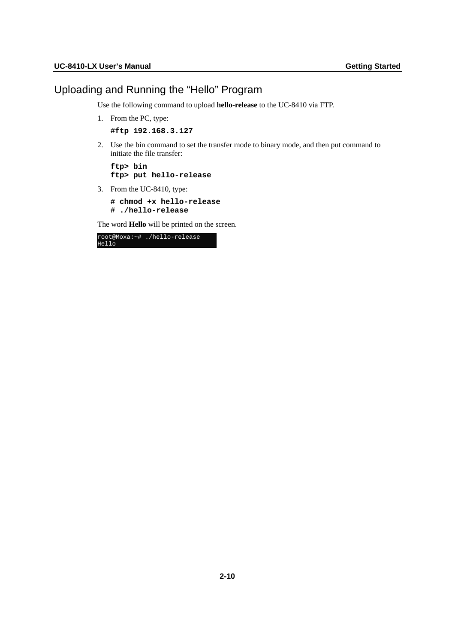## <span id="page-17-1"></span><span id="page-17-0"></span>Uploading and Running the "Hello" Program

Use the following command to upload **hello-release** to the UC-8410 via FTP.

- 1. From the PC, type:
	- **#ftp 192.168.3.127**
- 2. Use the bin command to set the transfer mode to binary mode, and then put command to initiate the file transfer:

**ftp> bin ftp> put hello-release** 

3. From the UC-8410, type:

**# chmod +x hello-release # ./hello-release** 

The word **Hello** will be printed on the screen.

|       | root@Moxa:~# ./hello-release |
|-------|------------------------------|
| Hello |                              |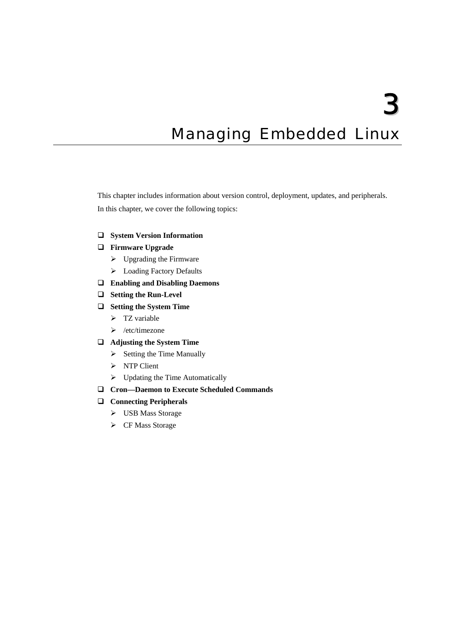3

## <span id="page-18-0"></span>**Managing Embedded Linux**

<span id="page-18-1"></span>This chapter includes information about version control, deployment, updates, and peripherals. In this chapter, we cover the following topics:

- **[System Version Information](#page-19-1)**
- **[Firmware Upgrade](#page-19-2)** 
	- $\triangleright$  [Upgrading the Firmware](#page-19-3)
	- ¾ [Loading Factory Defaults](#page-22-1)
- **[Enabling and Disabling Daemons](#page-22-2)**
- **[Setting the Run-Level](#page-25-1)**
- **[Setting the System Time](#page-26-1)** 
	- $\triangleright$  [TZ variable](#page-26-2)
	- $\triangleright$  [/etc/timezone](#page-28-1)
- **[Adjusting the System Time](#page-28-2)** 
	- $\triangleright$  [Setting the Time Manually](#page-28-3)
	- $\triangleright$  [NTP Client](#page-29-1)
	- $\triangleright$  [Updating the Time Automatically](#page-30-1)
- **[Cron—Daemon to Execute Scheduled Commands](#page-30-2)**

## **[Connecting Peripherals](#page-31-1)**

- ¾ [USB Mass Storage](#page-31-2)
- ▶ [CF Mass Storage](#page-31-3)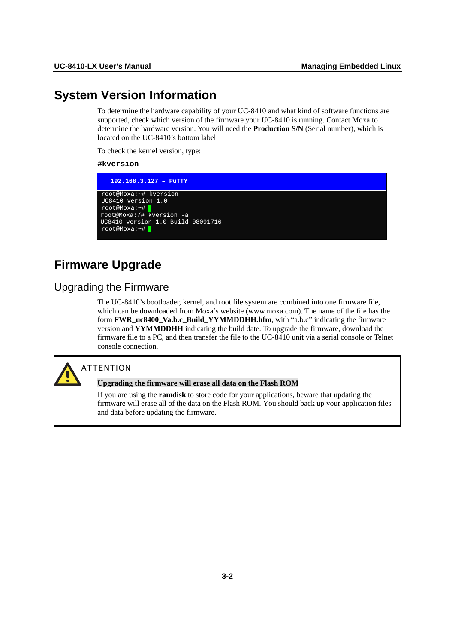## <span id="page-19-1"></span><span id="page-19-0"></span>**System Version Information**

To determine the hardware capability of your UC-8410 and what kind of software functions are supported, check which version of the firmware your UC-8410 is running. Contact Moxa to determine the hardware version. You will need the **Production S/N** (Serial number), which is located on the UC-8410's bottom label.

To check the kernel version, type:

#### **#kversion**

| $192.168.3.127 -$ PuTTY                                                                                                                                           |  |
|-------------------------------------------------------------------------------------------------------------------------------------------------------------------|--|
| root@Moxa:~# kversion<br>UC8410 version 1.0<br>$root@Moxa:~+$<br>root@Moxa:/# kversion -a<br>UC8410 version 1.0 Build 08091716<br>$root@{\text{Moxa}}:~~\nexists$ |  |

## <span id="page-19-2"></span>**Firmware Upgrade**

## <span id="page-19-3"></span>Upgrading the Firmware

The UC-8410's bootloader, kernel, and root file system are combined into one firmware file, which can be downloaded from Moxa's website (www.moxa.com). The name of the file has the form **FWR\_uc8400\_Va.b.c\_Build\_YYMMDDHH.hfm**, with "a.b.c" indicating the firmware version and **YYMMDDHH** indicating the build date. To upgrade the firmware, download the firmware file to a PC, and then transfer the file to the UC-8410 unit via a serial console or Telnet console connection.



## **ATTENTION**

#### **Upgrading the firmware will erase all data on the Flash ROM**

If you are using the **ramdisk** to store code for your applications, beware that updating the firmware will erase all of the data on the Flash ROM. You should back up your application files and data before updating the firmware.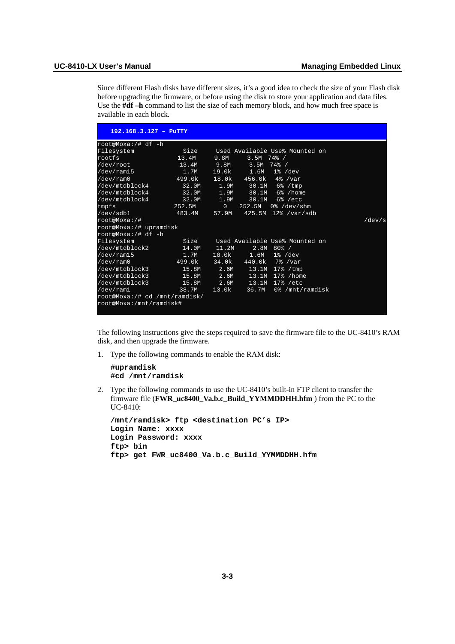Since different Flash disks have different sizes, it's a good idea to check the size of your Flash disk before upgrading the firmware, or before using the disk to store your application and data files. Use the **#df –h** command to list the size of each memory block, and how much free space is available in each block.

| $192.168.3.127 - P^{\text{uTTY}}$ |                 |              |              |                                     |                 |
|-----------------------------------|-----------------|--------------|--------------|-------------------------------------|-----------------|
| root@Moxa:/# df -h                |                 |              |              |                                     |                 |
| Filesystem                        | Size            |              |              | Used Available Use% Mounted on      |                 |
| rootfs                            | 13.4M           | 9.8M         | 3.5M         | 74% /                               |                 |
| /dev/root                         | 13.4M 9.8M 3.5M |              |              | 74% /                               |                 |
| /dev/ram15                        | 1.7M            | 19.0k        | 1.6M         | $1\%$ /dev                          |                 |
| $/\text{dev}/\text{ram0}$         | 499.0k          | 18.0k        |              | $456.0k$ $4%$ /var                  |                 |
| /dev/mtdblock4                    | 32.0M           |              |              | $1.9M$ $30.1M$ $6\%$ /tmp           |                 |
| /dev/mtdblock4                    | 32.0M           |              |              | 1.9M 30.1M 6%/home                  |                 |
| /dev/mtdblock4                    | 32.0M           | 1.9M         | 30.1M        | $6\%$ /etc                          |                 |
| tmpfs                             | 252.5M          | $\mathbf{0}$ | 252.5M       | $0$ % /dev/shm                      |                 |
| /dev/sdb1                         | 483.4M 57.9M    |              |              | 425.5M 12% /var/sdb                 |                 |
| root@Moxa:/#                      |                 |              |              |                                     | $/\text{dev/s}$ |
| root@Moxa:/# upramdisk            |                 |              |              |                                     |                 |
| root@Moxa:/# df -h                |                 |              |              |                                     |                 |
| Filesystem                        |                 |              |              | Size Used Available Use% Mounted on |                 |
| /dev/mtdblock2                    | 14.0M           | $-11.2M$     | 2.8M         | $80%$ /                             |                 |
| $/\text{dev}/\text{ram15}$        | 1.7M            | 18.0k        |              | $1.6M$ $1\frac{3}{8}$ /dev          |                 |
| $/\text{dev}/\text{ram0}$         | 499.0k          |              | 34.0k 440.0k | 7% /var                             |                 |
| /dev/mtdblock3                    | 15.8M           |              |              | 2.6M 13.1M 17% / tmp                |                 |
| /dev/mtdblock3                    | 15.8M           |              |              | 2.6M 13.1M 17% / home               |                 |
| /dev/mtdblock3 15.8M              |                 |              |              | 2.6M 13.1M 17% /etc                 |                 |
| /dev/ram1                         | 38.7M           |              | 13.0k 36.7M  | $0$ % /mnt/ramdisk                  |                 |
| root@Moxa:/# cd /mnt/ramdisk/     |                 |              |              |                                     |                 |
| root@Moxa:/mnt/ramdisk#           |                 |              |              |                                     |                 |
|                                   |                 |              |              |                                     |                 |

The following instructions give the steps required to save the firmware file to the UC-8410's RAM disk, and then upgrade the firmware.

1. Type the following commands to enable the RAM disk:

**#upramdisk #cd /mnt/ramdisk** 

2. Type the following commands to use the UC-8410's built-in FTP client to transfer the firmware file (**FWR\_uc8400\_Va.b.c\_Build\_YYMMDDHH.hfm** ) from the PC to the UC-8410:

```
/mnt/ramdisk> ftp <destination PC's IP> 
Login Name: xxxx 
Login Password: xxxx 
ftp> bin 
ftp> get FWR_uc8400_Va.b.c_Build_YYMMDDHH.hfm
```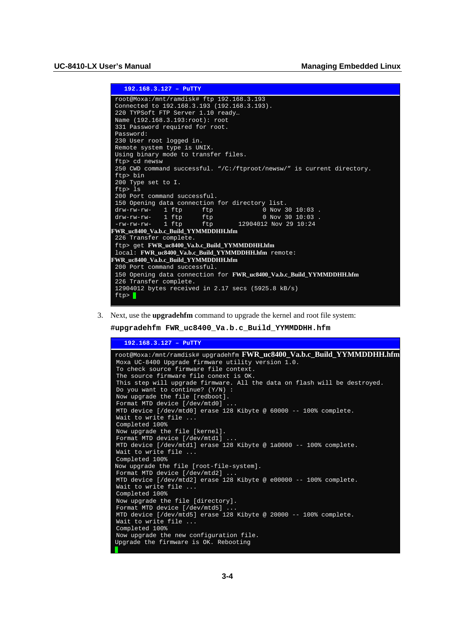```
 192.168.3.127 – PuTTY 
 root@Moxa:/mnt/ramdisk# ftp 192.168.3.193 
 Connected to 192.168.3.193 (192.168.3.193). 
220 TYPSoft FTP Server 1.10 ready… 
Name (192.168.3.193:root): root 
331 Password required for root. 
Password: 
230 User root logged in. 
Remote system type is UNIX. 
 Using binary mode to transfer files. 
 ftp> cd newsw 
250 CWD command successful. "/C:/ftproot/newsw/" is current directory. 
ftp> bin 
200 Type set to I. 
ftp> ls 
200 Port command successful. 
150 Opening data connection for directory list.<br>drw-rw-rw- 1 ftp ftp 60 Nov 30 10:03.
 drw-rw-rw- 1 ftp ftp 0 Nov 30 10:03 . 
 drw-rw-rw- 1 ftp ftp 0 Nov 30 10:03 . 
 -rw-rw-rw- 1 ftp ftp 12904012 Nov 29 10:24
FWR_uc8400_Va.b.c_Build_YYMMDDHH.hfm
226 Transfer complete. 
ftp> get FWR_uc8400_Va.b.c_Build_YYMMDDHH.hfm
 local: FWR_uc8400_Va.b.c_Build_YYMMDDHH.hfm remote: 
FWR_uc8400_Va.b.c_Build_YYMMDDHH.hfm
200 Port command successful. 
 150 Opening data connection for FWR_uc8400_Va.b.c_Build_YYMMDDHH.hfm
226 Transfer complete. 
 12904012 bytes received in 2.17 secs (5925.8 kB/s) 
 ftp> \blacksquare
```
3. Next, use the **upgradehfm** command to upgrade the kernel and root file system:

```
#upgradehfm FWR_uc8400_Va.b.c_Build_YYMMDDHH.hfm
```

| $192.168.3.127 - P^{\text{uTTY}}$                                                                     |
|-------------------------------------------------------------------------------------------------------|
| root@Moxa:/mnt/ramdisk# upgradehfm <b>FWR_uc8400_Va.b.c_Build_YYMMDDHH.hfm</b>                        |
| Moxa UC-8400 Upgrade firmware utility version 1.0.                                                    |
| To check source firmware file context.                                                                |
| The source firmware file conext is OK.                                                                |
| This step will upgrade firmware. All the data on flash will be destroyed.                             |
| Do you want to continue? $(Y/N)$ :                                                                    |
| Now upgrade the file [redboot].<br>Format MTD device [/dev/mtd0]                                      |
| MTD device $\left[\sqrt{\frac{1}{2} + \frac{1}{2}}\right]$ erase 128 Kibyte @ 60000 -- 100% complete. |
| Wait to write file                                                                                    |
| Completed 100%                                                                                        |
| Now upgrade the file [kernel].                                                                        |
| Format MTD device [/dev/mtdl]                                                                         |
| MTD device [/dev/mtdl] erase 128 Kibyte @ 1a0000 -- 100% complete.                                    |
| Wait to write file                                                                                    |
| Completed 100%                                                                                        |
| Now upgrade the file [root-file-system].                                                              |
| Format MTD device [/dev/mtd2]                                                                         |
| MTD device [/dev/mtd2] erase 128 Kibyte @ e00000 -- 100% complete.                                    |
| Wait to write file                                                                                    |
| Completed 100%                                                                                        |
| Now upgrade the file [directory].                                                                     |
| Format MTD device [/dev/mtd5]                                                                         |
| MTD device [/dev/mtd5] erase 128 Kibyte @ 20000 -- 100% complete.                                     |
| Wait to write file                                                                                    |
| Completed 100%                                                                                        |
| Now upgrade the new configuration file.                                                               |
| Upgrade the firmware is OK. Rebooting                                                                 |
|                                                                                                       |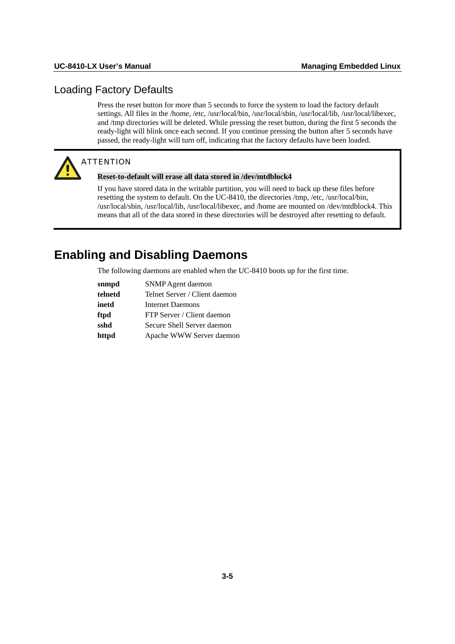## <span id="page-22-1"></span><span id="page-22-0"></span>Loading Factory Defaults

Press the reset button for more than 5 seconds to force the system to load the factory default settings. All files in the /home, /etc, /usr/local/bin, /usr/local/sbin, /usr/local/lib, /usr/local/libexec, and /tmp directories will be deleted. While pressing the reset button, during the first 5 seconds the ready-light will blink once each second. If you continue pressing the button after 5 seconds have passed, the ready-light will turn off, indicating that the factory defaults have been loaded.



## **ATTENTION**

#### **Reset-to-default will erase all data stored in /dev/mtdblock4**

If you have stored data in the writable partition, you will need to back up these files before resetting the system to default. On the UC-8410, the directories /tmp, /etc, /usr/local/bin, /usr/local/sbin, /usr/local/lib, /usr/local/libexec, and /home are mounted on /dev/mtdblock4. This means that all of the data stored in these directories will be destroyed after resetting to default.

## <span id="page-22-2"></span>**Enabling and Disabling Daemons**

The following daemons are enabled when the UC-8410 boots up for the first time.

| snmpd   | SNMP Agent daemon             |
|---------|-------------------------------|
| telnetd | Telnet Server / Client daemon |
| inetd   | Internet Daemons              |
| ftpd    | FTP Server / Client daemon    |
| sshd    | Secure Shell Server daemon    |
| httpd   | Apache WWW Server daemon      |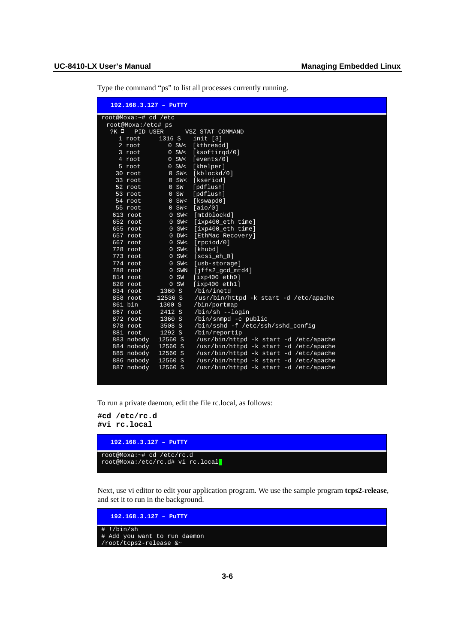|        |                      | 192.168.3.127 - PuTTY |                                        |
|--------|----------------------|-----------------------|----------------------------------------|
|        | root@Moxa:~# cd /etc |                       |                                        |
|        | root@Moxa:/etc# ps   |                       |                                        |
| $?K$ 0 | PID USER             |                       | VSZ STAT COMMAND                       |
|        | $1$ root             | 1316S                 | init [3]                               |
|        | $2$ root             | $0$ SW<               | [kthreadd]                             |
|        | $3$ root             | $0$ SW<               | [ksoftirgd/0]                          |
|        | 4 root               | $0$ SW<               | [events/0]                             |
|        | 5 root               | $0$ SW<               | [khelper]                              |
|        | 30 root              | $0$ SW<               | [kblockd/0]                            |
|        | 33 root              | $0$ SW<               | [kseriod]                              |
|        | 52 root              | 0 S W                 | [pdflush]                              |
|        | 53 root              | 0 S W                 | [pdflush]                              |
|        | 54 root              | $0$ SW<               | [kswapd0]                              |
|        | 55 root              | $0$ SW<               | [aio/0]                                |
|        | 613 root             | $0$ SW<               | [mtdblockd]                            |
|        | 652 root             | $0$ SW<               | $[ixp400 _eth time]$                   |
|        | 655 root             | $0$ SW<               | [ixp400_eth time]                      |
|        | $657$ root           | $0$ DW $\leq$         | [EthMac Recovery]                      |
|        | $667$ root           | $0$ SW<               | [rpciod/0]                             |
|        | 728 root             | $0$ SW<               | [khubd]                                |
|        | 773 root             | $0$ SW<               | [scsi eh 0]                            |
|        | 774 root             | $0$ SW<               | [usb-storage]                          |
|        | 788 root<br>814 root | $0$ SWN<br>0 S W      | $[jffs2_qcd_mtd4]$<br>[ixp400eth0]     |
|        | 820 root             | 0 S W                 | [ixp400eth1]                           |
|        | 834 root             | 1360 S                | /bin/inetd                             |
|        | 858 root             | 12536 S               | /usr/bin/httpd -k start -d /etc/apache |
|        | 861 bin              | 1300 S                | /bin/portmap                           |
|        | 867 root             | 2412S                 | /bin/sh --login                        |
|        | 872 root             | $1360$ S              | /bin/snmpd -c public                   |
|        | 878 root             | 3508 S                | /bin/sshd -f /etc/ssh/sshd_config      |
|        | 881 root             | 1292 S                | /bin/reportip                          |
|        | 883 nobody           | 12560 S               | /usr/bin/httpd -k start -d /etc/apache |
|        | 884 nobody           | 12560 S               | /usr/bin/httpd -k start -d /etc/apache |
|        | 885 nobody           | 12560 S               | /usr/bin/httpd -k start -d /etc/apache |
|        | 886 nobody           | 12560 S               | /usr/bin/httpd -k start -d /etc/apache |
|        | 887 nobody           | 12560 S               | /usr/bin/httpd -k start -d /etc/apache |

Type the command "ps" to list all processes currently running.

To run a private daemon, edit the file rc.local, as follows:

**#cd /etc/rc.d #vi rc.local** 



Next, use vi editor to edit your application program. We use the sample program **tcps2-release**, and set it to run in the background.

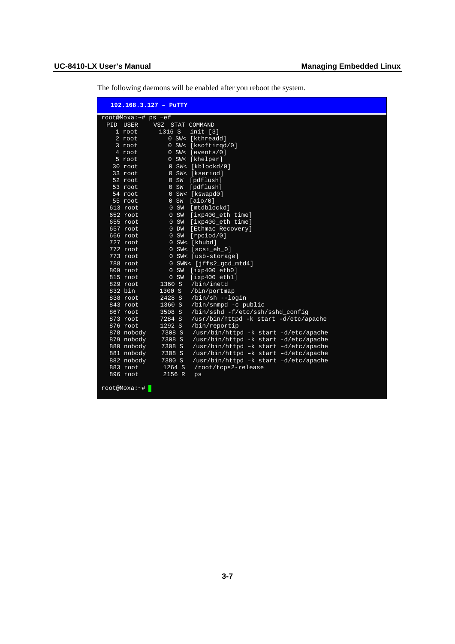The following daemons will be enabled after you reboot the system.

|                     | 192.168.3.127 - PuTTY |                                       |
|---------------------|-----------------------|---------------------------------------|
| root@Moxa:~# ps -ef |                       |                                       |
| PID USER            | VSZ STAT COMMAND      |                                       |
| $1$ root            | 1316 S                | init [3]                              |
| 2 root              |                       | 0 SW< [kthreadd]                      |
| 3 root              |                       | 0 SW< [ksoftirgd/0]                   |
| 4 root              |                       | $0$ SW< [events/0]                    |
| 5 root              |                       | 0 SW< [khelper]                       |
| $30$ root           |                       | 0 SW< [kblockd/0]                     |
| $33$ root           |                       | 0 SW< [kseriod]                       |
| $52$ root           | 0 S W                 | [pdflush]                             |
| 53 root             | 0 S W                 | [pdflush]                             |
| 54 root             |                       | 0 SW< [kswapd0]                       |
| 55 root             | 0 S W                 | [aio/0]                               |
| 613 root            | 0 S W                 | [mtdblockd]                           |
| 652 root            | 0 S W                 | [ixp400_eth time]                     |
| 655 root            | 0 S W                 | [ixp400_eth time]                     |
| 657 root            | $0$ DW                | [Ethmac Recovery]                     |
| 666 root            | 0 S W                 | [right/0]                             |
| 727 root            |                       | $0$ SW< [khubd]                       |
| 772 root            |                       | 0 SW< [scsi eh 0]                     |
| 773 root            |                       | 0 SW< [usb-storage]                   |
| $788$ root          |                       | 0 SWN< [jffs2_qcd_mtd4]               |
| 809 root            | 0 S W                 | [ixp400eth0]                          |
| 815 root            | 0 S W                 | [ixp400eth1]                          |
| 829 root            | 1360 S                | /bin/inetd                            |
| 832 bin             | 1300 S                | /bin/portmap                          |
| 838 root            | 2428 S                | /bin/sh --login                       |
| 843 root            | 1360 S                | /bin/snmpd -c public                  |
| $867$ root          | 3508 S                | /bin/sshd -f/etc/ssh/sshd config      |
| 873 root            | 7284 S                | /usr/bin/httpd -k start -d/etc/apache |
| 876 root            | 1292 S                | /bin/reportip                         |
| 878 nobody          | 7308 S                | /usr/bin/httpd -k start -d/etc/apache |
| 879 nobody          | 7308 S                | /usr/bin/httpd -k start -d/etc/apache |
| 880 nobody          | 7308 S                | /usr/bin/httpd -k start -d/etc/apache |
| 881 nobody          | 7308 S                | /usr/bin/httpd -k start -d/etc/apache |
| 882 nobody          | 7380 S                | /usr/bin/httpd -k start -d/etc/apache |
| 883 root            | 1264 S                | /root/tcps2-release                   |
| 896 root            | 2156 R                | ps                                    |
| root@Moxa:~#        |                       |                                       |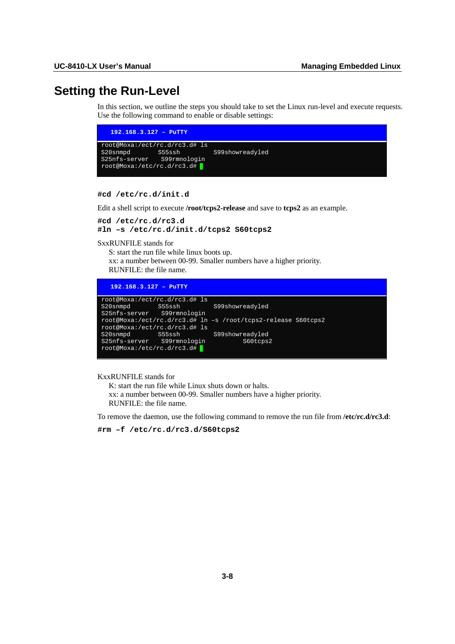## <span id="page-25-1"></span><span id="page-25-0"></span>**Setting the Run-Level**

In this section, we outline the steps you should take to set the Linux run-level and execute requests. Use the following command to enable or disable settings:

| $192.168.3.127 - P^{\text{uTTY}}$ |                               |                        |  |
|-----------------------------------|-------------------------------|------------------------|--|
|                                   | root@Moxa:/ect/rc.d/rc3.d# ls |                        |  |
| S20snmpd                          |                               | S55ssh S99showreadyled |  |
| S25nfs-server S99rmnologin        |                               |                        |  |
| root@Moxa:/etc/rc.d/rc3.d#        |                               |                        |  |
|                                   |                               |                        |  |

**#cd /etc/rc.d/init.d** 

Edit a shell script to execute **/root/tcps2-release** and save to **tcps2** as an example.

```
#cd /etc/rc.d/rc3.d 
#ln –s /etc/rc.d/init.d/tcps2 S60tcps2
```
SxxRUNFILE stands for

S: start the run file while linux boots up.

xx: a number between 00-99. Smaller numbers have a higher priority.

RUNFILE: the file name.

| $192.168.3.127 -$ PuTTY    |                               |                                                               |  |
|----------------------------|-------------------------------|---------------------------------------------------------------|--|
|                            | root@Moxa:/ect/rc.d/rc3.d# ls |                                                               |  |
|                            |                               | S20snmpd S55ssh S99showreadyled                               |  |
| S25nfs-server S99rmnologin |                               |                                                               |  |
|                            |                               | root@Moxa:/ect/rc.d/rc3.d# ln -s /root/tcps2-release S60tcps2 |  |
|                            | root@Moxa:/ect/rc.d/rc3.d# ls |                                                               |  |
|                            |                               | S20snmpd S55ssh S99showreadyled                               |  |
|                            | S25nfs-server S99rmnologin    | S60tcps2                                                      |  |
| root@Moxa:/etc/rc.d/rc3.d# |                               |                                                               |  |
|                            |                               |                                                               |  |

KxxRUNFILE stands for

 K: start the run file while Linux shuts down or halts. xx: a number between 00-99. Smaller numbers have a higher priority. RUNFILE: the file name.

To remove the daemon, use the following command to remove the run file from **/etc/rc.d/rc3.d**:

**#rm –f /etc/rc.d/rc3.d/S60tcps2**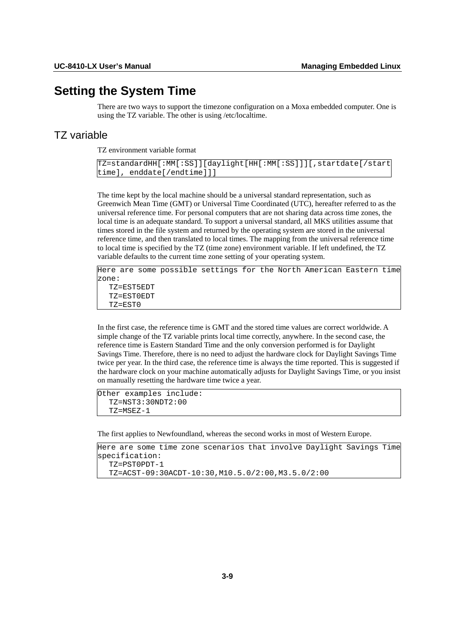## <span id="page-26-1"></span><span id="page-26-0"></span>**Setting the System Time**

There are two ways to support the timezone configuration on a Moxa embedded computer. One is using the TZ variable. The other is using /etc/localtime.

## <span id="page-26-2"></span>TZ variable

TZ environment variable format

```
TZ=standardHH[:MM[:SS]][daylight[HH[:MM[:SS]]][,startdate[/start
time], enddate[/endtime]]]
```
The time kept by the local machine should be a universal standard representation, such as Greenwich Mean Time (GMT) or Universal Time Coordinated (UTC), hereafter referred to as the universal reference time. For personal computers that are not sharing data across time zones, the local time is an adequate standard. To support a universal standard, all MKS utilities assume that times stored in the file system and returned by the operating system are stored in the universal reference time, and then translated to local times. The mapping from the universal reference time to local time is specified by the TZ (time zone) environment variable. If left undefined, the TZ variable defaults to the current time zone setting of your operating system.

```
Here are some possible settings for the North American Eastern time
zone: 
   TZ=EST5EDT 
   TZ=EST0EDT 
   TZ=EST0
```
In the first case, the reference time is GMT and the stored time values are correct worldwide. A simple change of the TZ variable prints local time correctly, anywhere. In the second case, the reference time is Eastern Standard Time and the only conversion performed is for Daylight Savings Time. Therefore, there is no need to adjust the hardware clock for Daylight Savings Time twice per year. In the third case, the reference time is always the time reported. This is suggested if the hardware clock on your machine automatically adjusts for Daylight Savings Time, or you insist on manually resetting the hardware time twice a year.

```
Other examples include: 
   TZ=NST3:30NDT2:00 
   TZ=MSEZ-1
```
The first applies to Newfoundland, whereas the second works in most of Western Europe.

```
Here are some time zone scenarios that involve Daylight Savings Time
specification: 
   TZ=PST0PDT-1 
   TZ=ACST-09:30ACDT-10:30,M10.5.0/2:00,M3.5.0/2:00
```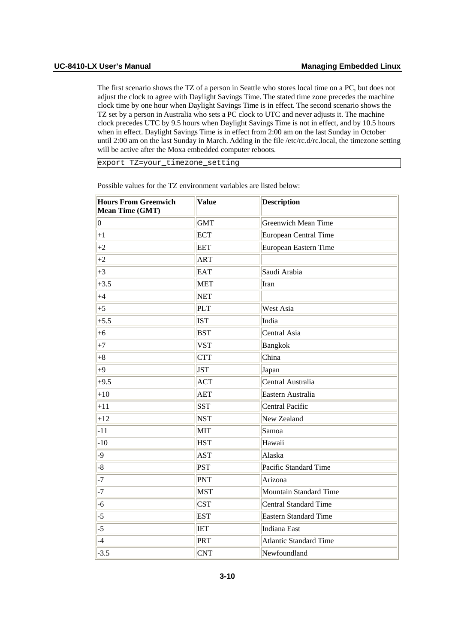The first scenario shows the TZ of a person in Seattle who stores local time on a PC, but does not adjust the clock to agree with Daylight Savings Time. The stated time zone precedes the machine clock time by one hour when Daylight Savings Time is in effect. The second scenario shows the TZ set by a person in Australia who sets a PC clock to UTC and never adjusts it. The machine clock precedes UTC by 9.5 hours when Daylight Savings Time is not in effect, and by 10.5 hours when in effect. Daylight Savings Time is in effect from 2:00 am on the last Sunday in October until 2:00 am on the last Sunday in March. Adding in the file /etc/rc.d/rc.local, the timezone setting will be active after the Moxa embedded computer reboots.

export TZ=your\_timezone\_setting

| <b>Hours From Greenwich</b><br>Mean Time (GMT) | <b>Value</b> | <b>Description</b>            |
|------------------------------------------------|--------------|-------------------------------|
| $ 0\rangle$                                    | <b>GMT</b>   | <b>Greenwich Mean Time</b>    |
| $+1$                                           | <b>ECT</b>   | <b>European Central Time</b>  |
| $+2$                                           | <b>EET</b>   | European Eastern Time         |
| $+2$                                           | <b>ART</b>   |                               |
| $+3$                                           | <b>EAT</b>   | Saudi Arabia                  |
| $+3.5$                                         | <b>MET</b>   | Iran                          |
| $+4$                                           | <b>NET</b>   |                               |
| $+5$                                           | PLT          | West Asia                     |
| $+5.5$                                         | <b>IST</b>   | India                         |
| $ +6$                                          | <b>BST</b>   | Central Asia                  |
| $+7$                                           | <b>VST</b>   | Bangkok                       |
| $+8$                                           | <b>CTT</b>   | China                         |
| $+9$                                           | <b>JST</b>   | Japan                         |
| $+9.5$                                         | <b>ACT</b>   | Central Australia             |
| $+10$                                          | <b>AET</b>   | Eastern Australia             |
| $+11$                                          | <b>SST</b>   | Central Pacific               |
| $+12$                                          | <b>NST</b>   | New Zealand                   |
| $-11$                                          | MIT          | Samoa                         |
| $-10$                                          | <b>HST</b>   | Hawaii                        |
| $-9$                                           | AST          | Alaska                        |
| $-8$                                           | <b>PST</b>   | Pacific Standard Time         |
| $-7$                                           | PNT          | Arizona                       |
| $-7$                                           | <b>MST</b>   | <b>Mountain Standard Time</b> |
| $-6$                                           | <b>CST</b>   | <b>Central Standard Time</b>  |
| $-5$                                           | <b>EST</b>   | <b>Eastern Standard Time</b>  |
| $-5$                                           | <b>IET</b>   | <b>Indiana East</b>           |
| $ -4$                                          | PRT          | <b>Atlantic Standard Time</b> |
| $-3.5$                                         | <b>CNT</b>   | Newfoundland                  |

Possible values for the TZ environment variables are listed below: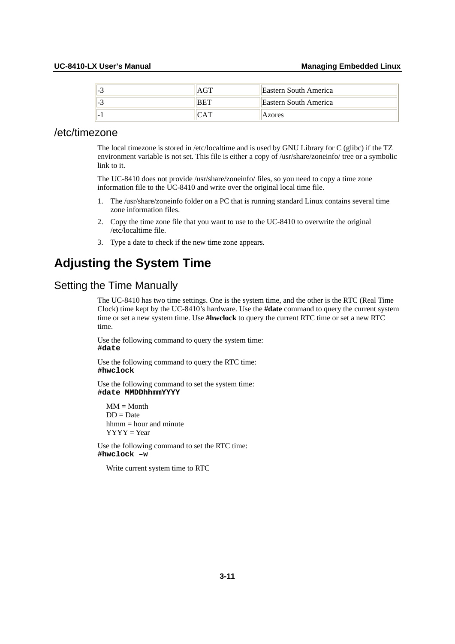<span id="page-28-0"></span>

| 1-C                      | Eastern South America        |
|--------------------------|------------------------------|
| 14. J                    | <b>Eastern South America</b> |
| $\overline{\phantom{0}}$ | Azores                       |

## <span id="page-28-1"></span>/etc/timezone

The local timezone is stored in /etc/localtime and is used by GNU Library for C (glibc) if the TZ environment variable is not set. This file is either a copy of /usr/share/zoneinfo/ tree or a symbolic link to it.

The UC-8410 does not provide /usr/share/zoneinfo/ files, so you need to copy a time zone information file to the UC-8410 and write over the original local time file.

- 1. The /usr/share/zoneinfo folder on a PC that is running standard Linux contains several time zone information files.
- 2. Copy the time zone file that you want to use to the UC-8410 to overwrite the original /etc/localtime file.
- 3. Type a date to check if the new time zone appears.

## <span id="page-28-2"></span>**Adjusting the System Time**

## <span id="page-28-3"></span>Setting the Time Manually

The UC-8410 has two time settings. One is the system time, and the other is the RTC (Real Time Clock) time kept by the UC-8410's hardware. Use the **#date** command to query the current system time or set a new system time. Use **#hwclock** to query the current RTC time or set a new RTC time.

Use the following command to query the system time: **#date** 

Use the following command to query the RTC time: **#hwclock**

Use the following command to set the system time: **#date MMDDhhmmYYYY**

 $MM = Month$  $DD = Date$  $h_{m} = h_{\text{our and minute}}$  $YYYY = Year$ 

Use the following command to set the RTC time: **#hwclock –w**

Write current system time to RTC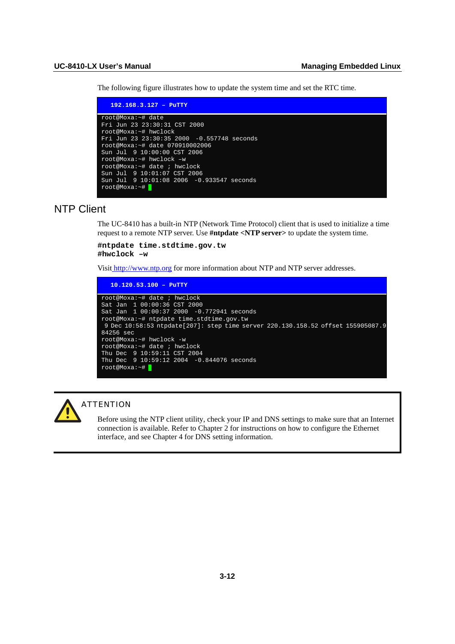<span id="page-29-0"></span>The following figure illustrates how to update the system time and set the RTC time.

| $192.168.3.127 -$ PuTTY                           |
|---------------------------------------------------|
| root@Moxa:~# date<br>Fri Jun 23 23:30:31 CST 2000 |
| root@Moxa:~# hwclock                              |
| Fri Jun 23 23:30:35 2000 -0.557748 seconds        |
| root@Moxa: ~# date 070910002006                   |
| Sun Jul 9 10:00:00 CST 2006                       |
| root@Moxa:~# hwclock -w                           |
| root@Moxa:~# date ; hwclock                       |
| Sun Jul 9 10:01:07 CST 2006                       |
| Sun Jul 9 10:01:08 2006 -0.933547 seconds         |
| $root@Moxa:~+$                                    |

## <span id="page-29-1"></span>NTP Client

The UC-8410 has a built-in NTP (Network Time Protocol) client that is used to initialize a time request to a remote NTP server. Use **#ntpdate <NTP server>** to update the system time.

#### **#ntpdate time.stdtime.gov.tw #hwclock –w**

Visi[t http://www.ntp.org](http://www.ntp.org/) for more information about NTP and NTP server addresses.

```
 10.120.53.100 – PuTTY 
root@Moxa:~# date ; hwclock 
Sat Jan 1 00:00:36 CST 2000 
Sat Jan 1 00:00:37 2000 -0.772941 seconds 
root@Moxa:~# ntpdate time.stdtime.gov.tw 
 9 Dec 10:58:53 ntpdate[207]: step time server 220.130.158.52 offset 155905087.9
84256 sec 
root@Moxa:~# hwclock -w 
root@Moxa:~# date ; hwclock 
Thu Dec 9 10:59:11 CST 2004 
Thu Dec 9 10:59:12 2004 -0.844076 seconds 
root@Moxa:~#
```


#### **ATTENTION**

Before using the NTP client utility, check your IP and DNS settings to make sure that an Internet connection is available. Refer to Chapter 2 for instructions on how to configure the Ethernet interface, and see Chapter 4 for DNS setting information.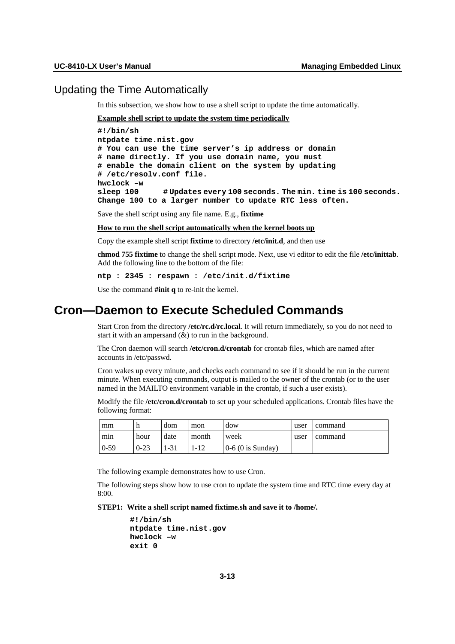### <span id="page-30-1"></span><span id="page-30-0"></span>Updating the Time Automatically

In this subsection, we show how to use a shell script to update the time automatically.

#### **Example shell script to update the system time periodically**

**#!/bin/sh ntpdate time.nist.gov # You can use the time server's ip address or domain # name directly. If you use domain name, you must # enable the domain client on the system by updating # /etc/resolv.conf file. hwclock –w sleep 100 # Updates every 100 seconds. The min. time is 100 seconds. Change 100 to a larger number to update RTC less often.** 

Save the shell script using any file name. E.g., **fixtime**

**How to run the shell script automatically when the kernel boots up**

Copy the example shell script **fixtime** to directory **/etc/init.d**, and then use

**chmod 755 fixtime** to change the shell script mode. Next, use vi editor to edit the file **/etc/inittab**. Add the following line to the bottom of the file:

**ntp : 2345 : respawn : /etc/init.d/fixtime** 

Use the command **#init q** to re-init the kernel.

## <span id="page-30-2"></span>**Cron—Daemon to Execute Scheduled Commands**

Start Cron from the directory **/etc/rc.d/rc.local**. It will return immediately, so you do not need to start it with an ampersand  $(\&)$  to run in the background.

The Cron daemon will search **/etc/cron.d/crontab** for crontab files, which are named after accounts in /etc/passwd.

Cron wakes up every minute, and checks each command to see if it should be run in the current minute. When executing commands, output is mailed to the owner of the crontab (or to the user named in the MAILTO environment variable in the crontab, if such a user exists).

Modify the file **/etc/cron.d/crontab** to set up your scheduled applications. Crontab files have the following format:

| mm     | n        | dom   | mon   | dow                 | user | command |
|--------|----------|-------|-------|---------------------|------|---------|
| min    | hour     | date  | month | week                | user | command |
| $0-59$ | $0 - 23$ | $-31$ | $-12$ | $0-6$ (0 is Sunday) |      |         |

The following example demonstrates how to use Cron.

The following steps show how to use cron to update the system time and RTC time every day at 8:00.

**STEP1: Write a shell script named fixtime.sh and save it to /home/.** 

**#!/bin/sh ntpdate time.nist.gov hwclock –w exit 0**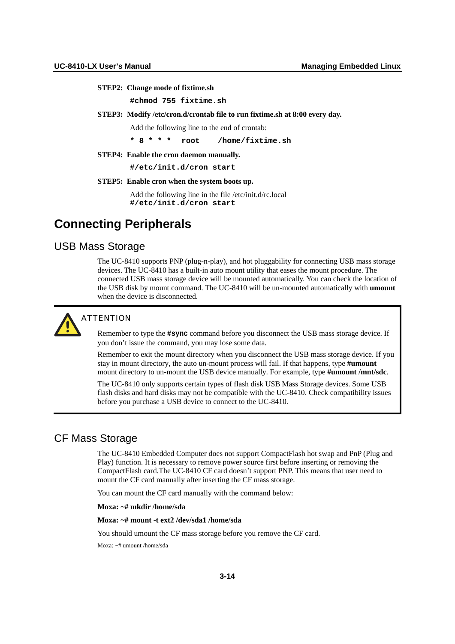#### <span id="page-31-0"></span>**STEP2: Change mode of fixtime.sh**

**#chmod 755 fixtime.sh** 

#### **STEP3: Modify /etc/cron.d/crontab file to run fixtime.sh at 8:00 every day.**

Add the following line to the end of crontab:

**\* 8 \* \* \* root /home/fixtime.sh** 

#### **STEP4: Enable the cron daemon manually.**

**#/etc/init.d/cron start** 

#### **STEP5: Enable cron when the system boots up.**

Add the following line in the file /etc/init.d/rc.local **#/etc/init.d/cron start**

## <span id="page-31-1"></span>**Connecting Peripherals**

## <span id="page-31-2"></span>USB Mass Storage

The UC-8410 supports PNP (plug-n-play), and hot pluggability for connecting USB mass storage devices. The UC-8410 has a built-in auto mount utility that eases the mount procedure. The connected USB mass storage device will be mounted automatically. You can check the location of the USB disk by mount command. The UC-8410 will be un-mounted automatically with **umount** when the device is disconnected.



## **ATTENTION**

Remember to type the **#sync** command before you disconnect the USB mass storage device. If you don't issue the command, you may lose some data.

Remember to exit the mount directory when you disconnect the USB mass storage device. If you stay in mount directory, the auto un-mount process will fail. If that happens, type **#umount** mount directory to un-mount the USB device manually. For example, type **#umount /mnt/sdc**.

The UC-8410 only supports certain types of flash disk USB Mass Storage devices. Some USB flash disks and hard disks may not be compatible with the UC-8410. Check compatibility issues before you purchase a USB device to connect to the UC-8410.

## <span id="page-31-3"></span>CF Mass Storage

The UC-8410 Embedded Computer does not support CompactFlash hot swap and PnP (Plug and Play) function. It is necessary to remove power source first before inserting or removing the CompactFlash card.The UC-8410 CF card doesn't support PNP. This means that user need to mount the CF card manually after inserting the CF mass storage.

You can mount the CF card manually with the command below:

#### **Moxa: ~# mkdir /home/sda**

#### **Moxa: ~# mount -t ext2 /dev/sda1 /home/sda**

You should umount the CF mass storage before you remove the CF card.

Moxa: ~# umount /home/sda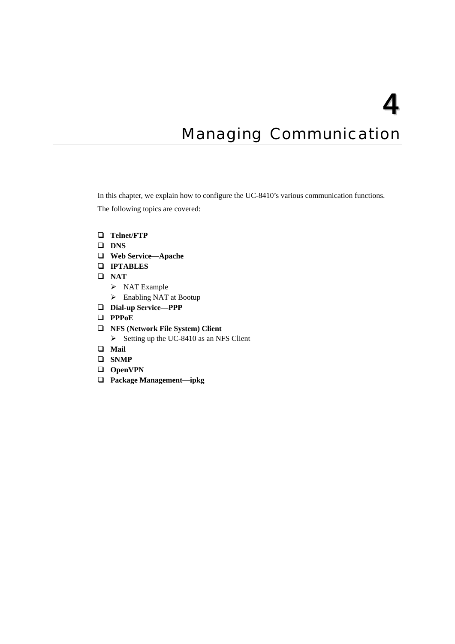## **Managing Communication**

<span id="page-32-1"></span><span id="page-32-0"></span>In this chapter, we explain how to configure the UC-8410's various communication functions.

The following topics are covered:

- **[Telnet/FTP](#page-33-1)**
- **[DNS](#page-33-2)**
- **[Web Service—Apache](#page-34-1)**
- **[IPTABLES](#page-36-1)**
- **[NAT](#page-41-1)** 
	- > [NAT Example](#page-41-2)
	- $\triangleright$  [Enabling NAT at Bootup](#page-42-1)
- **[Dial-up Service—PPP](#page-42-2)**
- **[PPPoE](#page-46-1)**
- **[NFS \(Network File System\) Client](#page-48-1)** 
	- $\triangleright$  [Setting up the UC-8410 as an NFS Client](#page-48-2)
- **[Mail](#page-48-3)**
- **[SNMP](#page-49-1)**
- **[OpenVPN](#page-49-2)**
- **[Package Management—ipkg](#page-57-1)**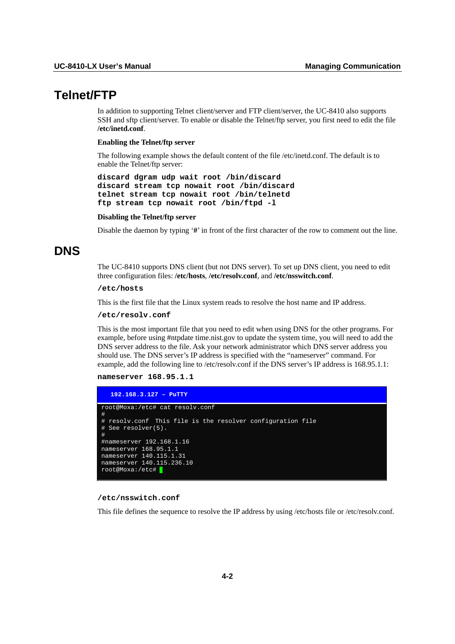## <span id="page-33-1"></span><span id="page-33-0"></span>**Telnet/FTP**

In addition to supporting Telnet client/server and FTP client/server, the UC-8410 also supports SSH and sftp client/server. To enable or disable the Telnet/ftp server, you first need to edit the file **/etc/inetd.conf**.

#### **Enabling the Telnet/ftp server**

The following example shows the default content of the file /etc/inetd.conf. The default is to enable the Telnet/ftp server:

**discard dgram udp wait root /bin/discard discard stream tcp nowait root /bin/discard telnet stream tcp nowait root /bin/telnetd ftp stream tcp nowait root /bin/ftpd -l** 

#### **Disabling the Telnet/ftp server**

Disable the daemon by typing '**#**' in front of the first character of the row to comment out the line.

## <span id="page-33-2"></span>**DNS**

The UC-8410 supports DNS client (but not DNS server). To set up DNS client, you need to edit three configuration files: **/etc/hosts**, **/etc/resolv.conf**, and **/etc/nsswitch.conf**.

#### **/etc/hosts**

This is the first file that the Linux system reads to resolve the host name and IP address.

#### **/etc/resolv.conf**

This is the most important file that you need to edit when using DNS for the other programs. For example, before using #ntpdate time.nist.gov to update the system time, you will need to add the DNS server address to the file. Ask your network administrator which DNS server address you should use. The DNS server's IP address is specified with the "nameserver" command. For example, add the following line to /etc/resolv.conf if the DNS server's IP address is 168.95.1.1:

#### **nameserver 168.95.1.1**

| $192.168.3.127 -$ PuTTY                                                                 |
|-----------------------------------------------------------------------------------------|
| root@Moxa:/etc# cat resolv.conf<br>#                                                    |
| # resolv.conf This file is the resolver configuration file<br>$#$ See resolver(5).<br># |
| #nameserver 192.168.1.16                                                                |
| nameserver 168.95.1.1                                                                   |
| nameserver 140.115.1.31                                                                 |
| nameserver 140.115.236.10                                                               |
| root@Moxa:/etc#                                                                         |

#### **/etc/nsswitch.conf**

This file defines the sequence to resolve the IP address by using /etc/hosts file or /etc/resolv.conf.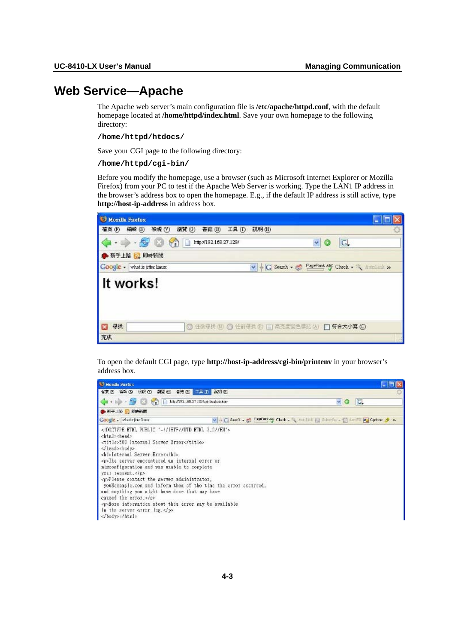## <span id="page-34-1"></span><span id="page-34-0"></span>**Web Service—Apache**

The Apache web server's main configuration file is **/etc/apache/httpd.conf**, with the default homepage located at **/home/httpd/index.html**. Save your own homepage to the following directory:

#### **/home/httpd/htdocs/**

Save your CGI page to the following directory:

#### **/home/httpd/cgi-bin/**

Before you modify the homepage, use a browser (such as Microsoft Internet Explorer or Mozilla Firefox) from your PC to test if the Apache Web Server is working. Type the LAN1 IP address in the browser's address box to open the homepage. E.g., if the default IP address is still active, type **http://host-ip-address** in address box.



To open the default CGI page, type **http://host-ip-address/cgi-bin/printenv** in your browser's address box.

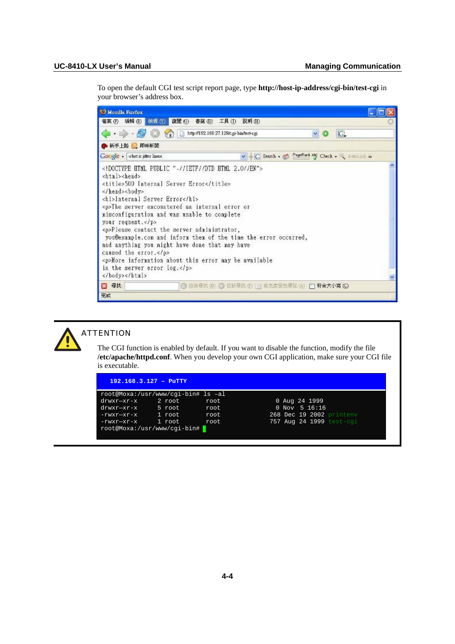To open the default CGI test script report page, type **http://host-ip-address/cgi-bin/test-cgi** in your browser's address box.





## **ATTENTION**

The CGI function is enabled by default. If you want to disable the function, modify the file **/etc/apache/httpd.conf**. When you develop your own CGI application, make sure your CGI file is executable.

|                                    | $192.168.3.127 - P^T T Y$ |       |                          |  |  |  |  |
|------------------------------------|---------------------------|-------|--------------------------|--|--|--|--|
| root@Moxa:/usr/www/cgi-bin# ls -al |                           |       |                          |  |  |  |  |
| drwxr-xr-x                         | 2 root                    | root  | 0 Aug 24 1999            |  |  |  |  |
| $drwxr-xr-x$                       | 5 root                    | root  | $0$ Nov 5 16:16          |  |  |  |  |
| -rwxr-xr-x                         | 1 root                    | root  | 268 Dec 19 2002 printeny |  |  |  |  |
| -rwxr-xr-x                         | 1 root                    | root. | 757 Aug 24 1999 test-cgi |  |  |  |  |
| root@Moxa:/usr/www/cqi-bin#        |                           |       |                          |  |  |  |  |
|                                    |                           |       |                          |  |  |  |  |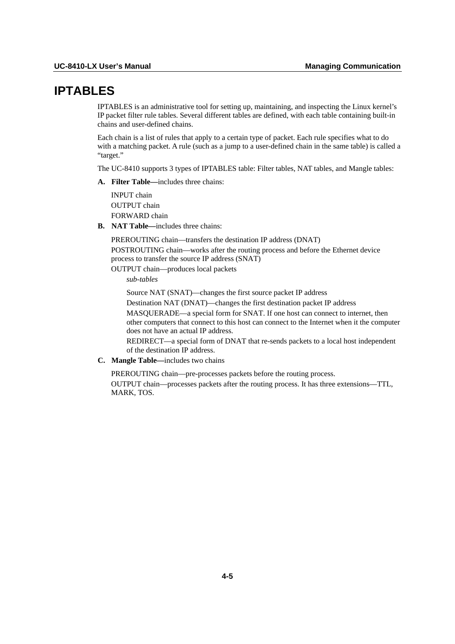# **IPTABLES**

IPTABLES is an administrative tool for setting up, maintaining, and inspecting the Linux kernel's IP packet filter rule tables. Several different tables are defined, with each table containing built-in chains and user-defined chains.

Each chain is a list of rules that apply to a certain type of packet. Each rule specifies what to do with a matching packet. A rule (such as a jump to a user-defined chain in the same table) is called a "target."

The UC-8410 supports 3 types of IPTABLES table: Filter tables, NAT tables, and Mangle tables:

**A. Filter Table—**includes three chains:

INPUT chain OUTPUT chain FORWARD chain

**B. NAT Table—**includes three chains:

PREROUTING chain—transfers the destination IP address (DNAT) POSTROUTING chain—works after the routing process and before the Ethernet device process to transfer the source IP address (SNAT)

OUTPUT chain—produces local packets

*sub-tables* 

Source NAT (SNAT)—changes the first source packet IP address

Destination NAT (DNAT)—changes the first destination packet IP address

MASQUERADE—a special form for SNAT. If one host can connect to internet, then other computers that connect to this host can connect to the Internet when it the computer does not have an actual IP address.

REDIRECT—a special form of DNAT that re-sends packets to a local host independent of the destination IP address.

**C. Mangle Table—**includes two chains

PREROUTING chain—pre-processes packets before the routing process.

OUTPUT chain—processes packets after the routing process. It has three extensions—TTL, MARK, TOS.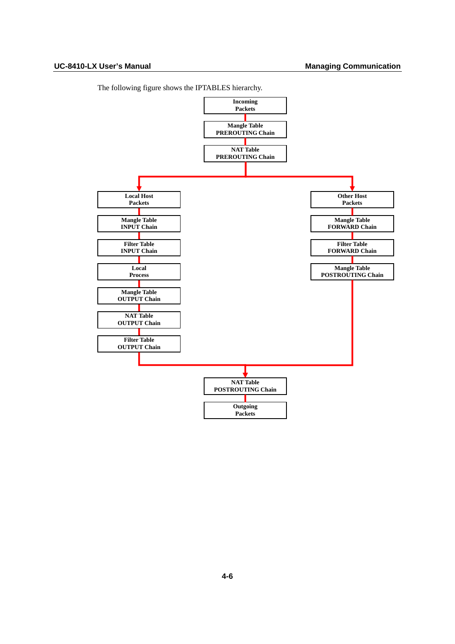

The following figure shows the IPTABLES hierarchy.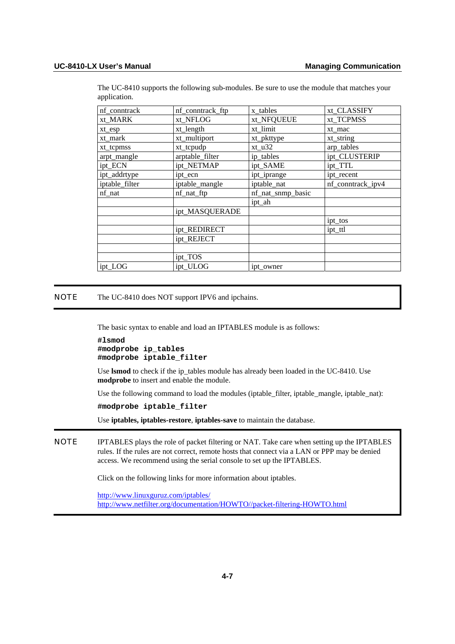| nf_conntrack   | nf_conntrack_ftp | x_tables          | xt_CLASSIFY       |
|----------------|------------------|-------------------|-------------------|
| xt_MARK        | xt_NFLOG         | xt_NFQUEUE        | xt_TCPMSS         |
| xt_esp         | xt_length        | xt_limit          | xt mac            |
| xt_mark        | xt_multiport     | xt_pkttype        | xt_string         |
| xt_tcpmss      | xt_tcpudp        | $xt_u32$          | arp_tables        |
| arpt_mangle    | arptable_filter  | ip_tables         | ipt_CLUSTERIP     |
| ipt_ECN        | ipt_NETMAP       | ipt_SAME          | ipt_TTL           |
| ipt_addrtype   | ipt ecn          | ipt_iprange       | ipt recent        |
| iptable_filter | iptable_mangle   | iptable_nat       | nf_conntrack_ipv4 |
| nf_nat         | nf_nat_ftp       | nf_nat_snmp_basic |                   |
|                |                  | ipt_ah            |                   |
|                | ipt_MASQUERADE   |                   |                   |
|                |                  |                   | ipt_tos           |
|                | ipt_REDIRECT     |                   | ipt_ttl           |
|                | ipt REJECT       |                   |                   |
|                |                  |                   |                   |
|                | ipt_TOS          |                   |                   |
| ipt_LOG        | ipt_ULOG         | ipt owner         |                   |

The UC-8410 supports the following sub-modules. Be sure to use the module that matches your application.

NOTE The UC-8410 does NOT support IPV6 and ipchains.

The basic syntax to enable and load an IPTABLES module is as follows:

```
#lsmod 
#modprobe ip_tables 
#modprobe iptable_filter
```
Use **lsmod** to check if the ip\_tables module has already been loaded in the UC-8410. Use **modprobe** to insert and enable the module.

Use the following command to load the modules (iptable\_filter, iptable\_mangle, iptable\_nat):

**#modprobe iptable\_filter** 

Use **iptables, iptables-restore**, **iptables-save** to maintain the database.

NOTE IPTABLES plays the role of packet filtering or NAT. Take care when setting up the IPTABLES rules. If the rules are not correct, remote hosts that connect via a LAN or PPP may be denied access. We recommend using the serial console to set up the IPTABLES.

Click on the following links for more information about iptables.

<http://www.linuxguruz.com/iptables/> [http://www.netfilter.org/documentation/HOWTO//packet-filtering-HOWTO.html](http://www.netfilter.org/documentation/HOWTO/packet-filtering-HOWTO.html)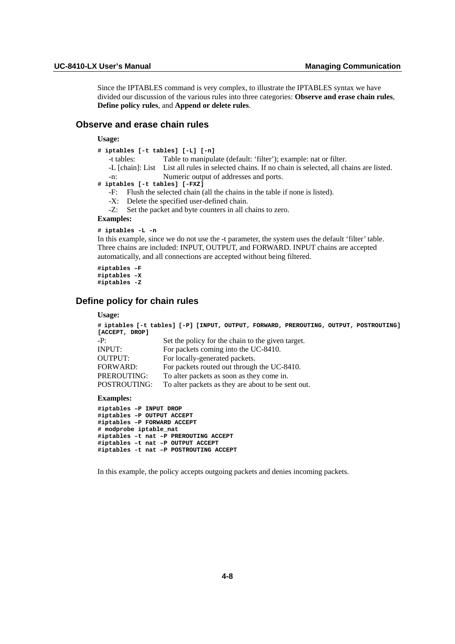Since the IPTABLES command is very complex, to illustrate the IPTABLES syntax we have divided our discussion of the various rules into three categories: **Observe and erase chain rules**, **Define policy rules**, and **Append or delete rules**.

# **Observe and erase chain rules**

**Usage:** 

|                                                                               | # iptables [-t tables] [-L] [-n]                            |            |                                                                                                     |  |  |
|-------------------------------------------------------------------------------|-------------------------------------------------------------|------------|-----------------------------------------------------------------------------------------------------|--|--|
|                                                                               |                                                             | -t tables: | Table to manipulate (default: 'filter'); example: nat or filter.                                    |  |  |
|                                                                               |                                                             |            | -L [chain]: List List all rules in selected chains. If no chain is selected, all chains are listed. |  |  |
|                                                                               | $-n:$                                                       |            | Numeric output of addresses and ports.                                                              |  |  |
|                                                                               |                                                             |            | # iptables [-t tables] [-FXZ]                                                                       |  |  |
| -F: Flush the selected chain (all the chains in the table if none is listed). |                                                             |            |                                                                                                     |  |  |
|                                                                               | -X: Delete the specified user-defined chain.                |            |                                                                                                     |  |  |
|                                                                               | -Z: Set the packet and byte counters in all chains to zero. |            |                                                                                                     |  |  |
| <b>Examples:</b>                                                              |                                                             |            |                                                                                                     |  |  |
|                                                                               | # iptables -L -n                                            |            |                                                                                                     |  |  |

In this example, since we do not use the -t parameter, the system uses the default 'filter' table. Three chains are included: INPUT, OUTPUT, and FORWARD. INPUT chains are accepted automatically, and all connections are accepted without being filtered.

**#iptables –F #iptables –X #iptables -Z** 

## **Define policy for chain rules**

#### **Usage:**

```
# iptables [-t tables] [-P] [INPUT, OUTPUT, FORWARD, PREROUTING, OUTPUT, POSTROUTING] 
[ACCEPT, DROP] 
-P: Set the policy for the chain to the given target. 
INPUT: For packets coming into the UC-8410. 
OUTPUT: For locally-generated packets. 
FORWARD: For packets routed out through the UC-8410.
PREROUTING: To alter packets as soon as they come in.
POSTROUTING: To alter packets as they are about to be sent out.
```
#### **Examples:**

**#iptables –P INPUT DROP #iptables –P OUTPUT ACCEPT #iptables –P FORWARD ACCEPT # modprobe iptable\_nat #iptables –t nat –P PREROUTING ACCEPT #iptables –t nat –P OUTPUT ACCEPT #iptables -t nat –P POSTROUTING ACCEPT** 

In this example, the policy accepts outgoing packets and denies incoming packets.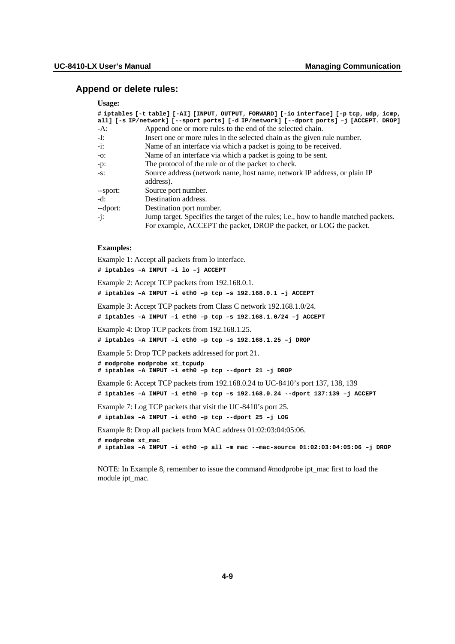# **Append or delete rules:**

#### **Usage:**

| # iptables [-t table] [-AI] [INPUT, OUTPUT, FORWARD] [-io interface] [-p tcp, udp, icmp, |                                                                                        |  |  |  |  |
|------------------------------------------------------------------------------------------|----------------------------------------------------------------------------------------|--|--|--|--|
|                                                                                          | all] [-s IP/network] [--sport ports] [-d IP/network] [--dport ports] -j [ACCEPT. DROP] |  |  |  |  |
| -A:                                                                                      | Append one or more rules to the end of the selected chain.                             |  |  |  |  |
| -I:                                                                                      | Insert one or more rules in the selected chain as the given rule number.               |  |  |  |  |
| -i:                                                                                      | Name of an interface via which a packet is going to be received.                       |  |  |  |  |
| -0:                                                                                      | Name of an interface via which a packet is going to be sent.                           |  |  |  |  |
| $-p$ :                                                                                   | The protocol of the rule or of the packet to check.                                    |  |  |  |  |
| $-S$ :                                                                                   | Source address (network name, host name, network IP address, or plain IP               |  |  |  |  |
|                                                                                          | address).                                                                              |  |  |  |  |
| --sport:                                                                                 | Source port number.                                                                    |  |  |  |  |
| -d:                                                                                      | Destination address.                                                                   |  |  |  |  |
| --dport:                                                                                 | Destination port number.                                                               |  |  |  |  |
| -j:                                                                                      | Jump target. Specifies the target of the rules; i.e., how to handle matched packets.   |  |  |  |  |
|                                                                                          | For example, ACCEPT the packet, DROP the packet, or LOG the packet.                    |  |  |  |  |

## **Examples:**

Example 1: Accept all packets from lo interface. **# iptables –A INPUT –i lo –j ACCEPT**  Example 2: Accept TCP packets from 192.168.0.1. **# iptables –A INPUT –i eth0 –p tcp –s 192.168.0.1 –j ACCEPT**  Example 3: Accept TCP packets from Class C network 192.168.1.0/24. **# iptables –A INPUT –i eth0 –p tcp –s 192.168.1.0/24 –j ACCEPT**  Example 4: Drop TCP packets from 192.168.1.25. **# iptables –A INPUT –i eth0 –p tcp –s 192.168.1.25 –j DROP**  Example 5: Drop TCP packets addressed for port 21. **# modprobe modprobe xt\_tcpudp # iptables –A INPUT –i eth0 –p tcp --dport 21 –j DROP**  Example 6: Accept TCP packets from 192.168.0.24 to UC-8410's port 137, 138, 139 **# iptables –A INPUT –i eth0 –p tcp –s 192.168.0.24 --dport 137:139 –j ACCEPT**  Example 7: Log TCP packets that visit the UC-8410's port 25. **# iptables –A INPUT –i eth0 –p tcp --dport 25 –j LOG**  Example 8: Drop all packets from MAC address 01:02:03:04:05:06. **# modprobe xt\_mac # iptables –A INPUT –i eth0 –p all –m mac -–mac-source 01:02:03:04:05:06 –j DROP** 

NOTE: In Example 8, remember to issue the command #modprobe ipt\_mac first to load the module ipt\_mac.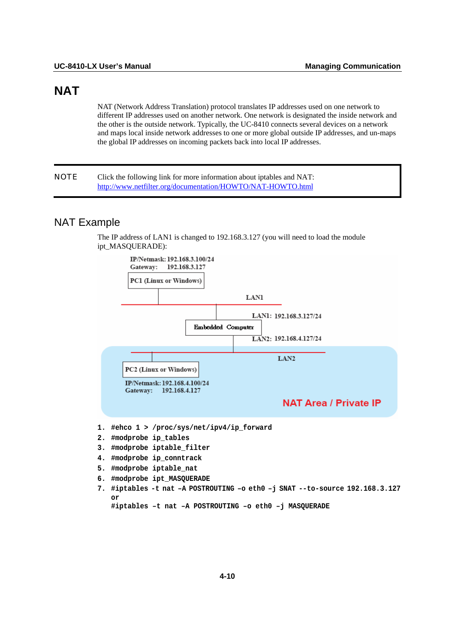# **NAT**

NAT (Network Address Translation) protocol translates IP addresses used on one network to different IP addresses used on another network. One network is designated the inside network and the other is the outside network. Typically, the UC-8410 connects several devices on a network and maps local inside network addresses to one or more global outside IP addresses, and un-maps the global IP addresses on incoming packets back into local IP addresses.

NOTE Click the following link for more information about iptables and NAT: <http://www.netfilter.org/documentation/HOWTO/NAT-HOWTO.html>

# NAT Example

The IP address of LAN1 is changed to 192.168.3.127 (you will need to load the module ipt\_MASQUERADE):



**7. #iptables -t nat –A POSTROUTING –o eth0 –j SNAT --to-source 192.168.3.127 or** 

**#iptables –t nat –A POSTROUTING –o eth0 –j MASQUERADE**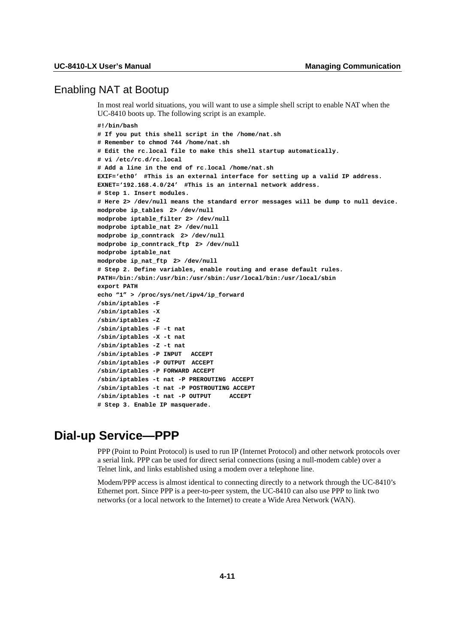# Enabling NAT at Bootup

In most real world situations, you will want to use a simple shell script to enable NAT when the UC-8410 boots up. The following script is an example.

```
#!/bin/bash 
# If you put this shell script in the /home/nat.sh 
# Remember to chmod 744 /home/nat.sh 
# Edit the rc.local file to make this shell startup automatically. 
# vi /etc/rc.d/rc.local 
# Add a line in the end of rc.local /home/nat.sh 
EXIF='eth0' #This is an external interface for setting up a valid IP address. 
EXNET='192.168.4.0/24' #This is an internal network address. 
# Step 1. Insert modules. 
# Here 2> /dev/null means the standard error messages will be dump to null device. 
modprobe ip_tables 2> /dev/null 
modprobe iptable_filter 2> /dev/null 
modprobe iptable_nat 2> /dev/null 
modprobe ip_conntrack 2> /dev/null 
modprobe ip_conntrack_ftp 2> /dev/null 
modprobe iptable_nat 
modprobe ip_nat_ftp 2> /dev/null 
# Step 2. Define variables, enable routing and erase default rules. 
PATH=/bin:/sbin:/usr/bin:/usr/sbin:/usr/local/bin:/usr/local/sbin 
export PATH 
echo "1" > /proc/sys/net/ipv4/ip_forward 
/sbin/iptables -F 
/sbin/iptables -X 
/sbin/iptables -Z 
/sbin/iptables -F -t nat 
/sbin/iptables -X -t nat 
/sbin/iptables -Z -t nat 
/sbin/iptables -P INPUT ACCEPT 
/sbin/iptables -P OUTPUT ACCEPT 
/sbin/iptables -P FORWARD ACCEPT 
/sbin/iptables -t nat -P PREROUTING ACCEPT 
/sbin/iptables -t nat -P POSTROUTING ACCEPT 
/sbin/iptables -t nat -P OUTPUT ACCEPT 
# Step 3. Enable IP masquerade.
```
# **Dial-up Service—PPP**

PPP (Point to Point Protocol) is used to run IP (Internet Protocol) and other network protocols over a serial link. PPP can be used for direct serial connections (using a null-modem cable) over a Telnet link, and links established using a modem over a telephone line.

Modem/PPP access is almost identical to connecting directly to a network through the UC-8410's Ethernet port. Since PPP is a peer-to-peer system, the UC-8410 can also use PPP to link two networks (or a local network to the Internet) to create a Wide Area Network (WAN).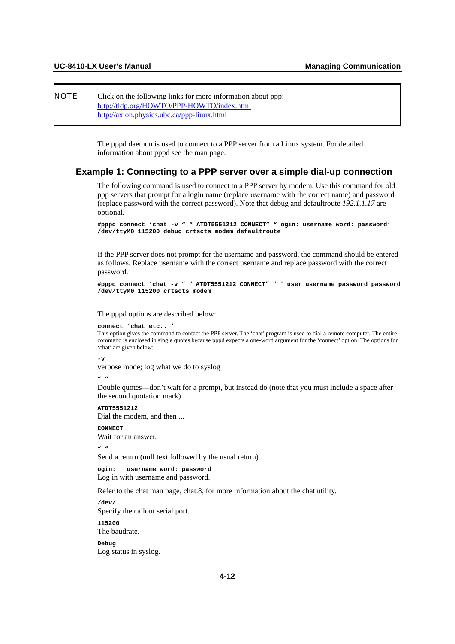## NOTE Click on the following links for more information about ppp: <http://tldp.org/HOWTO/PPP-HOWTO/index.html> <http://axion.physics.ubc.ca/ppp-linux.html>

The pppd daemon is used to connect to a PPP server from a Linux system. For detailed information about pppd see the man page.

# **Example 1: Connecting to a PPP server over a simple dial-up connection**

The following command is used to connect to a PPP server by modem. Use this command for old ppp servers that prompt for a login name (replace username with the correct name) and password (replace password with the correct password). Note that debug and defaultroute *192.1.1.17* are optional.

```
#pppd connect 'chat -v " " ATDT5551212 CONNECT" " ogin: username word: password' 
/dev/ttyM0 115200 debug crtscts modem defaultroute
```
If the PPP server does not prompt for the username and password, the command should be entered as follows. Replace username with the correct username and replace password with the correct password.

```
#pppd connect 'chat -v " " ATDT5551212 CONNECT" " ' user username password password 
/dev/ttyM0 115200 crtscts modem
```
The pppd options are described below:

```
connect 'chat etc...'
```
This option gives the command to contact the PPP server. The 'chat' program is used to dial a remote computer. The entire command is enclosed in single quotes because pppd expects a one-word argument for the 'connect' option. The options for 'chat' are given below:

**-v** 

verbose mode; log what we do to syslog

**" "** 

Double quotes—don't wait for a prompt, but instead do (note that you must include a space after the second quotation mark)

**ATDT5551212**  Dial the modem, and then ...

**CONNECT**  Wait for an answer.

**" "** 

Send a return (null text followed by the usual return)

**ogin: username word: password**  Log in with username and password.

Refer to the chat man page, chat.8, for more information about the chat utility.

**/dev/**  Specify the callout serial port. **115200** 

The baudrate.

**Debug**  Log status in syslog.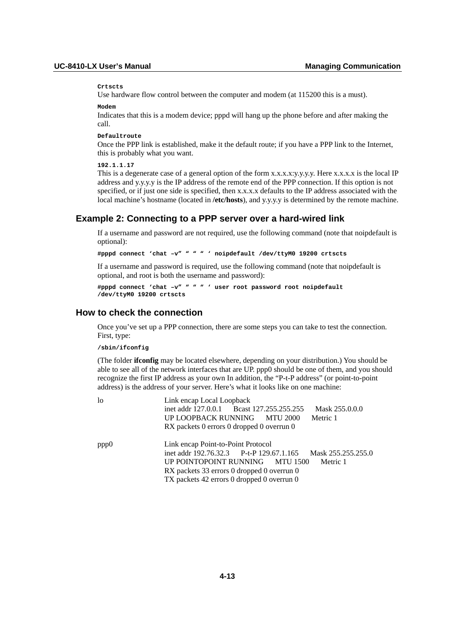#### **Crtscts**

Use hardware flow control between the computer and modem (at 115200 this is a must).

#### **Modem**

Indicates that this is a modem device; pppd will hang up the phone before and after making the call.

#### **Defaultroute**

Once the PPP link is established, make it the default route; if you have a PPP link to the Internet, this is probably what you want.

### **192.1.1.17**

This is a degenerate case of a general option of the form x.x.x.x:y.y.y.y. Here x.x.x.x is the local IP address and y.y.y.y is the IP address of the remote end of the PPP connection. If this option is not specified, or if just one side is specified, then x.x.x.x defaults to the IP address associated with the local machine's hostname (located in **/etc/hosts**), and y.y.y.y is determined by the remote machine.

## **Example 2: Connecting to a PPP server over a hard-wired link**

If a username and password are not required, use the following command (note that noipdefault is optional):

**#pppd connect 'chat –v" " " " ' noipdefault /dev/ttyM0 19200 crtscts** 

If a username and password is required, use the following command (note that noipdefault is optional, and root is both the username and password):

```
#pppd connect 'chat –v" " " " ' user root password root noipdefault 
/dev/ttyM0 19200 crtscts
```
## **How to check the connection**

Once you've set up a PPP connection, there are some steps you can take to test the connection. First, type:

**/sbin/ifconfig** 

(The folder **ifconfig** may be located elsewhere, depending on your distribution.) You should be able to see all of the network interfaces that are UP. ppp0 should be one of them, and you should recognize the first IP address as your own In addition, the "P-t-P address" (or point-to-point address) is the address of your server. Here's what it looks like on one machine:

| lo   | Link encap Local Loopback                                      |  |  |  |  |
|------|----------------------------------------------------------------|--|--|--|--|
|      | inet addr 127.0.0.1 Bcast 127.255.255.255<br>Mask 255.0.0.0    |  |  |  |  |
|      | UP LOOPBACK RUNNING MTU 2000<br>Metric 1                       |  |  |  |  |
|      | RX packets 0 errors 0 dropped 0 overrun 0                      |  |  |  |  |
| ppp0 | Link encap Point-to-Point Protocol                             |  |  |  |  |
|      | inet addr 192.76.32.3 P-t-P 129.67.1.165<br>Mask 255.255.255.0 |  |  |  |  |
|      | UP POINTOPOINT RUNNING MTU 1500<br>Metric 1                    |  |  |  |  |
|      | RX packets 33 errors 0 dropped 0 overrun 0                     |  |  |  |  |
|      | TX packets 42 errors 0 dropped 0 overrun 0                     |  |  |  |  |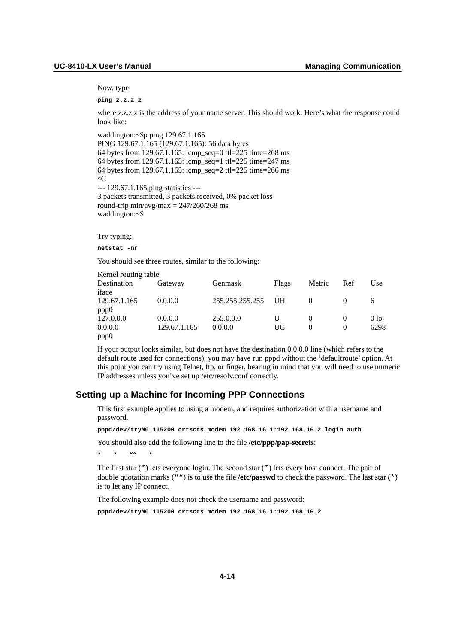Now, type:

**ping z.z.z.z** 

where z.z.z.z is the address of your name server. This should work. Here's what the response could look like:

```
waddington:~$p ping 129.67.1.165 
PING 129.67.1.165 (129.67.1.165): 56 data bytes 
64 bytes from 129.67.1.165: icmp_seq=0 ttl=225 time=268 ms 
64 bytes from 129.67.1.165: icmp_seq=1 ttl=225 time=247 ms 
64 bytes from 129.67.1.165: icmp_seq=2 ttl=225 time=266 ms 
^{\wedge}C--- 129.67.1.165 ping statistics --- 
3 packets transmitted, 3 packets received, 0% packet loss 
round-trip min/avg/max = 247/260/268 ms
waddington:~$
```
Try typing:

**netstat -nr** 

You should see three routes, similar to the following:

| Kernel routing table |              |                 |       |          |          |                 |
|----------------------|--------------|-----------------|-------|----------|----------|-----------------|
| Destination          | Gateway      | Genmask         | Flags | Metric   | Ref      | Use             |
| iface                |              |                 |       |          |          |                 |
| 129.67.1.165         | 0.0.0.0      | 255.255.255.255 | - UH  |          |          |                 |
| ppp0                 |              |                 |       |          |          |                 |
| 127.0.0.0            | 0.0.0.0      | 255.0.0.0       | U     |          |          | 0 <sub>10</sub> |
| 0.0.0.0              | 129.67.1.165 | 0.0.0.0         | UG    | $\theta$ | $\theta$ | 6298            |
| ppp0                 |              |                 |       |          |          |                 |

If your output looks similar, but does not have the destination 0.0.0.0 line (which refers to the default route used for connections), you may have run pppd without the 'defaultroute' option. At this point you can try using Telnet, ftp, or finger, bearing in mind that you will need to use numeric IP addresses unless you've set up /etc/resolv.conf correctly.

# **Setting up a Machine for Incoming PPP Connections**

This first example applies to using a modem, and requires authorization with a username and password.

**pppd/dev/ttyM0 115200 crtscts modem 192.168.16.1:192.168.16.2 login auth** 

You should also add the following line to the file **/etc/ppp/pap-secrets**:

**\* \* "" \*** 

The first star  $(*)$  lets everyone login. The second star  $(*)$  lets every host connect. The pair of double quotation marks ("") is to use the file **/etc/passwd** to check the password. The last star (\*) is to let any IP connect.

The following example does not check the username and password:

```
pppd/dev/ttyM0 115200 crtscts modem 192.168.16.1:192.168.16.2
```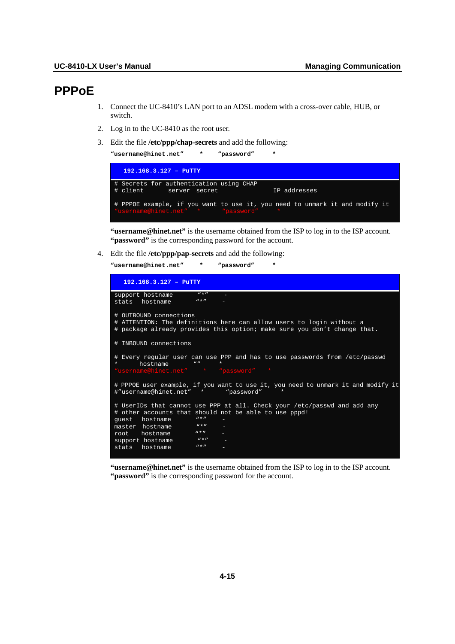# **PPPoE**

- 1. Connect the UC-8410's LAN port to an ADSL modem with a cross-over cable, HUB, or switch.
- 2. Log in to the UC-8410 as the root user.
- 3. Edit the file **/etc/ppp/chap-secrets** and add the following:

| "username@hinet.net" *<br>"password"                                                                             | * |              |
|------------------------------------------------------------------------------------------------------------------|---|--------------|
| $192.168.3.127 - P^{\text{uTTY}}$                                                                                |   |              |
| # Secrets for authentication using CHAP<br>client server secret<br>.#                                            |   | IP addresses |
| # PPPOE example, if you want to use it, you need to unmark it and modify it<br>"username@hinet.net" * "password" |   |              |

**"username@hinet.net"** is the username obtained from the ISP to log in to the ISP account. **"password"** is the corresponding password for the account.

4. Edit the file **/etc/ppp/pap-secrets** and add the following:

**"username@hinet.net" \* "password" \*** 

| $192.168.3.127 -$ PuTTY                                                                                                                                                                                                                                                                                        |
|----------------------------------------------------------------------------------------------------------------------------------------------------------------------------------------------------------------------------------------------------------------------------------------------------------------|
| $W \star H$<br>support hostname                                                                                                                                                                                                                                                                                |
| $W \star H$<br>hostname<br>stats                                                                                                                                                                                                                                                                               |
| # OUTBOUND connections<br># ATTENTION: The definitions here can allow users to login without a<br># package already provides this option; make sure you don't change that.                                                                                                                                     |
| # INBOUND connections                                                                                                                                                                                                                                                                                          |
| # Every regular user can use PPP and has to use passwords from /etc/passwd<br>hostname<br>$\overline{u}$<br>"username@hinet.net" * "password"                                                                                                                                                                  |
| # PPPOE user example, if you want to use it, you need to unmark it and modify it<br>#"username@hinet.net" * "password"                                                                                                                                                                                         |
| # UserIDs that cannot use PPP at all. Check your /etc/passwd and add any<br># other accounts that should not be able to use pppd!<br>$W \star H$<br>quest hostname<br>$W \star H$<br>master hostname<br>$W \star H$<br>hostname<br>root<br>$M \star H$<br>support hostname<br>$W \star H$<br>hostname<br>stats |

**"username@hinet.net"** is the username obtained from the ISP to log in to the ISP account. "**password**" is the corresponding password for the account.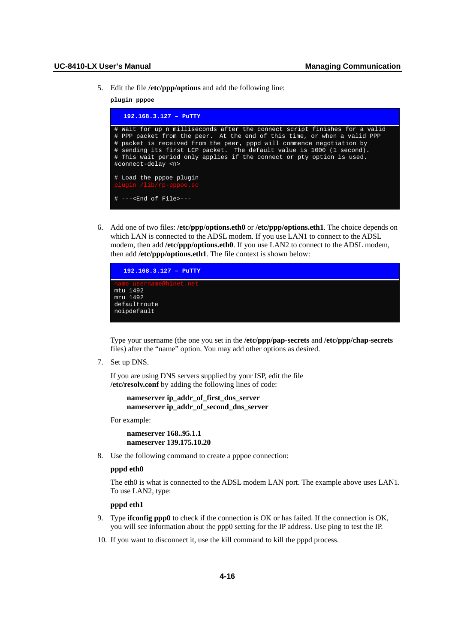5. Edit the file **/etc/ppp/options** and add the following line:

**plugin pppoe** 

| $192.168.3.127 -$ PuTTY                                                                                                                                                                                                                                                                                                                                                                                     |
|-------------------------------------------------------------------------------------------------------------------------------------------------------------------------------------------------------------------------------------------------------------------------------------------------------------------------------------------------------------------------------------------------------------|
| # Wait for up n milliseconds after the connect script finishes for a valid<br># PPP packet from the peer. At the end of this time, or when a valid PPP<br># packet is received from the peer, pppd will commence negotiation by<br># sending its first LCP packet. The default value is 1000 (1 second).<br># This wait period only applies if the connect or pty option is used.<br>#connect-delay <n></n> |
| # Load the pppoe plugin<br>plugin /lib/rp-pppoe.so                                                                                                                                                                                                                                                                                                                                                          |
| $#$ --- <end file="" of="">---</end>                                                                                                                                                                                                                                                                                                                                                                        |

6. Add one of two files: **/etc/ppp/options.eth0** or **/etc/ppp/options.eth1**. The choice depends on which LAN is connected to the ADSL modem. If you use LAN1 to connect to the ADSL modem, then add **/etc/ppp/options.eth0**. If you use LAN2 to connect to the ADSL modem, then add **/etc/ppp/options.eth1**. The file context is shown below:



Type your username (the one you set in the **/etc/ppp/pap-secrets** and **/etc/ppp/chap-secrets** files) after the "name" option. You may add other options as desired.

7. Set up DNS.

If you are using DNS servers supplied by your ISP, edit the file **/etc/resolv.conf** by adding the following lines of code:

```
 nameserver ip_addr_of_first_dns_server 
 nameserver ip_addr_of_second_dns_server
```
For example:

 **nameserver 168..95.1.1 nameserver 139.175.10.20** 

8. Use the following command to create a pppoe connection:

## **pppd eth0**

The eth0 is what is connected to the ADSL modem LAN port. The example above uses LAN1. To use LAN2, type:

## **pppd eth1**

- 9. Type **ifconfig ppp0** to check if the connection is OK or has failed. If the connection is OK, you will see information about the ppp0 setting for the IP address. Use ping to test the IP.
- 10. If you want to disconnect it, use the kill command to kill the pppd process.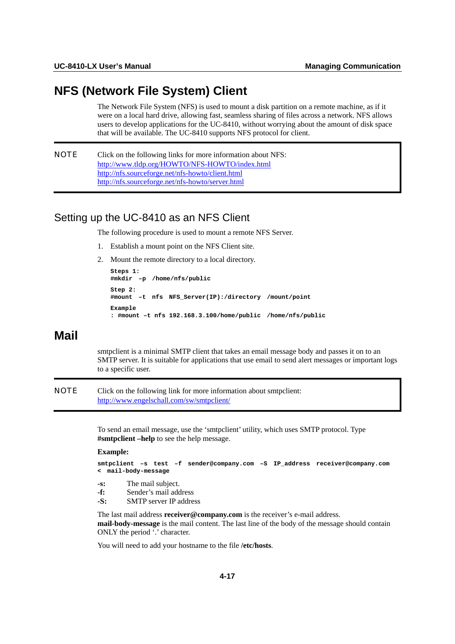# **NFS (Network File System) Client**

The Network File System (NFS) is used to mount a disk partition on a remote machine, as if it were on a local hard drive, allowing fast, seamless sharing of files across a network. NFS allows users to develop applications for the UC-8410, without worrying about the amount of disk space that will be available. The UC-8410 supports NFS protocol for client.

```
NOTE Click on the following links for more information about NFS: 
            http://www.tldp.org/HOWTO/NFS-HOWTO/index.html
            http://nfs.sourceforge.net/nfs-howto/client.html
            http://nfs.sourceforge.net/nfs-howto/server.html
```
# Setting up the UC-8410 as an NFS Client

The following procedure is used to mount a remote NFS Server.

- 1. Establish a mount point on the NFS Client site.
- 2. Mount the remote directory to a local directory.

```
Steps 1: 
#mkdir –p /home/nfs/public 
Step 2: 
#mount –t nfs NFS_Server(IP):/directory /mount/point 
Example 
: #mount –t nfs 192.168.3.100/home/public /home/nfs/public
```
# **Mail**

smtpclient is a minimal SMTP client that takes an email message body and passes it on to an SMTP server. It is suitable for applications that use email to send alert messages or important logs to a specific user.

NOTE Click on the following link for more information about smtpclient: <http://www.engelschall.com/sw/smtpclient/>

> To send an email message, use the 'smtpclient' utility, which uses SMTP protocol. Type **#smtpclient –help** to see the help message.

#### **Example:**

```
smtpclient –s test –f sender@company.com –S IP_address receiver@company.com 
< mail-body-message 
-s: The mail subject. 
-f: Sender's mail address 
-S: SMTP server IP address
```
The last mail address **receiver@company.com** is the receiver's e-mail address. **mail-body-message** is the mail content. The last line of the body of the message should contain ONLY the period '.' character.

You will need to add your hostname to the file **/etc/hosts**.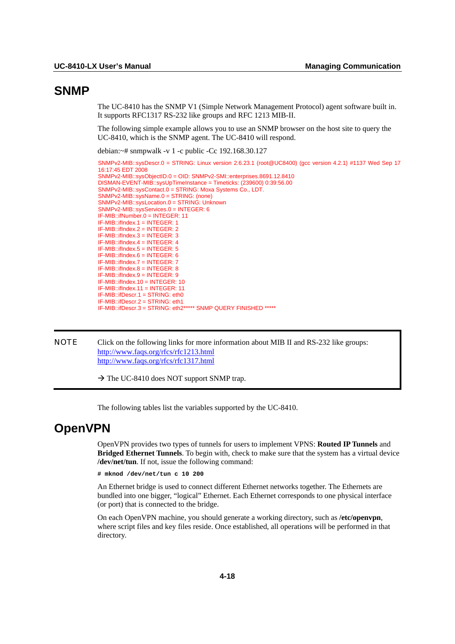# **SNMP**

The UC-8410 has the SNMP V1 (Simple Network Management Protocol) agent software built in. It supports RFC1317 RS-232 like groups and RFC 1213 MIB-II.

The following simple example allows you to use an SNMP browser on the host site to query the UC-8410, which is the SNMP agent. The UC-8410 will respond.

debian:~# snmpwalk -v 1 -c public -Cc 192.168.30.127

```
SNMPv2-MIB::sysDescr.0 = STRING: Linux version 2.6.23.1 (root@UC8400) (gcc version 4.2.1) #1137 Wed Sep 17 
16:17:45 EDT 2008 
SNMPv2-MIB::sysObjectID.0 = OID: SNMPv2-SMI::enterprises.8691.12.8410 
DISMAN-EVENT-MIB::sysUpTimeInstance = Timeticks: (239600) 0:39:56.00 
SNMPv2-MIB::sysContact.0 = STRING: Moxa Systems Co., LDT. 
SNMPv2-MIB::sysName.0 = STRING: (none) 
SNMPv2-MIB::sysLocation.0 = STRING: Unknown 
SNMPv2-MIB::sysServices.0 = INTEGER: 6 
IF-MIB::ifNumber.0 = INTEGER: 11 
IF-MIB::ifIndex.1 = INTEGER: 1 
IF-MIB::ifIndex.2 = INTEGER: 2 
IF-MIB::ifIndex.3 = INTEGER: 3 
IF-MIB::ifIndex.4 = INTEGER: 4 
IF-MIB::ifIndex.5 = INTEGER: 5 
IF-MIB::ifIndex.6 = INTEGER: 6 
IF-MIB::ifIndex.7 = INTEGER: 7 
IF-MIB::ifIndex.8 = INTEGER: 8 
IF-MIR:ifIndex.9 = INTEGRER:9IF-MIB::ifIndex.10 = INTEGER: 10 
IF-MIB::ifIndex.11 = INTEGER: 11 
IF-MIB::ifDescr.1 = STRING: eth0 
IF-MIB::ifDescr.2 = STRING: eth1 
IF-MIB::ifDescr.3 = STRING: eth2***** SNMP QUERY FINISHED *****
```
NOTE Click on the following links for more information about MIB II and RS-232 like groups: <http://www.faqs.org/rfcs/rfc1213.html> <http://www.faqs.org/rfcs/rfc1317.html>

 $\rightarrow$  The UC-8410 does NOT support SNMP trap.

The following tables list the variables supported by the UC-8410.

# **OpenVPN**

OpenVPN provides two types of tunnels for users to implement VPNS: **Routed IP Tunnels** and **Bridged Ethernet Tunnels**. To begin with, check to make sure that the system has a virtual device **/dev/net/tun**. If not, issue the following command:

**# mknod /dev/net/tun c 10 200** 

An Ethernet bridge is used to connect different Ethernet networks together. The Ethernets are bundled into one bigger, "logical" Ethernet. Each Ethernet corresponds to one physical interface (or port) that is connected to the bridge.

On each OpenVPN machine, you should generate a working directory, such as **/etc/openvpn**, where script files and key files reside. Once established, all operations will be performed in that directory.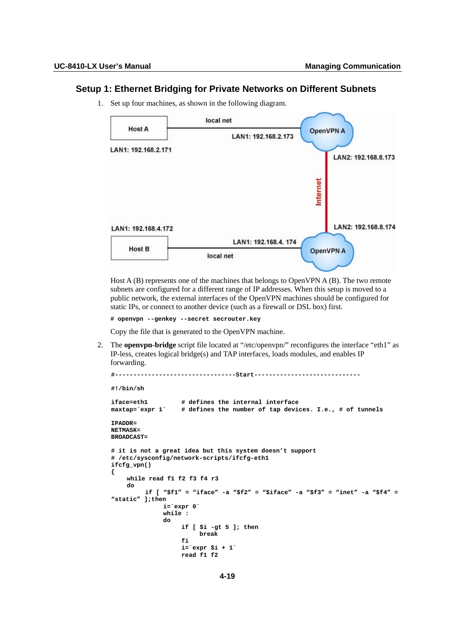# **Setup 1: Ethernet Bridging for Private Networks on Different Subnets**

1. Set up four machines, as shown in the following diagram.



Host  $A(B)$  represents one of the machines that belongs to OpenVPN  $A(B)$ . The two remote subnets are configured for a different range of IP addresses. When this setup is moved to a public network, the external interfaces of the OpenVPN machines should be configured for static IPs, or connect to another device (such as a firewall or DSL box) first.

```
# openvpn --genkey --secret secrouter.key
```
Copy the file that is generated to the OpenVPN machine.

2. The **openvpn-bridge** script file located at "/etc/openvpn/" reconfigures the interface "eth1" as IP-less, creates logical bridge(s) and TAP interfaces, loads modules, and enables IP forwarding.

```
#---------------------------------Start----------------------------- 
#!/bin/sh 
iface=eth1 # defines the internal interface 
                   # defines the number of tap devices. I.e., # of tunnels
IPADDR= 
NETMASK= 
BROADCAST=
```

```
# it is not a great idea but this system doesn't support 
# /etc/sysconfig/network-scripts/ifcfg-eth1 
ifcfg_vpn() 
{ 
     while read f1 f2 f3 f4 r3 
     do 
          if [ "$f1" = "iface" -a "$f2" = "$iface" -a "$f3" = "inet" -a "$f4" = 
"static" ];then 
               i=`expr 0` 
               while : 
 do 
                    if [ $i -gt 5 ]; then 
                    break 
fi fi fi
                    i=`expr $i + 1` 
                    read f1 f2
```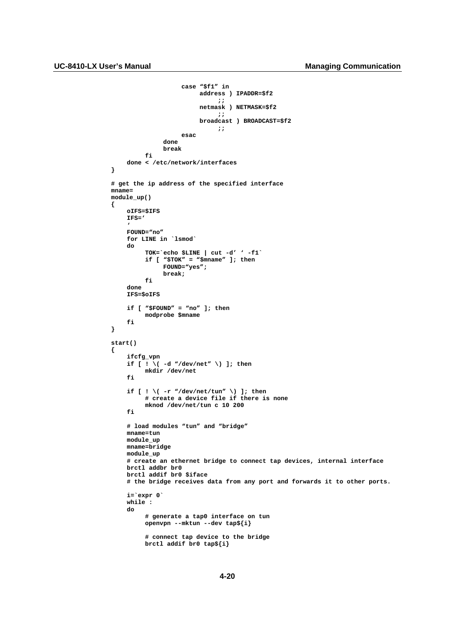```
 case "$f1" in 
                                           address ) IPADDR=$f2 
\mathbf{r} ; \mathbf{r} ; \mathbf{r} ; \mathbf{r} ; \mathbf{r} ; \mathbf{r} ; \mathbf{r} ; \mathbf{r} ; \mathbf{r} ; \mathbf{r} ; \mathbf{r} ; \mathbf{r} ; \mathbf{r} ; \mathbf{r} ; \mathbf{r} ; \mathbf{r} ; \mathbf{r} ; \mathbf{r} ; \mathbf{r} ; \mathbf{r} ;  netmask ) NETMASK=$f2 
\mathbf{r} ; \mathbf{r} ; \mathbf{r} ; \mathbf{r} ; \mathbf{r} ; \mathbf{r} ; \mathbf{r} ; \mathbf{r} ; \mathbf{r} ; \mathbf{r} ; \mathbf{r} ; \mathbf{r} ; \mathbf{r} ; \mathbf{r} ; \mathbf{r} ; \mathbf{r} ; \mathbf{r} ; \mathbf{r} ; \mathbf{r} ; \mathbf{r} ;  broadcast ) BROADCAST=$f2 
\mathbf{r} ; \mathbf{r} ; \mathbf{r} ; \mathbf{r} ; \mathbf{r} ; \mathbf{r} ; \mathbf{r} ; \mathbf{r} ; \mathbf{r} ; \mathbf{r} ; \mathbf{r} ; \mathbf{r} ; \mathbf{r} ; \mathbf{r} ; \mathbf{r} ; \mathbf{r} ; \mathbf{r} ; \mathbf{r} ; \mathbf{r} ; \mathbf{r} ;  esac 
                         done 
                         break 
                fi 
        done < /etc/network/interfaces 
} 
# get the ip address of the specified interface 
mname= 
module_up() 
{ 
        oIFS=$IFS 
        IFS=' 
 ' 
        FOUND="no" 
        for LINE in `lsmod` 
        do 
                 TOK=`echo $LINE | cut -d' ' -f1` 
                 if [ "$TOK" = "$mname" ]; then 
                         FOUND="yes"; 
                         break; 
                 fi 
        done 
        IFS=$oIFS 
        if [ "$FOUND" = "no" ]; then 
                 modprobe $mname 
        fi 
} 
start() 
{ 
        ifcfg_vpn 
       if \begin{bmatrix} 1 \\ 1 \end{bmatrix} ( -d "/dev/net" \) ]; then
                 mkdir /dev/net 
        fi 
 if [ ! \( -r "/dev/net/tun" \) ]; then 
 # create a device file if there is none 
                 mknod /dev/net/tun c 10 200 
        fi 
        # load modules "tun" and "bridge" 
        mname=tun 
        module_up 
        mname=bridge 
        module_up 
        # create an ethernet bridge to connect tap devices, internal interface 
        brctl addbr br0 
        brctl addif br0 $iface 
        # the bridge receives data from any port and forwards it to other ports. 
        i=`expr 0` 
        while : 
        do 
                 # generate a tap0 interface on tun 
                 openvpn --mktun --dev tap${i} 
                 # connect tap device to the bridge 
                 brctl addif br0 tap${i}
```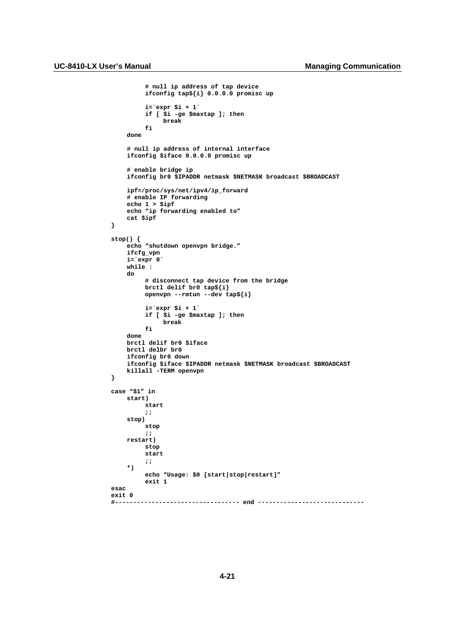```
 # null ip address of tap device 
           ifconfig tap${i} 0.0.0.0 promisc up 
           i=`expr $i + 1` 
           if [ $i -ge $maxtap ]; then 
                break 
           fi 
     done 
     # null ip address of internal interface 
     ifconfig $iface 0.0.0.0 promisc up 
     # enable bridge ip 
     ifconfig br0 $IPADDR netmask $NETMASK broadcast $BROADCAST 
     ipf=/proc/sys/net/ipv4/ip_forward 
     # enable IP forwarding 
     echo 1 > $ipf 
     echo "ip forwarding enabled to" 
     cat $ipf 
} 
stop() { 
     echo "shutdown openvpn bridge." 
     ifcfg_vpn 
    i=\text{expr } 0 while : 
     do 
           # disconnect tap device from the bridge 
           brctl delif br0 tap${i} 
           openvpn --rmtun --dev tap${i} 
           i=`expr $i + 1` 
           if [ $i -ge $maxtap ]; then 
                 break 
           fi 
     done 
     brctl delif br0 $iface 
     brctl delbr br0 
     ifconfig br0 down 
     ifconfig $iface $IPADDR netmask $NETMASK broadcast $BROADCAST 
     killall -TERM openvpn 
} 
case "$1" in 
     start) 
           start 
           ;; 
     stop) 
           stop 
           ;; 
     restart) 
           stop 
           start 
           ;; 
     *) 
           echo "Usage: $0 [start|stop|restart]" 
           exit 1 
esac 
exit 0 
      #---------------------------------- end -----------------------------
```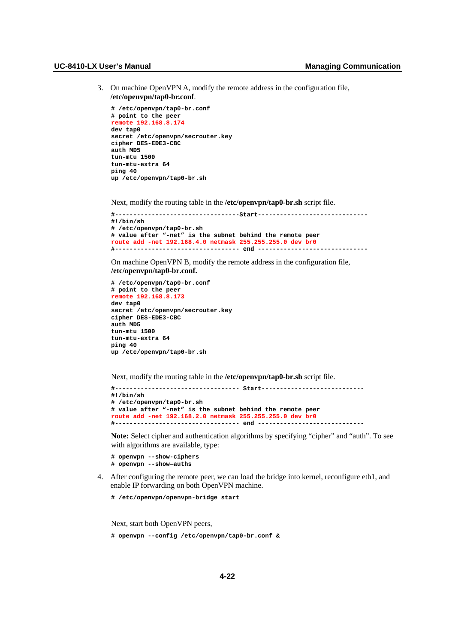#### UC-8410-LX User's Manual **Manual Managing Communication Managing Communication**

3. On machine OpenVPN A, modify the remote address in the configuration file, **/etc/openvpn/tap0-br.conf**.

```
# /etc/openvpn/tap0-br.conf 
# point to the peer 
remote 192.168.8.174 
dev tap0 
secret /etc/openvpn/secrouter.key 
cipher DES-EDE3-CBC 
auth MD5 
tun-mtu 1500 
tun-mtu-extra 64 
ping 40 
up /etc/openvpn/tap0-br.sh
```
Next, modify the routing table in the **/etc/openvpn/tap0-br.sh** script file.

```
#----------------------------------Start------------------------------ 
#!/bin/sh 
# /etc/openvpn/tap0-br.sh 
# value after "-net" is the subnet behind the remote peer 
route add -net 192.168.4.0 netmask 255.255.255.0 dev br0 
#---------------------------------- end ------------------------------
```
On machine OpenVPN B, modify the remote address in the configuration file, **/etc/openvpn/tap0-br.conf.**

```
# /etc/openvpn/tap0-br.conf 
# point to the peer 
remote 192.168.8.173 
dev tap0 
secret /etc/openvpn/secrouter.key 
cipher DES-EDE3-CBC 
auth MD5 
tun-mtu 1500 
tun-mtu-extra 64 
ping 40 
up /etc/openvpn/tap0-br.sh
```
Next, modify the routing table in the **/etc/openvpn/tap0-br.sh** script file.

```
#---------------------------------- Start---------------------------- 
#!/bin/sh 
# /etc/openvpn/tap0-br.sh 
# value after "-net" is the subnet behind the remote peer 
route add -net 192.168.2.0 netmask 255.255.255.0 dev br0 
#---------------------------------- end -----------------------------
```
**Note:** Select cipher and authentication algorithms by specifying "cipher" and "auth". To see with algorithms are available, type:

- **# openvpn --show-ciphers # openvpn --show—auths**
- 
- 4. After configuring the remote peer, we can load the bridge into kernel, reconfigure eth1, and enable IP forwarding on both OpenVPN machine.
	- **# /etc/openvpn/openvpn-bridge start**

Next, start both OpenVPN peers,

**# openvpn --config /etc/openvpn/tap0-br.conf &**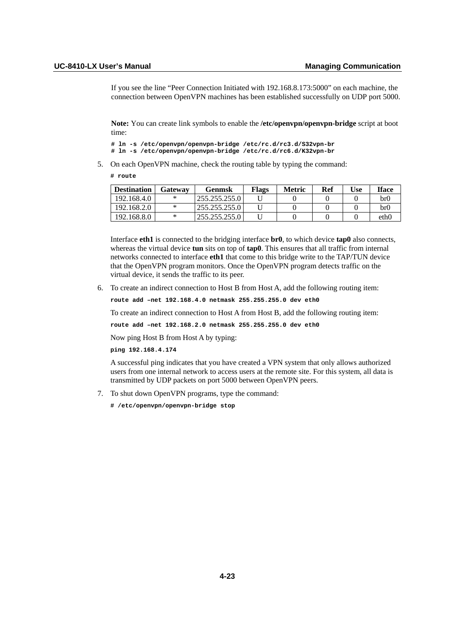If you see the line "Peer Connection Initiated with 192.168.8.173:5000" on each machine, the connection between OpenVPN machines has been established successfully on UDP port 5000.

**Note:** You can create link symbols to enable the **/etc/openvpn/openvpn-bridge** script at boot time:

```
# ln -s /etc/openvpn/openvpn-bridge /etc/rc.d/rc3.d/S32vpn-br 
# ln -s /etc/openvpn/openvpn-bridge /etc/rc.d/rc6.d/K32vpn-br
```
5. On each OpenVPN machine, check the routing table by typing the command:

**# route** 

| <b>Destination</b> | Gatewav | Genmsk        | Flags | Metric | Ref | Use | <b>Iface</b>    |
|--------------------|---------|---------------|-------|--------|-----|-----|-----------------|
| 192.168.4.0        |         | 255.255.255.0 |       |        |     |     | br <sub>0</sub> |
| 192.168.2.0        |         | 255.255.255.0 |       |        |     |     | br <sub>0</sub> |
| 192.168.8.0        |         | 255.255.255.0 |       |        |     |     | eth0            |

Interface **eth1** is connected to the bridging interface **br0**, to which device **tap0** also connects, whereas the virtual device **tun** sits on top of **tap0**. This ensures that all traffic from internal networks connected to interface **eth1** that come to this bridge write to the TAP/TUN device that the OpenVPN program monitors. Once the OpenVPN program detects traffic on the virtual device, it sends the traffic to its peer.

6. To create an indirect connection to Host B from Host A, add the following routing item:

**route add –net 192.168.4.0 netmask 255.255.255.0 dev eth0** 

To create an indirect connection to Host A from Host B, add the following routing item:

**route add –net 192.168.2.0 netmask 255.255.255.0 dev eth0** 

Now ping Host B from Host A by typing:

**ping 192.168.4.174** 

A successful ping indicates that you have created a VPN system that only allows authorized users from one internal network to access users at the remote site. For this system, all data is transmitted by UDP packets on port 5000 between OpenVPN peers.

- 7. To shut down OpenVPN programs, type the command:
	- **# /etc/openvpn/openvpn-bridge stop**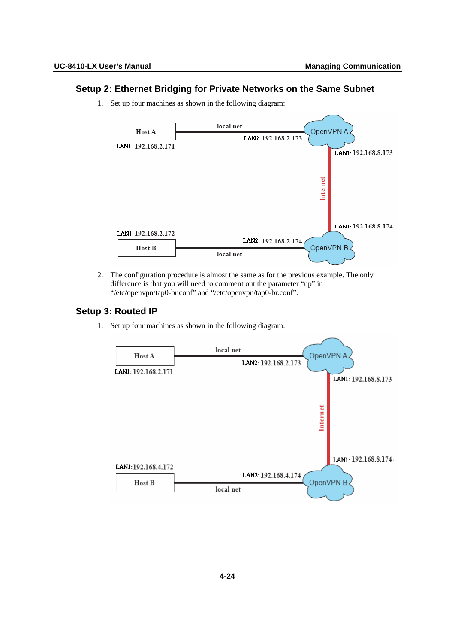# **Setup 2: Ethernet Bridging for Private Networks on the Same Subnet**

1. Set up four machines as shown in the following diagram:



2. The configuration procedure is almost the same as for the previous example. The only difference is that you will need to comment out the parameter "up" in "/etc/openvpn/tap0-br.conf" and "/etc/openvpn/tap0-br.conf".

# **Setup 3: Routed IP**

1. Set up four machines as shown in the following diagram:

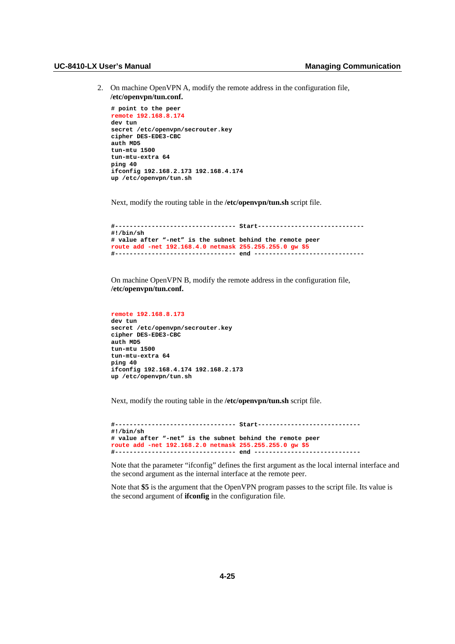2. On machine OpenVPN A, modify the remote address in the configuration file, **/etc/openvpn/tun.conf.**

```
# point to the peer 
remote 192.168.8.174 
dev tun 
secret /etc/openvpn/secrouter.key 
cipher DES-EDE3-CBC 
auth MD5 
tun-mtu 1500 
tun-mtu-extra 64 
ping 40 
ifconfig 192.168.2.173 192.168.4.174 
up /etc/openvpn/tun.sh
```
Next, modify the routing table in the **/etc/openvpn/tun.sh** script file.

```
#--------------------------------- Start----------------------------- 
#!/bin/sh 
# value after "-net" is the subnet behind the remote peer 
route add -net 192.168.4.0 netmask 255.255.255.0 gw $5 
#--------------------------------- end ------------------------------
```
On machine OpenVPN B, modify the remote address in the configuration file, **/etc/openvpn/tun.conf.**

```
remote 192.168.8.173 
dev tun 
secret /etc/openvpn/secrouter.key 
cipher DES-EDE3-CBC 
auth MD5 
tun-mtu 1500 
tun-mtu-extra 64 
ping 40 
ifconfig 192.168.4.174 192.168.2.173 
up /etc/openvpn/tun.sh
```
Next, modify the routing table in the **/etc/openvpn/tun.sh** script file.

```
#--------------------------------- Start---------------------------- 
#!/bin/sh 
# value after "-net" is the subnet behind the remote peer 
route add -net 192.168.2.0 netmask 255.255.255.0 gw $5 
#--------------------------------- end -----------------------------
```
Note that the parameter "ifconfig" defines the first argument as the local internal interface and the second argument as the internal interface at the remote peer.

Note that **\$5** is the argument that the OpenVPN program passes to the script file. Its value is the second argument of **ifconfig** in the configuration file.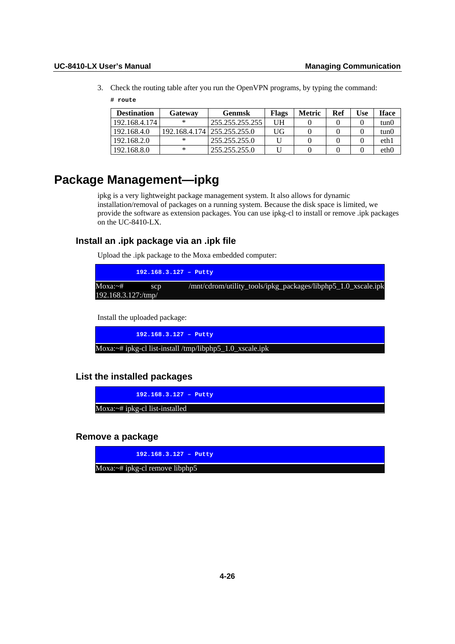3. Check the routing table after you run the OpenVPN programs, by typing the command:

## **# route**

| <b>Destination</b> | Gatewav | <b>Genmsk</b>                 | <b>Flags</b> | <b>Metric</b> | Ref | Use | <b>Iface</b> |
|--------------------|---------|-------------------------------|--------------|---------------|-----|-----|--------------|
| 192.168.4.174      | ∗       | 255.255.255.255               | UH           |               |     |     | tun0         |
| 192.168.4.0        |         | 192.168.4.174   255.255.255.0 | UG           |               |     |     | tun0         |
| 192.168.2.0        | ∗       | 255.255.255.0                 |              |               |     |     | eth1         |
| 192.168.8.0        | ∗       | 255, 255, 255, 0              |              |               |     |     | eth0         |

# **Package Management—ipkg**

ipkg is a very lightweight package management system. It also allows for dynamic installation/removal of packages on a running system. Because the disk space is limited, we provide the software as extension packages. You can use ipkg-cl to install or remove .ipk packages on the UC-8410-LX.

# **Install an .ipk package via an .ipk file**

Upload the .ipk package to the Moxa embedded computer:

|                     | $192.168.3.127 -$ Putty                                       |
|---------------------|---------------------------------------------------------------|
| $Moxa:~^{\#}$ scp   | /mnt/cdrom/utility_tools/ipkg_packages/libphp5_1.0_xscale.ipk |
| 192.168.3.127:/tmp/ |                                                               |

Install the uploaded package:

**192.168.3.127 – Putty** 

Moxa:~# ipkg-cl list-install /tmp/libphp5\_1.0\_xscale.ipk

**List the installed packages** 

**192.168.3.127 – Putty** 

Moxa:~# ipkg-cl list-installed

**Remove a package** 

**192.168.3.127 – Putty** 

Moxa:~# ipkg-cl remove libphp5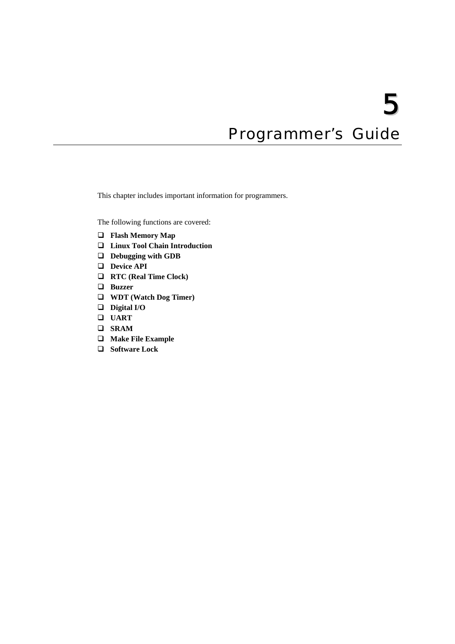# Programmer's Guide

This chapter includes important information for programmers.

The following functions are covered:

- **[Flash Memory Map](#page-59-0)**
- **[Linux Tool Chain Introduction](#page-59-1)**
- **[Debugging with GDB](#page-61-0)**
- **[Device API](#page-61-1)**
- **[RTC \(Real Time Clock\)](#page-61-2)**
- **[Buzzer](#page-62-0)**
- **[WDT \(Watch Dog Timer\)](#page-62-1)**
- **[Digital I/O](#page-66-0)**
- **[UART](#page-70-0)**
- **[SRAM](#page-72-0)**
- **[Make File Example](#page-74-0)**
- **[Software Lock](#page-74-1)**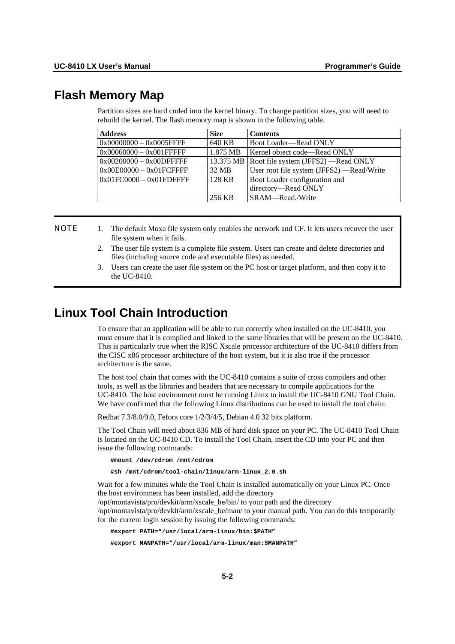# <span id="page-59-0"></span>**Flash Memory Map**

Partition sizes are hard coded into the kernel binary. To change partition sizes, you will need to rebuild the kernel. The flash memory map is shown in the following table.

| <b>Address</b>             | <b>Size</b> | <b>Contents</b>                                  |
|----------------------------|-------------|--------------------------------------------------|
| $0x00000000 - 0x0005$ FFFF | 640 KB      | Boot Loader-Read ONLY                            |
| $0x00060000 - 0x001$ FFFFF | 1.875 MB    | Kernel object code—Read ONLY                     |
| $0x00200000 - 0x00D$ FFFFF |             | 13.375 MB   Root file system (JFFS2) — Read ONLY |
| $0x00E00000 - 0x01FCFFFF$  | 32 MB       | User root file system (JFFS2) —Read/Write        |
| $0x01FC0000 - 0x01FDFFFF$  | 128 KB      | Boot Loader configuration and                    |
|                            |             | directory-Read ONLY                              |
|                            | 256 KB      | SRAM—Read./Write                                 |

**NOTE** 1. The default Moxa file system only enables the network and CF. It lets users recover the user file system when it fails.

- 2. The user file system is a complete file system. Users can create and delete directories and files (including source code and executable files) as needed.
- 3. Users can create the user file system on the PC host or target platform, and then copy it to the UC-8410.

# <span id="page-59-1"></span>**Linux Tool Chain Introduction**

To ensure that an application will be able to run correctly when installed on the UC-8410, you must ensure that it is compiled and linked to the same libraries that will be present on the UC-8410. This is particularly true when the RISC Xscale processor architecture of the UC-8410 differs from the CISC x86 processor architecture of the host system, but it is also true if the processor architecture is the same.

The host tool chain that comes with the UC-8410 contains a suite of cross compilers and other tools, as well as the libraries and headers that are necessary to compile applications for the UC-8410. The host environment must be running Linux to install the UC-8410 GNU Tool Chain. We have confirmed that the following Linux distributions can be used to install the tool chain:

Redhat 7.3/8.0/9.0, Fefora core 1/2/3/4/5, Debian 4.0 32 bits platform.

The Tool Chain will need about 836 MB of hard disk space on your PC. The UC-8410 Tool Chain is located on the UC-8410 CD. To install the Tool Chain, insert the CD into your PC and then issue the following commands:

**#mount /dev/cdrom /mnt/cdrom** 

**#sh /mnt/cdrom/tool-chain/linux/arm-linux\_2.0.sh** 

Wait for a few minutes while the Tool Chain is installed automatically on your Linux PC. Once the host environment has been installed, add the directory

/opt/montavista/pro/devkit/arm/xscale\_be/bin/ to your path and the directory

/opt/montavista/pro/devkit/arm/xscale\_be/man/ to your manual path. You can do this temporarily for the current login session by issuing the following commands:

**#export PATH="/usr/local/arm-linux/bin:\$PATH"** 

**#export MANPATH="/usr/local/arm-linux/man:\$MANPATH"**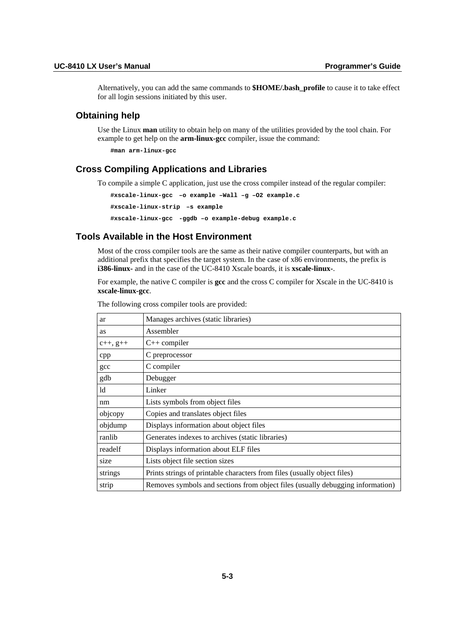Alternatively, you can add the same commands to **\$HOME/.bash\_profile** to cause it to take effect for all login sessions initiated by this user.

## **Obtaining help**

Use the Linux **man** utility to obtain help on many of the utilities provided by the tool chain. For example to get help on the **arm-linux-gcc** compiler, issue the command:

**#man arm-linux-gcc** 

# **Cross Compiling Applications and Libraries**

To compile a simple C application, just use the cross compiler instead of the regular compiler:

```
#xscale-linux-gcc –o example –Wall –g –O2 example.c 
#xscale-linux-strip –s example 
#xscale-linux-gcc -ggdb –o example-debug example.c
```
# **Tools Available in the Host Environment**

Most of the cross compiler tools are the same as their native compiler counterparts, but with an additional prefix that specifies the target system. In the case of x86 environments, the prefix is **i386-linux-** and in the case of the UC-8410 Xscale boards, it is **xscale-linux-**.

For example, the native C compiler is **gcc** and the cross C compiler for Xscale in the UC-8410 is **xscale-linux-gcc**.

| ar             | Manages archives (static libraries)                                            |
|----------------|--------------------------------------------------------------------------------|
| <b>as</b>      | Assembler                                                                      |
| $c_{++}$ , g++ | $C++$ compiler                                                                 |
| cpp            | C preprocessor                                                                 |
| gcc            | C compiler                                                                     |
| gdb            | Debugger                                                                       |
| ld             | Linker                                                                         |
| nm             | Lists symbols from object files                                                |
| objcopy        | Copies and translates object files                                             |
| objdump        | Displays information about object files                                        |
| ranlib         | Generates indexes to archives (static libraries)                               |
| readelf        | Displays information about ELF files                                           |
| size           | Lists object file section sizes                                                |
| strings        | Prints strings of printable characters from files (usually object files)       |
| strip          | Removes symbols and sections from object files (usually debugging information) |

The following cross compiler tools are provided: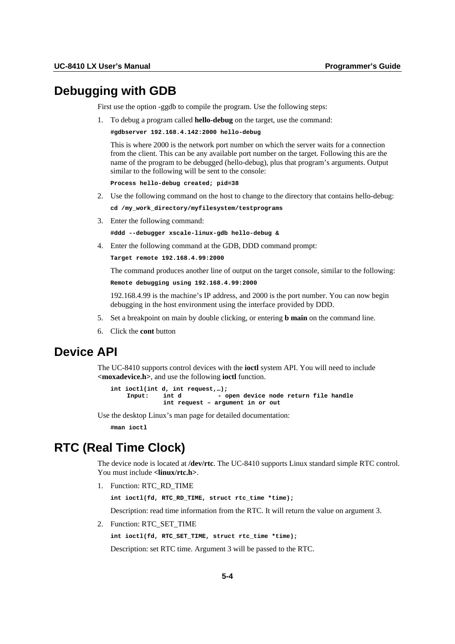# <span id="page-61-0"></span>**Debugging with GDB**

First use the option -ggdb to compile the program. Use the following steps:

1. To debug a program called **hello-debug** on the target, use the command:

```
#gdbserver 192.168.4.142:2000 hello-debug
```
This is where 2000 is the network port number on which the server waits for a connection from the client. This can be any available port number on the target. Following this are the name of the program to be debugged (hello-debug), plus that program's arguments. Output similar to the following will be sent to the console:

```
Process hello-debug created; pid=38
```
- 2. Use the following command on the host to change to the directory that contains hello-debug: **cd /my\_work\_directory/myfilesystem/testprograms**
- 3. Enter the following command:

**#ddd --debugger xscale-linux-gdb hello-debug &** 

4. Enter the following command at the GDB, DDD command prompt:

```
Target remote 192.168.4.99:2000
```
The command produces another line of output on the target console, similar to the following:

```
Remote debugging using 192.168.4.99:2000
```
192.168.4.99 is the machine's IP address, and 2000 is the port number. You can now begin debugging in the host environment using the interface provided by DDD.

- 5. Set a breakpoint on main by double clicking, or entering **b main** on the command line.
- 6. Click the **cont** button

# <span id="page-61-1"></span>**Device API**

The UC-8410 supports control devices with the **ioctl** system API. You will need to include **<moxadevice.h>**, and use the following **ioctl** function.

```
int ioctl(int d, int request,…); 
                              - open device node return file handle
               int request – argument in or out
```
Use the desktop Linux's man page for detailed documentation:

**#man ioctl** 

# <span id="page-61-2"></span>**RTC (Real Time Clock)**

The device node is located at **/dev/rtc**. The UC-8410 supports Linux standard simple RTC control. You must include **<linux/rtc.h>**.

1. Function: RTC\_RD\_TIME

**int ioctl(fd, RTC\_RD\_TIME, struct rtc\_time \*time);** 

Description: read time information from the RTC. It will return the value on argument 3.

2. Function: RTC\_SET\_TIME

**int ioctl(fd, RTC\_SET\_TIME, struct rtc\_time \*time);** 

Description: set RTC time. Argument 3 will be passed to the RTC.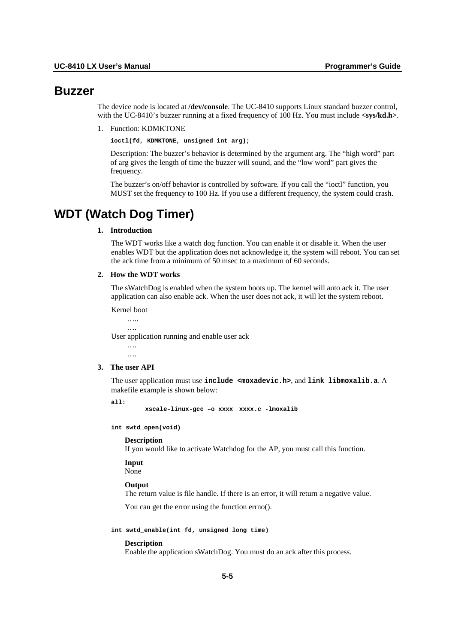# <span id="page-62-0"></span>**Buzzer**

The device node is located at **/dev/console**. The UC-8410 supports Linux standard buzzer control, with the UC-8410's buzzer running at a fixed frequency of 100 Hz. You must include  $\langle$ sys/kd.h>.

1. Function: KDMKTONE

**ioctl(fd, KDMKTONE, unsigned int arg);** 

Description: The buzzer's behavior is determined by the argument arg. The "high word" part of arg gives the length of time the buzzer will sound, and the "low word" part gives the frequency.

The buzzer's on/off behavior is controlled by software. If you call the "ioctl" function, you MUST set the frequency to 100 Hz. If you use a different frequency, the system could crash.

# <span id="page-62-1"></span>**WDT (Watch Dog Timer)**

# **1. Introduction**

The WDT works like a watch dog function. You can enable it or disable it. When the user enables WDT but the application does not acknowledge it, the system will reboot. You can set the ack time from a minimum of 50 msec to a maximum of 60 seconds.

#### **2. How the WDT works**

The sWatchDog is enabled when the system boots up. The kernel will auto ack it. The user application can also enable ack. When the user does not ack, it will let the system reboot.

Kernel boot

 ….. …. User application running and enable user ack ….

#### **3. The user API**

The user application must use **include <moxadevic.h>**, and **link libmoxalib.a**. A makefile example is shown below:

**all:** 

 **xscale-linux-gcc –o xxxx xxxx.c -lmoxalib** 

**int swtd\_open(void)** 

## **Description**

If you would like to activate Watchdog for the AP, you must call this function.

#### **Input**

None

#### **Output**

The return value is file handle. If there is an error, it will return a negative value.

You can get the error using the function errno().

**int swtd\_enable(int fd, unsigned long time)** 

#### **Description**

Enable the application sWatchDog. You must do an ack after this process.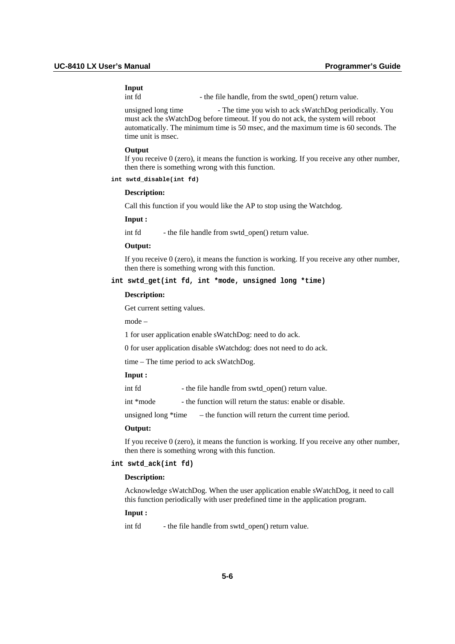# **Input**

int fd - the file handle, from the swtd\_open() return value.

unsigned long time - The time you wish to ack sWatchDog periodically. You must ack the sWatchDog before timeout. If you do not ack, the system will reboot automatically. The minimum time is 50 msec, and the maximum time is 60 seconds. The time unit is msec.

#### **Output**

If you receive 0 (zero), it means the function is working. If you receive any other number, then there is something wrong with this function.

#### **int swtd\_disable(int fd)**

#### **Description:**

Call this function if you would like the AP to stop using the Watchdog.

#### **Input :**

int fd - the file handle from swtd\_open() return value.

#### **Output:**

If you receive  $\theta$  (zero), it means the function is working. If you receive any other number, then there is something wrong with this function.

## **int swtd\_get(int fd, int \*mode, unsigned long \*time)**

#### **Description:**

Get current setting values.

mode –

1 for user application enable sWatchDog: need to do ack.

0 for user application disable sWatchdog: does not need to do ack.

time – The time period to ack sWatchDog.

## **Input :**

| int fd | - the file handle from swtd_open() return value. |
|--------|--------------------------------------------------|
|--------|--------------------------------------------------|

int \*mode - the function will return the status: enable or disable.

unsigned long \*time – the function will return the current time period.

#### **Output:**

If you receive 0 (zero), it means the function is working. If you receive any other number, then there is something wrong with this function.

#### **int swtd\_ack(int fd)**

#### **Description:**

Acknowledge sWatchDog. When the user application enable sWatchDog, it need to call this function periodically with user predefined time in the application program.

#### **Input :**

int fd - the file handle from swtd\_open() return value.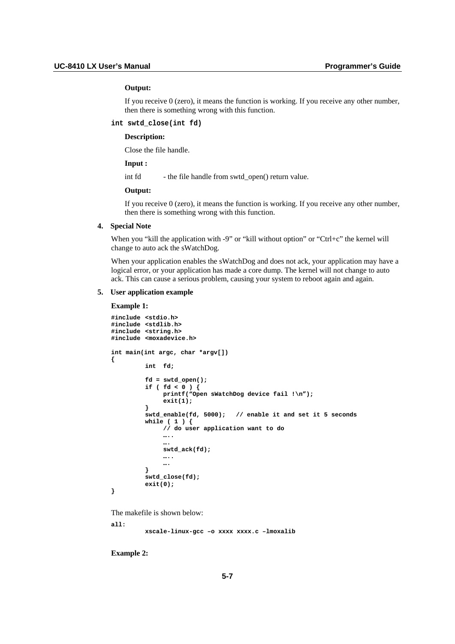## **Output:**

If you receive 0 (zero), it means the function is working. If you receive any other number, then there is something wrong with this function.

#### **int swtd\_close(int fd)**

#### **Description:**

Close the file handle.

## **Input :**

int fd - the file handle from swtd\_open() return value.

#### **Output:**

If you receive 0 (zero), it means the function is working. If you receive any other number, then there is something wrong with this function.

#### **4. Special Note**

When you "kill the application with -9" or "kill without option" or "Ctrl+c" the kernel will change to auto ack the sWatchDog.

When your application enables the sWatchDog and does not ack, your application may have a logical error, or your application has made a core dump. The kernel will not change to auto ack. This can cause a serious problem, causing your system to reboot again and again.

#### **5. User application example**

#### **Example 1:**

**{** 

```
#include <stdio.h> 
#include <stdlib.h> 
#include <string.h> 
#include <moxadevice.h> 
int main(int argc, char *argv[]) 
          int fd; 
          fd = swtd_open(); 
 if ( fd < 0 ) { 
 printf("Open sWatchDog device fail !\n"); 
               exit(1); 
 } 
          swtd_enable(fd, 5000); // enable it and set it 5 seconds 
          while ( 1 ) { 
              // do user application want to do 
              ….. 
 …. 
              swtd_ack(fd); 
              ….. 
              …. 
          } 
          swtd_close(fd); 
          exit(0);
```
The makefile is shown below:

**all:** 

**}** 

 **xscale-linux-gcc –o xxxx xxxx.c –lmoxalib** 

**Example 2:**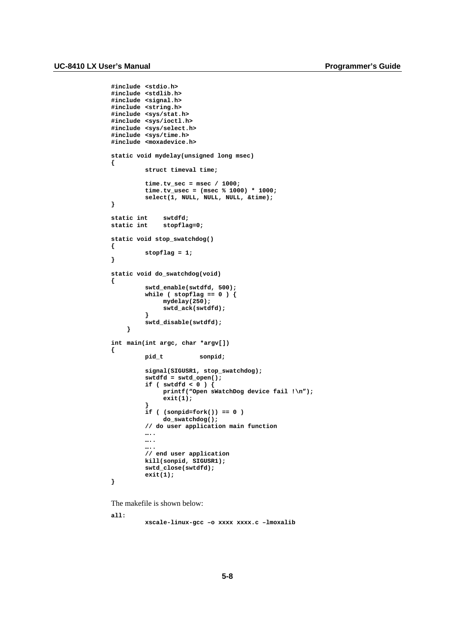```
#include <stdio.h> 
#include <stdlib.h> 
#include <signal.h> 
#include <string.h> 
#include <sys/stat.h> 
#include <sys/ioctl.h> 
#include <sys/select.h> 
#include <sys/time.h> 
#include <moxadevice.h> 
static void mydelay(unsigned long msec) 
{ 
          struct timeval time; 
          time.tv_sec = msec / 1000; 
          time.tv_usec = (msec % 1000) * 1000; 
          select(1, NULL, NULL, NULL, &time); 
} 
static int swtdfd; 
              stopflag=0;
static void stop_swatchdog() 
{ 
          stopflag = 1; 
} 
static void do_swatchdog(void) 
{ 
          swtd_enable(swtdfd, 500); 
          while ( stopflag == 0 ) { 
               mydelay(250); 
               swtd_ack(swtdfd); 
 } 
          swtd_disable(swtdfd); 
     } 
int main(int argc, char *argv[]) 
{ 
          pid_t sonpid; 
          signal(SIGUSR1, stop_swatchdog); 
          swtdfd = swtd_open(); 
          if ( swtdfd < 0 ) { 
               printf("Open sWatchDog device fail !\n"); 
               exit(1); 
 } 
          if ( (sonpid=fork()) == 0 ) 
               do_swatchdog(); 
          // do user application main function 
          ….. 
          ….. 
 ….. 
 // end user application 
          kill(sonpid, SIGUSR1); 
          swtd_close(swtdfd); 
          exit(1); 
}
```
The makefile is shown below:

**all:** 

 **xscale-linux-gcc –o xxxx xxxx.c –lmoxalib**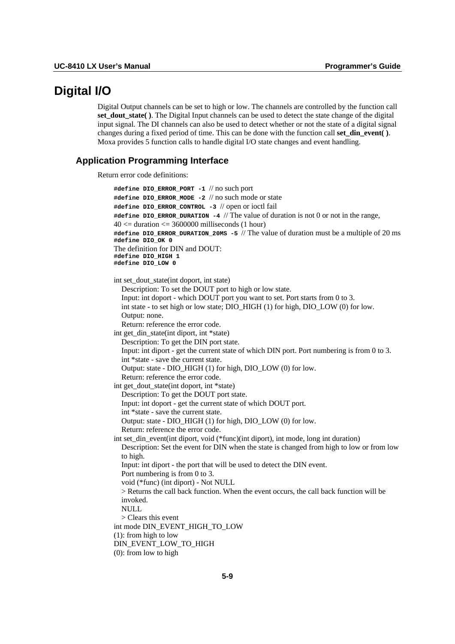# <span id="page-66-0"></span>**Digital I/O**

Digital Output channels can be set to high or low. The channels are controlled by the function call **set dout state()**. The Digital Input channels can be used to detect the state change of the digital input signal. The DI channels can also be used to detect whether or not the state of a digital signal changes during a fixed period of time. This can be done with the function call set  $\dim$  event(). Moxa provides 5 function calls to handle digital I/O state changes and event handling.

## **Application Programming Interface**

Return error code definitions:

```
#define DIO_ERROR_PORT -1 // no such port 
#define DIO_ERROR_MODE -2 // no such mode or state 
#define DIO_ERROR_CONTROL -3 // open or ioctl fail
#define DIO_ERROR_DURATION -4 // The value of duration is not 0 or not in the range, 
40 \le duration \le 3600000 milliseconds (1 hour)
#define DIO_ERROR_DURATION_20MS -5 // The value of duration must be a multiple of 20 ms 
#define DIO_OK 0 
The definition for DIN and DOUT: 
#define DIO_HIGH 1 
#define DIO_LOW 0 
int set_dout_state(int doport, int state) 
  Description: To set the DOUT port to high or low state. 
  Input: int doport - which DOUT port you want to set. Port starts from 0 to 3. 
  int state - to set high or low state; DIO_HIGH (1) for high, DIO_LOW (0) for low. 
  Output: none. 
  Return: reference the error code. 
int get din state(int diport, int *state)
  Description: To get the DIN port state. 
  Input: int diport - get the current state of which DIN port. Port numbering is from 0 to 3. 
  int *state - save the current state. 
  Output: state - DIO_HIGH (1) for high, DIO_LOW (0) for low. 
  Return: reference the error code. 
int get_dout_state(int doport, int *state) 
  Description: To get the DOUT port state. 
  Input: int doport - get the current state of which DOUT port. 
  int *state - save the current state. 
  Output: state - DIO_HIGH (1) for high, DIO_LOW (0) for low. 
  Return: reference the error code. 
int set_din_event(int diport, void (*func)(int diport), int mode, long int duration) 
  Description: Set the event for DIN when the state is changed from high to low or from low 
  to high. 
  Input: int diport - the port that will be used to detect the DIN event. 
  Port numbering is from 0 to 3. 
  void (*func) (int diport) - Not NULL 
  > Returns the call back function. When the event occurs, the call back function will be 
  invoked. 
  NHLL
  > Clears this event 
int mode DIN_EVENT_HIGH_TO_LOW 
(1): from high to low 
DIN_EVENT_LOW_TO_HIGH 
(0): from low to high
```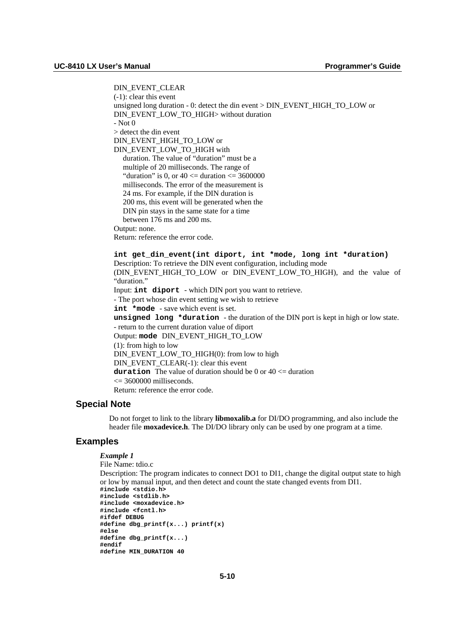DIN\_EVENT\_CLEAR (-1): clear this event unsigned long duration - 0: detect the din event > DIN\_EVENT\_HIGH\_TO\_LOW or DIN\_EVENT\_LOW\_TO\_HIGH> without duration - Not 0 > detect the din event DIN\_EVENT\_HIGH\_TO\_LOW or DIN\_EVENT\_LOW\_TO\_HIGH with duration. The value of "duration" must be a multiple of 20 milliseconds. The range of "duration" is 0, or  $40 \le$  duration  $\le$  3600000 milliseconds. The error of the measurement is 24 ms. For example, if the DIN duration is 200 ms, this event will be generated when the DIN pin stays in the same state for a time between 176 ms and 200 ms. Output: none. Return: reference the error code. **int get\_din\_event(int diport, int \*mode, long int \*duration)**  Description: To retrieve the DIN event configuration, including mode (DIN EVENT HIGH TO LOW or DIN EVENT LOW TO HIGH), and the value of "duration." Input: **int diport** - which DIN port you want to retrieve. - The port whose din event setting we wish to retrieve **int \*mode** - save which event is set. **unsigned long \*duration** - the duration of the DIN port is kept in high or low state. - return to the current duration value of diport

Output: **mode** DIN\_EVENT\_HIGH\_TO\_LOW (1): from high to low DIN\_EVENT\_LOW\_TO\_HIGH(0): from low to high DIN\_EVENT\_CLEAR(-1): clear this event **duration** The value of duration should be 0 or 40 <= duration  $\epsilon$  = 3600000 milliseconds. Return: reference the error code.

## **Special Note**

Do not forget to link to the library **libmoxalib.a** for DI/DO programming, and also include the header file **moxadevice.h**. The DI/DO library only can be used by one program at a time.

#### **Examples**

## *Example 1*

```
File Name: tdio.c 
Description: The program indicates to connect DO1 to DI1, change the digital output state to high 
or low by manual input, and then detect and count the state changed events from DI1. 
#include <stdio.h> 
#include <stdlib.h> 
#include <moxadevice.h> 
#include <fcntl.h> 
#ifdef DEBUG 
#define dbg_printf(x...) printf(x) 
#else 
#define dbg_printf(x...) 
#endif 
#define MIN_DURATION 40
```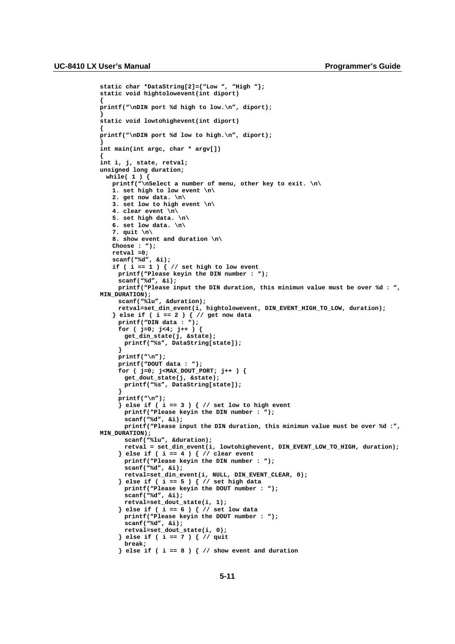```
static char *DataString[2]={"Low ", "High "}; 
static void hightolowevent(int diport) 
{ 
printf("\nDIN port %d high to low.\n", diport); 
} 
static void lowtohighevent(int diport) 
{ 
printf("\nDIN port %d low to high.\n", diport); 
} 
int main(int argc, char * argv[]) 
{ 
int i, j, state, retval; 
unsigned long duration; 
 while( 1 ) { 
   printf("\nSelect a number of menu, other key to exit. \n\ 
   1. set high to low event \n\ 
   2. get now data. \n\ 
   3. set low to high event \n\ 
   4. clear event \n\ 
   5. set high data. \n\ 
   6. set low data. \n\ 
   7. quit \n\ 
   8. show event and duration \n\ 
   Choose : "); 
   retval =0; 
   scanf("%d", &i); 
   if ( i == 1 ) { // set high to low event 
     printf("Please keyin the DIN number : "); 
     scanf("%d", &i); 
     printf("Please input the DIN duration, this minimun value must be over %d : ", 
MIN_DURATION); 
     scanf("%lu", &duration); 
     retval=set_din_event(i, hightolowevent, DIN_EVENT_HIGH_TO_LOW, duration); 
   } else if ( i == 2 ) { // get now data 
     printf("DIN data : "); 
     for ( j=0; j<4; j++ ) { 
       get_din_state(j, &state); 
      printf("%s", DataString[state]); 
     } 
     printf("\n"); 
     printf("DOUT data : "); 
     for ( j=0; j<MAX_DOUT_PORT; j++ ) { 
      get_dout_state(j, &state); 
      printf("%s", DataString[state]); 
     } 
     printf("\n"); 
     } else if ( i == 3 ) { // set low to high event 
       printf("Please keyin the DIN number : "); 
      scanf("%d", &i); 
       printf("Please input the DIN duration, this minimun value must be over %d :", 
MIN_DURATION); 
      scanf("%lu", &duration); 
      retval = set_din_event(i, lowtohighevent, DIN_EVENT_LOW_TO_HIGH, duration); 
     } else if ( i == 4 ) { // clear event 
       printf("Please keyin the DIN number : "); 
       scanf("%d", &i); 
      retval=set_din_event(i, NULL, DIN_EVENT_CLEAR, 0); 
     } else if ( i == 5 ) { // set high data 
       printf("Please keyin the DOUT number : "); 
      scanf("%d", &i); 
       retval=set_dout_state(i, 1); 
     } else if ( i == 6 ) { // set low data 
       printf("Please keyin the DOUT number : "); 
       scanf("%d", &i); 
      retval=set_dout_state(i, 0); 
     } else if ( i == 7 ) { // quit 
      break; 
     } else if ( i == 8 ) { // show event and duration
```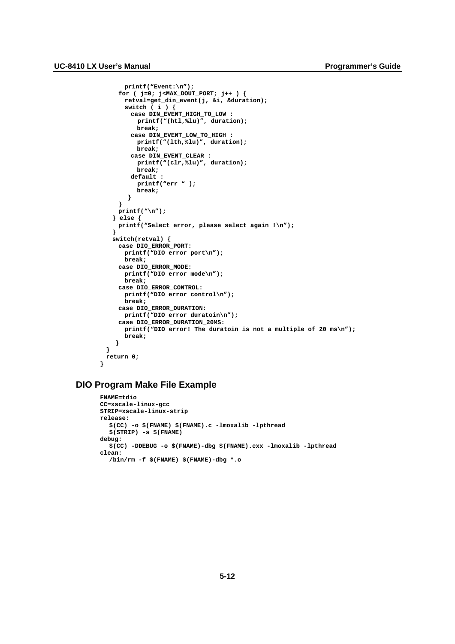```
printf("Event:\n"); 
     for ( j=0; j<MAX_DOUT_PORT; j++ ) { 
      retval=get_din_event(j, &i, &duration); 
       switch ( i ) { 
        case DIN_EVENT_HIGH_TO_LOW : 
          printf("(htl,%lu)", duration); 
          break; 
        case DIN_EVENT_LOW_TO_HIGH : 
          printf("(lth,%lu)", duration); 
          break; 
        case DIN_EVENT_CLEAR : 
          printf("(clr,%lu)", duration); 
          break; 
        default : 
          printf("err " ); 
          break; 
       } 
     } 
     printf("\n"); 
   } else { 
     printf("Select error, please select again !\n"); 
   } 
   switch(retval) { 
     case DIO_ERROR_PORT: 
      printf("DIO error port\n"); 
      break; 
     case DIO_ERROR_MODE: 
      printf("DIO error mode\n"); 
      break; 
     case DIO_ERROR_CONTROL: 
      printf("DIO error control\n"); 
      break; 
     case DIO_ERROR_DURATION: 
      printf("DIO error duratoin\n"); 
     case DIO_ERROR_DURATION_20MS: 
      printf("DIO error! The duratoin is not a multiple of 20 ms\n"); 
      break; 
    } 
 } 
 return 0; 
}
```
# **DIO Program Make File Example**

```
FNAME=tdio 
CC=xscale-linux-gcc 
STRIP=xscale-linux-strip 
release: 
  $(CC) -o $(FNAME) $(FNAME).c -lmoxalib -lpthread 
  $(STRIP) -s $(FNAME) 
debug: 
  $(CC) -DDEBUG -o $(FNAME)-dbg $(FNAME).cxx -lmoxalib -lpthread 
clean: 
  /bin/rm -f $(FNAME) $(FNAME)-dbg *.o
```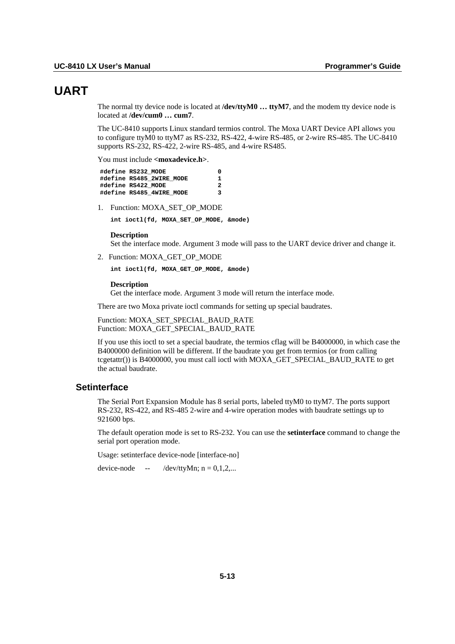# <span id="page-70-0"></span>**UART**

The normal tty device node is located at /dev/ttyM0 ... ttyM7, and the modem tty device node is located at **/dev/cum0 … cum7**.

The UC-8410 supports Linux standard termios control. The Moxa UART Device API allows you to configure ttyM0 to ttyM7 as RS-232, RS-422, 4-wire RS-485, or 2-wire RS-485. The UC-8410 supports RS-232, RS-422, 2-wire RS-485, and 4-wire RS485.

You must include <moxadevice.h>.

| #define RS232 MODE       | o  |
|--------------------------|----|
| #define RS485 2WIRE MODE | 1. |
| #define RS422 MODE       | 2  |
| #define RS485 4WIRE MODE | ર  |

1. Function: MOXA\_SET\_OP\_MODE

**int ioctl(fd, MOXA\_SET\_OP\_MODE, &mode)** 

#### **Description**

Set the interface mode. Argument 3 mode will pass to the UART device driver and change it.

2. Function: MOXA\_GET\_OP\_MODE

**int ioctl(fd, MOXA\_GET\_OP\_MODE, &mode)** 

#### **Description**

Get the interface mode. Argument 3 mode will return the interface mode.

There are two Moxa private ioctl commands for setting up special baudrates.

Function: MOXA\_SET\_SPECIAL\_BAUD\_RATE Function: MOXA\_GET\_SPECIAL\_BAUD\_RATE

If you use this ioctl to set a special baudrate, the termios cflag will be B4000000, in which case the B4000000 definition will be different. If the baudrate you get from termios (or from calling tcgetattr()) is B4000000, you must call ioctl with MOXA\_GET\_SPECIAL\_BAUD\_RATE to get the actual baudrate.

## **Setinterface**

The Serial Port Expansion Module has 8 serial ports, labeled ttyM0 to ttyM7. The ports support RS-232, RS-422, and RS-485 2-wire and 4-wire operation modes with baudrate settings up to 921600 bps.

The default operation mode is set to RS-232. You can use the **setinterface** command to change the serial port operation mode.

Usage: setinterface device-node [interface-no]

device-node -- /dev/ttyMn;  $n = 0,1,2,...$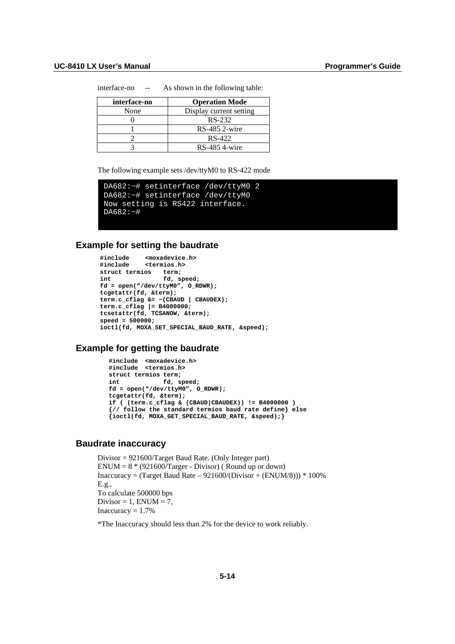interface-no -- As shown in the following table:

| interface-no | <b>Operation Mode</b>   |
|--------------|-------------------------|
| None         | Display current setting |
|              | RS-232                  |
|              | $RS-485$ 2-wire         |
|              | RS-422                  |
|              | RS-485 4-wire           |

The following example sets /dev/ttyM0 to RS-422 mode

```
DA682:~# setinterface /dev/ttyM0 2 
DA682:~# setinterface /dev/ttyM0 
Now setting is RS422 interface. 
DA682:~#
```
## **Example for setting the baudrate**

```
#include <moxadevice.h> 
#include <termios.h> 
struct termios<br>int
                  int fd, speed; 
fd = open("/dev/ttyM0", 0 RDW);tcgetattr(fd, &term); 
term.c_cflag &= ~(CBAUD | CBAUDEX); 
term.c_cflag |= B4000000; 
tcsetattr(fd, TCSANOW, &term); 
speed = 500000; 
ioctl(fd, MOXA_SET_SPECIAL_BAUD_RATE, &speed);
```
## **Example for getting the baudrate**

```
 #include <moxadevice.h> 
 #include <termios.h> 
 struct termios term; 
               int fd, speed; 
 fd = open("/dev/ttyM0", O_RDWR); 
 tcgetattr(fd, &term); 
 if ( (term.c_cflag & (CBAUD|CBAUDEX)) != B4000000 ) 
 {// follow the standard termios baud rate define} else 
 {ioctl(fd, MOXA_GET_SPECIAL_BAUD_RATE, &speed);}
```
# **Baudrate inaccuracy**

Divisor = 921600/Target Baud Rate. (Only Integer part) ENUM =  $8 * (921600/Target - Divisor)$  (Round up or down) Inaccuracy =  $(Target Band Rate - 921600/(Divisor + (ENUM/8)))$  \* 100% E.g., To calculate 500000 bps Divisor = 1, ENUM = 7, Inaccuracy  $= 1.7\%$ 

\*The Inaccuracy should less than 2% for the device to work reliably.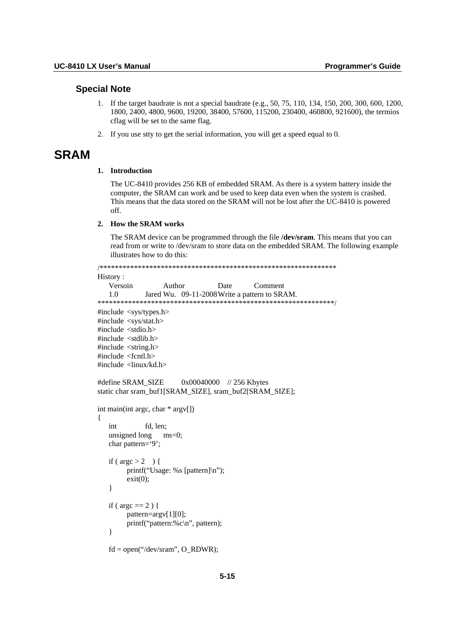#### **Special Note**

- 1. If the target baudrate is not a special baudrate (e.g., 50, 75, 110, 134, 150, 200, 300, 600, 1200, 1800, 2400, 4800, 9600, 19200, 38400, 57600, 115200, 230400, 460800, 921600), the termios cflag will be set to the same flag.
- 2. If you use stty to get the serial information, you will get a speed equal to 0.

#### **SRAM**

#### 1. Introduction

The UC-8410 provides 256 KB of embedded SRAM. As there is a system battery inside the computer, the SRAM can work and be used to keep data even when the system is crashed. This means that the data stored on the SRAM will not be lost after the UC-8410 is powered off.

#### 2. How the SRAM works

The SRAM device can be programmed through the file /dev/sram. This means that you can read from or write to /dev/sram to store data on the embedded SRAM. The following example illustrates how to do this:

```
History:
   Versoin
                Author
                              Date
                                        Comment
  1.0
            Jared Wu. 09-11-2008 Write a pattern to SRAM.
#include <sys/types.h>
#include <sys/stat.h>
#include <stdio.h>
#include <stdlib.h>
#include <string.h>
#include <fcntl.h>
#include \langlelinux/kd.h>
#define SRAM SIZE
                     0x00040000 //256 Kbytes
static char sram_buf1[SRAM_SIZE], sram_buf2[SRAM_SIZE];
int main(int argc, char * argv[])
\{int
            fd, len;
  unsigned long
                ms=0:
  char pattern='9';
  if (\arg c > 2) {
       printf("Usage: %s [pattern]\n");
       exit(0);\mathcal{E}if (\arg c == 2) {
       pattern=argv[1][0];
       printf("pattern:%c\n", pattern);
   \mathcal{E}fd = open("/dev/sram". O RDWR):
```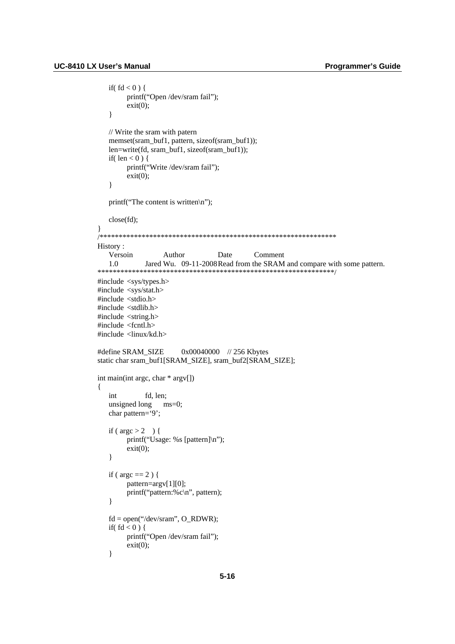```
if(fd < 0) {
        printf("Open /dev/sram fail");
        exit(0):
   \left\{ \right.// Write the sram with patern
   memset(sram_buf1, pattern, sizeof(sram_buf1));
   len=write(fd, sram_buf1, sizeof(sram_buf1));
   if(len < 0) {
        printf("Write /dev/sram fail");
        exit(0);\mathcal{E}printf("The content is written\n");
   close(fd);
History:
   Versoin
                   Author
                                  Date
                                             Comment
   1.0
             Jared Wu. 09-11-2008 Read from the SRAM and compare with some pattern.
#include <sys/types.h>
#include <sys/stat.h>
#include <stdio.h>
#include <stdlib.h>
#include \langlestring.h>
#include <fcntl.h>
#include <linux/kd.h>
                       0x00040000 // 256 Kbytes
#define SRAM SIZE
static char sram_buf1[SRAM_SIZE], sram_buf2[SRAM_SIZE];
int main(int argc, char * argv[])
\left\{ \right.int
             fd. len:
   unsigned long ms=0;
   char pattern='9';
   if (\arg c > 2) {
        printf("Usage: %s [pattern]\n");
        exit(0):
   \}if (\arg c == 2) {
        pattern=argv[1][0];
        printf("pattern:%c\n", pattern);
   \left\{ \right.fd = open("/dev/sram", O_RDWR);if(fd < 0) {
        printf("Open /dev/sram fail");
        exit(0);\mathcal{E}
```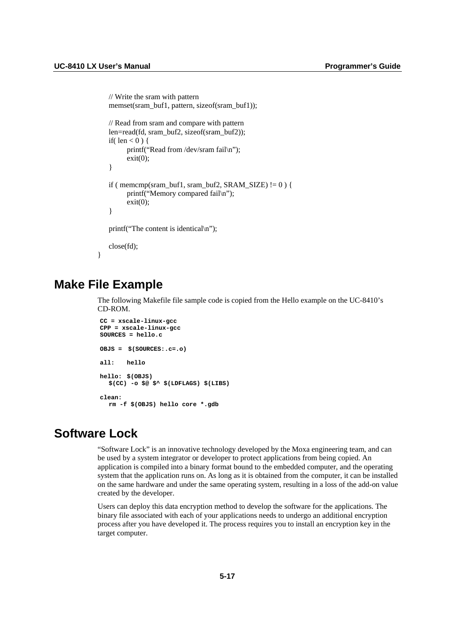```
 // Write the sram with pattern 
   memset(sram_buf1, pattern, sizeof(sram_buf1));
    // Read from sram and compare with pattern 
    len=read(fd, sram_buf2, sizeof(sram_buf2)); 
   if( len < 0 ) {
          printf("Read from /dev/sram fail\n"); 
         exit(0):
    } 
   if ( memcmp(sram_buf1, sram_buf2, SRAM_SIZE) != 0 ) {
          printf("Memory compared fail\n"); 
         exit(0);
    } 
    printf("The content is identical\n"); 
    close(fd); 
}
```
### **Make File Example**

The following Makefile file sample code is copied from the Hello example on the UC-8410's CD-ROM.

```
CC = xscale-linux-gcc 
CPP = xscale-linux-gcc 
SOURCES = hello.c 
OBJS = $(SOURCES:.c=.o) 
all: hello 
hello: $(OBJS) 
   $(CC) -o $@ $^ $(LDFLAGS) $(LIBS) 
clean: 
   rm -f $(OBJS) hello core *.gdb
```
# **Software Lock**

"Software Lock" is an innovative technology developed by the Moxa engineering team, and can be used by a system integrator or developer to protect applications from being copied. An application is compiled into a binary format bound to the embedded computer, and the operating system that the application runs on. As long as it is obtained from the computer, it can be installed on the same hardware and under the same operating system, resulting in a loss of the add-on value created by the developer.

Users can deploy this data encryption method to develop the software for the applications. The binary file associated with each of your applications needs to undergo an additional encryption process after you have developed it. The process requires you to install an encryption key in the target computer.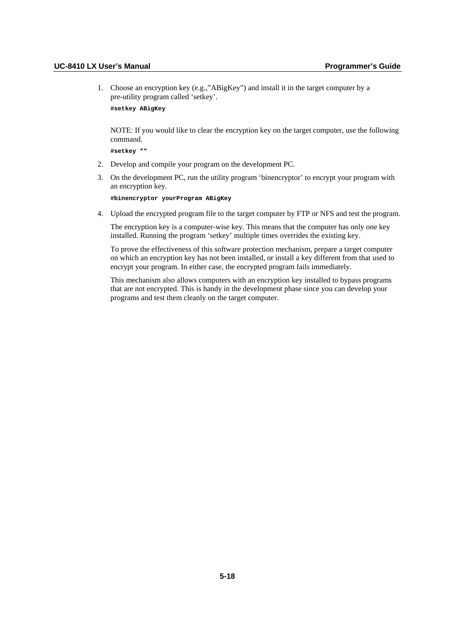1. Choose an encryption key (e.g.,"ABigKey") and install it in the target computer by a pre-utility program called 'setkey'.

```
#setkey ABigKey
```
NOTE: If you would like to clear the encryption key on the target computer, use the following command.

**#setkey ""** 

- 2. Develop and compile your program on the development PC.
- 3. On the development PC, run the utility program 'binencryptor' to encrypt your program with an encryption key.

**#binencryptor yourProgram ABigKey** 

4. Upload the encrypted program file to the target computer by FTP or NFS and test the program.

The encryption key is a computer-wise key. This means that the computer has only one key installed. Running the program 'setkey' multiple times overrides the existing key.

To prove the effectiveness of this software protection mechanism, prepare a target computer on which an encryption key has not been installed, or install a key different from that used to encrypt your program. In either case, the encrypted program fails immediately.

This mechanism also allows computers with an encryption key installed to bypass programs that are not encrypted. This is handy in the development phase since you can develop your programs and test them cleanly on the target computer.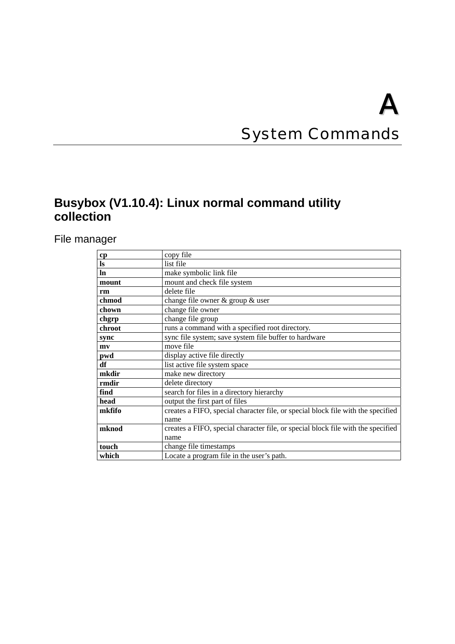# **System Commands**

# **Busybox (V1.10.4): Linux normal command utility collection**

File manager

| cp            | copy file                                                                        |
|---------------|----------------------------------------------------------------------------------|
| $\mathbf{ls}$ | list file                                                                        |
| $\ln$         | make symbolic link file                                                          |
| mount         | mount and check file system                                                      |
| rm            | delete file                                                                      |
| chmod         | change file owner & group & user                                                 |
| chown         | change file owner                                                                |
| chgrp         | change file group                                                                |
| chroot        | runs a command with a specified root directory.                                  |
| sync          | sync file system; save system file buffer to hardware                            |
| mv            | move file                                                                        |
| pwd           | display active file directly                                                     |
| df            | list active file system space                                                    |
| mkdir         | make new directory                                                               |
| rmdir         | delete directory                                                                 |
| find          | search for files in a directory hierarchy                                        |
| head          | output the first part of files                                                   |
| mkfifo        | creates a FIFO, special character file, or special block file with the specified |
|               | name                                                                             |
| mknod         | creates a FIFO, special character file, or special block file with the specified |
|               | name                                                                             |
| touch         | change file timestamps                                                           |
| which         | Locate a program file in the user's path.                                        |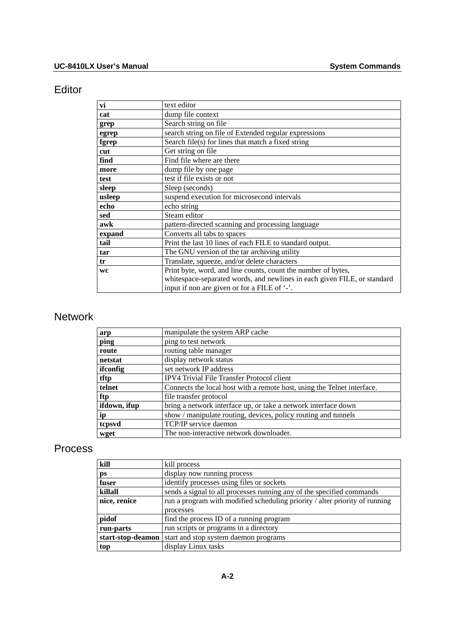## Editor

| vi        | text editor                                                              |
|-----------|--------------------------------------------------------------------------|
| cat       | dump file context                                                        |
| grep      | Search string on file                                                    |
| egrep     | search string on file of Extended regular expressions                    |
| fgrep     | Search file(s) for lines that match a fixed string                       |
| cut       | Get string on file                                                       |
| find      | Find file where are there                                                |
| more      | dump file by one page                                                    |
| test      | test if file exists or not                                               |
| sleep     | Sleep (seconds)                                                          |
| usleep    | suspend execution for microsecond intervals                              |
| echo      | echo string                                                              |
| sed       | Steam editor                                                             |
| awk       | pattern-directed scanning and processing language                        |
| expand    | Converts all tabs to spaces                                              |
| tail      | Print the last 10 lines of each FILE to standard output.                 |
| tar       | The GNU version of the tar archiving utility                             |
| tr        | Translate, squeeze, and/or delete characters                             |
| <b>WC</b> | Print byte, word, and line counts, count the number of bytes,            |
|           | whitespace-separated words, and newlines in each given FILE, or standard |
|           | input if non are given or for a FILE of '-'.                             |

# Network

| arp          | manipulate the system ARP cache                                         |
|--------------|-------------------------------------------------------------------------|
| ping         | ping to test network                                                    |
| route        | routing table manager                                                   |
| netstat      | display network status                                                  |
| ifconfig     | set network IP address                                                  |
| tftp         | IPV4 Trivial File Transfer Protocol client                              |
| telnet       | Connects the local host with a remote host, using the Telnet interface. |
| ftp          | file transfer protocol                                                  |
| ifdown, ifup | bring a network interface up, or take a network interface down          |
| ip           | show / manipulate routing, devices, policy routing and tunnels          |
| tcpsvd       | TCP/IP service daemon                                                   |
| wget         | The non-interactive network downloader.                                 |

### Process

| kill         | kill process                                                                |
|--------------|-----------------------------------------------------------------------------|
| ps           | display now running process                                                 |
| fuser        | identify processes using files or sockets                                   |
| killall      | sends a signal to all processes running any of the specified commands       |
| nice, renice | run a program with modified scheduling priority / alter priority of running |
|              | processes                                                                   |
| pidof        | find the process ID of a running program                                    |
| run-parts    | run scripts or programs in a directory                                      |
|              | start-stop-deamon   start and stop system daemon programs                   |
| top          | display Linux tasks                                                         |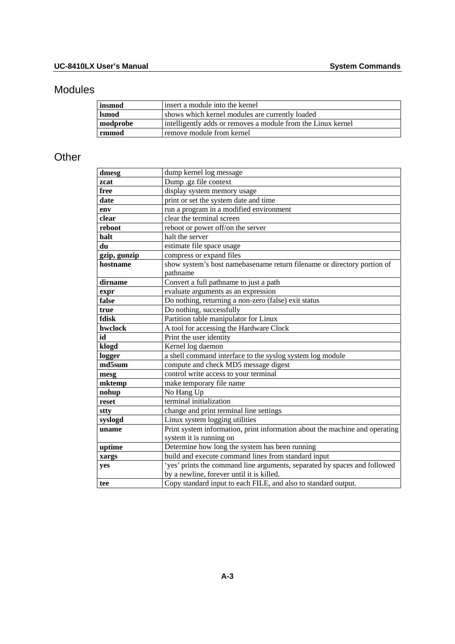# Modules

| insmod       | l insert a module into the kernel                            |
|--------------|--------------------------------------------------------------|
| <b>Ismod</b> | shows which kernel modules are currently loaded              |
| modprobe     | intelligently adds or removes a module from the Linux kernel |
| rmmod        | remove module from kernel                                    |

## **Other**

| dmesg        | dump kernel log message                                                     |
|--------------|-----------------------------------------------------------------------------|
| zcat         | Dump .gz file context                                                       |
| free         | display system memory usage                                                 |
| date         | print or set the system date and time                                       |
| env          | run a program in a modified environment                                     |
| clear        | clear the terminal screen                                                   |
| reboot       | reboot or power off/on the server                                           |
| halt         | halt the server                                                             |
| du           | estimate file space usage                                                   |
| gzip, gunzip | compress or expand files                                                    |
| hostname     | show system's host namebasename return filename or directory portion of     |
|              | pathname                                                                    |
| dirname      | Convert a full pathname to just a path                                      |
| expr         | evaluate arguments as an expression                                         |
| false        | Do nothing, returning a non-zero (false) exit status                        |
| true         | Do nothing, successfully                                                    |
| fdisk        | Partition table manipulator for Linux                                       |
| hwclock      | A tool for accessing the Hardware Clock                                     |
| id           | Print the user identity                                                     |
| klogd        | Kernel log daemon                                                           |
| logger       | a shell command interface to the syslog system log module                   |
| md5sum       | compute and check MD5 message digest                                        |
| mesg         | control write access to your terminal                                       |
| mktemp       | make temporary file name                                                    |
| nohup        | No Hang Up                                                                  |
| reset        | terminal initialization                                                     |
| stty         | change and print terminal line settings                                     |
| syslogd      | Linux system logging utilities                                              |
| uname        | Print system information, print information about the machine and operating |
|              | system it is running on                                                     |
| uptime       | Determine how long the system has been running                              |
| xargs        | build and execute command lines from standard input                         |
| yes          | 'yes' prints the command line arguments, separated by spaces and followed   |
|              | by a newline, forever until it is killed.                                   |
| tee          | Copy standard input to each FILE, and also to standard output.              |